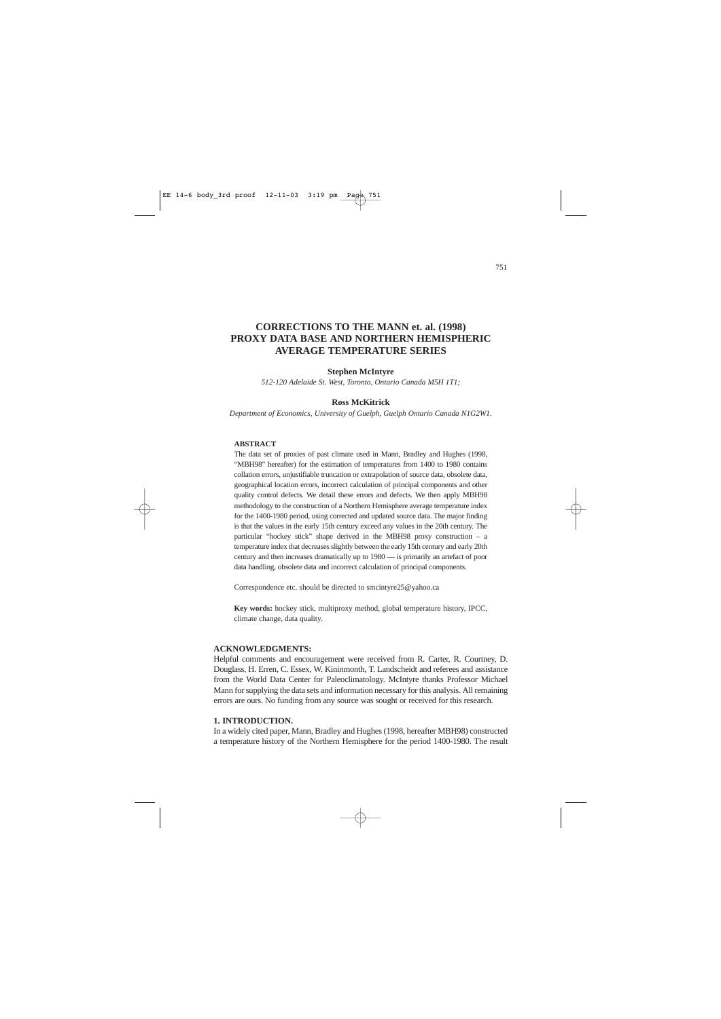# **CORRECTIONS TO THE MANN et. al. (1998) PROXY DATA BASE AND NORTHERN HEMISPHERIC AVERAGE TEMPERATURE SERIES**

# **Stephen McIntyre**

*512-120 Adelaide St. West, Toronto, Ontario Canada M5H 1T1;* 

#### **Ross McKitrick**

*Department of Economics, University of Guelph, Guelph Ontario Canada N1G2W1.*

#### **ABSTRACT**

The data set of proxies of past climate used in Mann, Bradley and Hughes (1998, "MBH98" hereafter) for the estimation of temperatures from 1400 to 1980 contains collation errors, unjustifiable truncation or extrapolation of source data, obsolete data, geographical location errors, incorrect calculation of principal components and other quality control defects. We detail these errors and defects. We then apply MBH98 methodology to the construction of a Northern Hemisphere average temperature index for the 1400-1980 period, using corrected and updated source data. The major finding is that the values in the early 15th century exceed any values in the 20th century. The particular "hockey stick" shape derived in the MBH98 proxy construction – a temperature index that decreases slightly between the early 15th century and early 20th century and then increases dramatically up to 1980 — is primarily an artefact of poor data handling, obsolete data and incorrect calculation of principal components.

Correspondence etc. should be directed to smcintyre25@yahoo.ca

**Key words:** hockey stick, multiproxy method, global temperature history, IPCC, climate change, data quality.

#### **ACKNOWLEDGMENTS:**

Helpful comments and encouragement were received from R. Carter, R. Courtney, D. Douglass, H. Erren, C. Essex, W. Kininmonth, T. Landscheidt and referees and assistance from the World Data Center for Paleoclimatology. McIntyre thanks Professor Michael Mann for supplying the data sets and information necessary for this analysis. All remaining errors are ours. No funding from any source was sought or received for this research.

# **1. INTRODUCTION.**

In a widely cited paper, Mann, Bradley and Hughes (1998, hereafter MBH98) constructed a temperature history of the Northern Hemisphere for the period 1400-1980. The result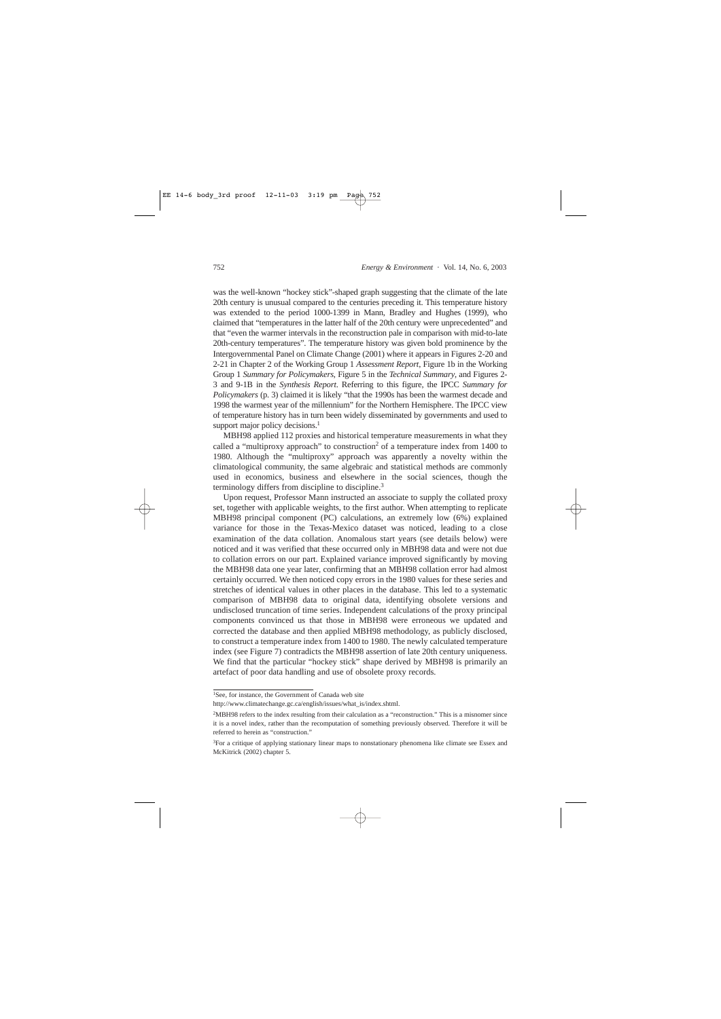was the well-known "hockey stick"-shaped graph suggesting that the climate of the late 20th century is unusual compared to the centuries preceding it. This temperature history was extended to the period 1000-1399 in Mann, Bradley and Hughes (1999), who claimed that "temperatures in the latter half of the 20th century were unprecedented" and that "even the warmer intervals in the reconstruction pale in comparison with mid-to-late 20th-century temperatures". The temperature history was given bold prominence by the Intergovernmental Panel on Climate Change (2001) where it appears in Figures 2-20 and 2-21 in Chapter 2 of the Working Group 1 *Assessment Report*, Figure 1b in the Working Group 1 *Summary for Policymakers*, Figure 5 in the *Technical Summary*, and Figures 2- 3 and 9-1B in the *Synthesis Report*. Referring to this figure, the IPCC *Summary for Policymakers* (p. 3) claimed it is likely "that the 1990s has been the warmest decade and 1998 the warmest year of the millennium" for the Northern Hemisphere. The IPCC view of temperature history has in turn been widely disseminated by governments and used to support major policy decisions. $<sup>1</sup>$ </sup>

MBH98 applied 112 proxies and historical temperature measurements in what they called a "multiproxy approach" to construction<sup>2</sup> of a temperature index from 1400 to 1980. Although the "multiproxy" approach was apparently a novelty within the climatological community, the same algebraic and statistical methods are commonly used in economics, business and elsewhere in the social sciences, though the terminology differs from discipline to discipline.3

Upon request, Professor Mann instructed an associate to supply the collated proxy set, together with applicable weights, to the first author. When attempting to replicate MBH98 principal component (PC) calculations, an extremely low (6%) explained variance for those in the Texas-Mexico dataset was noticed, leading to a close examination of the data collation. Anomalous start years (see details below) were noticed and it was verified that these occurred only in MBH98 data and were not due to collation errors on our part. Explained variance improved significantly by moving the MBH98 data one year later, confirming that an MBH98 collation error had almost certainly occurred. We then noticed copy errors in the 1980 values for these series and stretches of identical values in other places in the database. This led to a systematic comparison of MBH98 data to original data, identifying obsolete versions and undisclosed truncation of time series. Independent calculations of the proxy principal components convinced us that those in MBH98 were erroneous we updated and corrected the database and then applied MBH98 methodology, as publicly disclosed, to construct a temperature index from 1400 to 1980. The newly calculated temperature index (see Figure 7) contradicts the MBH98 assertion of late 20th century uniqueness. We find that the particular "hockey stick" shape derived by MBH98 is primarily an artefact of poor data handling and use of obsolete proxy records.

<sup>&</sup>lt;sup>1</sup>See. for instance, the Government of Canada web site

http://www.climatechange.gc.ca/english/issues/what\_is/index.shtml.

<sup>2</sup>MBH98 refers to the index resulting from their calculation as a "reconstruction." This is a misnomer since it is a novel index, rather than the recomputation of something previously observed. Therefore it will be referred to herein as "construction."

<sup>&</sup>lt;sup>3</sup>For a critique of applying stationary linear maps to nonstationary phenomena like climate see Essex and McKitrick (2002) chapter 5.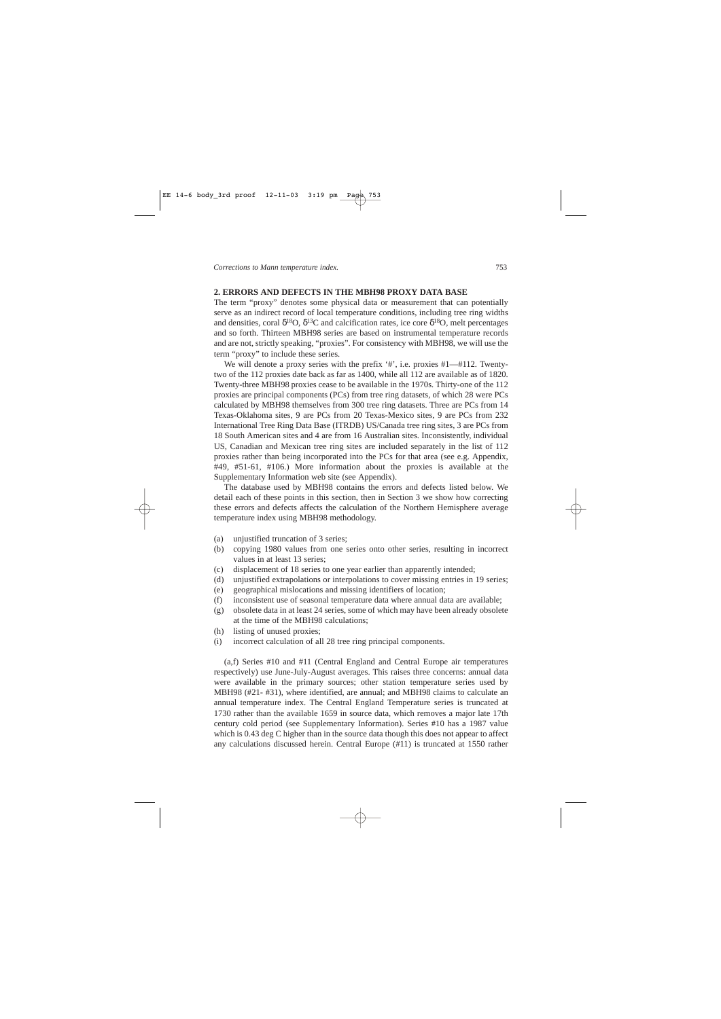# **2. ERRORS AND DEFECTS IN THE MBH98 PROXY DATA BASE**

The term "proxy" denotes some physical data or measurement that can potentially serve as an indirect record of local temperature conditions, including tree ring widths and densities, coral  $\delta^{18}O$ ,  $\delta^{13}C$  and calcification rates, ice core  $\delta^{18}O$ , melt percentages and so forth. Thirteen MBH98 series are based on instrumental temperature records and are not, strictly speaking, "proxies". For consistency with MBH98, we will use the term "proxy" to include these series.

We will denote a proxy series with the prefix '#', i.e. proxies #1—#112. Twentytwo of the 112 proxies date back as far as 1400, while all 112 are available as of 1820. Twenty-three MBH98 proxies cease to be available in the 1970s. Thirty-one of the 112 proxies are principal components (PCs) from tree ring datasets, of which 28 were PCs calculated by MBH98 themselves from 300 tree ring datasets. Three are PCs from 14 Texas-Oklahoma sites, 9 are PCs from 20 Texas-Mexico sites, 9 are PCs from 232 International Tree Ring Data Base (ITRDB) US/Canada tree ring sites, 3 are PCs from 18 South American sites and 4 are from 16 Australian sites. Inconsistently, individual US, Canadian and Mexican tree ring sites are included separately in the list of 112 proxies rather than being incorporated into the PCs for that area (see e.g. Appendix, #49, #51-61, #106.) More information about the proxies is available at the Supplementary Information web site (see Appendix).

The database used by MBH98 contains the errors and defects listed below. We detail each of these points in this section, then in Section 3 we show how correcting these errors and defects affects the calculation of the Northern Hemisphere average temperature index using MBH98 methodology.

- (a) unjustified truncation of 3 series;
- (b) copying 1980 values from one series onto other series, resulting in incorrect values in at least 13 series;
- (c) displacement of 18 series to one year earlier than apparently intended;
- (d) unjustified extrapolations or interpolations to cover missing entries in 19 series;
- (e) geographical mislocations and missing identifiers of location;
- (f) inconsistent use of seasonal temperature data where annual data are available;
- (g) obsolete data in at least 24 series, some of which may have been already obsolete at the time of the MBH98 calculations;
- (h) listing of unused proxies;
- (i) incorrect calculation of all 28 tree ring principal components.

(a,f) Series #10 and #11 (Central England and Central Europe air temperatures respectively) use June-July-August averages. This raises three concerns: annual data were available in the primary sources; other station temperature series used by MBH98 (#21- #31), where identified, are annual; and MBH98 claims to calculate an annual temperature index. The Central England Temperature series is truncated at 1730 rather than the available 1659 in source data, which removes a major late 17th century cold period (see Supplementary Information). Series #10 has a 1987 value which is 0.43 deg C higher than in the source data though this does not appear to affect any calculations discussed herein. Central Europe (#11) is truncated at 1550 rather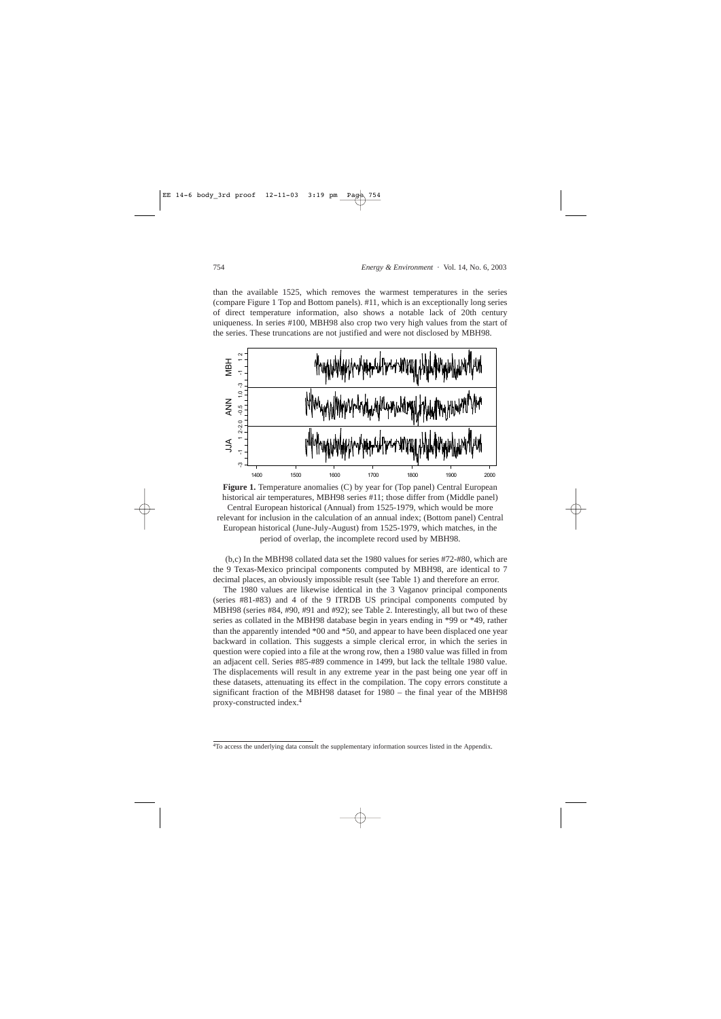than the available 1525, which removes the warmest temperatures in the series (compare Figure 1 Top and Bottom panels). #11, which is an exceptionally long series of direct temperature information, also shows a notable lack of 20th century uniqueness. In series #100, MBH98 also crop two very high values from the start of the series. These truncations are not justified and were not disclosed by MBH98.



**Figure 1.** Temperature anomalies (C) by year for (Top panel) Central European historical air temperatures, MBH98 series #11; those differ from (Middle panel) Central European historical (Annual) from 1525-1979, which would be more relevant for inclusion in the calculation of an annual index; (Bottom panel) Central European historical (June-July-August) from 1525-1979, which matches, in the period of overlap, the incomplete record used by MBH98.

(b,c) In the MBH98 collated data set the 1980 values for series #72-#80, which are the 9 Texas-Mexico principal components computed by MBH98, are identical to 7 decimal places, an obviously impossible result (see Table 1) and therefore an error.

The 1980 values are likewise identical in the 3 Vaganov principal components (series #81-#83) and 4 of the 9 ITRDB US principal components computed by MBH98 (series #84, #90, #91 and #92); see Table 2. Interestingly, all but two of these series as collated in the MBH98 database begin in years ending in \*99 or \*49, rather than the apparently intended \*00 and \*50, and appear to have been displaced one year backward in collation. This suggests a simple clerical error, in which the series in question were copied into a file at the wrong row, then a 1980 value was filled in from an adjacent cell. Series #85-#89 commence in 1499, but lack the telltale 1980 value. The displacements will result in any extreme year in the past being one year off in these datasets, attenuating its effect in the compilation. The copy errors constitute a significant fraction of the MBH98 dataset for 1980 – the final year of the MBH98 proxy-constructed index.4

<sup>4</sup>To access the underlying data consult the supplementary information sources listed in the Appendix.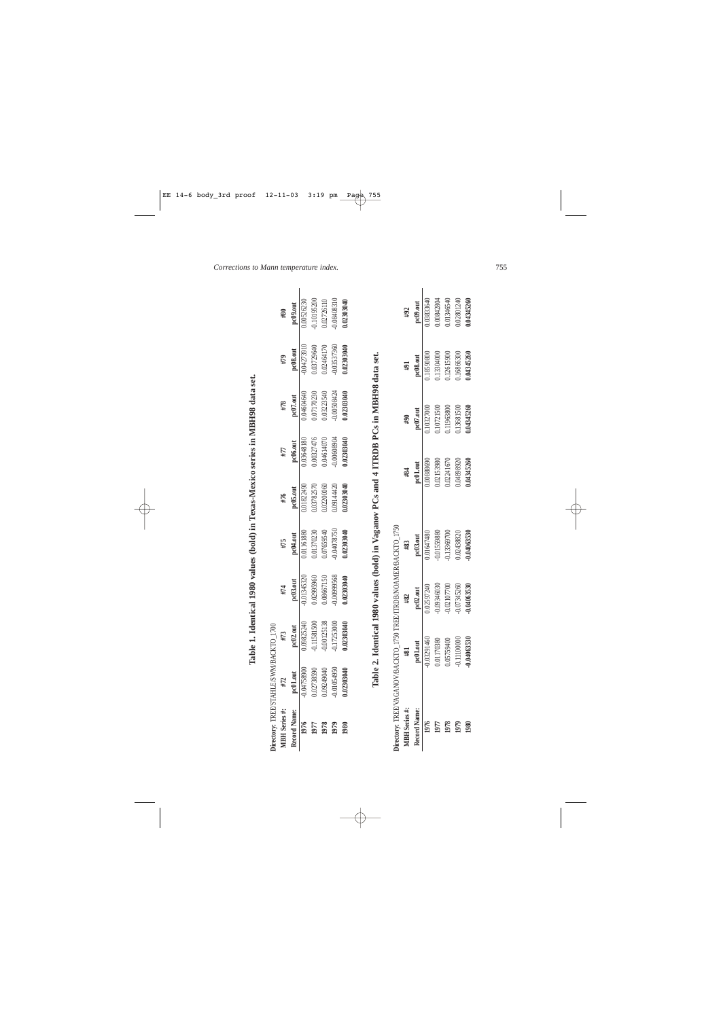| Directory: TREE/STAHLE/SWM/BACKTO_1700 |               |               |                                                                         |               |            |             |                  |                       |               |
|----------------------------------------|---------------|---------------|-------------------------------------------------------------------------|---------------|------------|-------------|------------------|-----------------------|---------------|
| MBH Series #:                          | #72           | #73           | #74                                                                     | #75           | #76        | #77         | #78              | #79                   | #80           |
| Record Name:                           | pc01.out      | pc02.out      | pc03.out                                                                | pc04.out      | pc05.out   | pc06.out    | $pc07.$ out      | $pc08.$ out           | pc09.out      |
| 1976                                   | -0.04758900   | 0.09825240    | $-0.01345320$                                                           | 0.01161880    | 0.01822490 | 0.03648180  | 0.04604640       | 0.04273910            | 0.00526230    |
| 1761                                   | 0.02738590    | $-0.11581500$ | 0.02995960                                                              | 0.01370230    | 0.03782570 | 0.00327476  | 0.07170230       | 0.03729640            | $-0.10195200$ |
| 1978                                   | 0.09249040    | 0.00125138    | 0.08667150                                                              | 0.07659540    | 0.02200060 | 0.04614070  | 0.03223540       | 0.02464170            | 0.02726110    |
| 1979                                   | $-0.01054950$ | $-0.17253000$ | -0.0099568                                                              | 0.04078750    | 0.09144420 | 0.00608904  | -0.00508424      | 0.03537360            | 0.08408310    |
| 1980                                   | 0.02303040    | 0.02303040    | 0.02303040                                                              | 0.02303040    | 0.02303040 | 0.02303040  | 0.02303040       | 0.02303040            | 0.02303040    |
| MBH Series #:                          |               | #81           | Directory: TREEVAGANOV/BACKTO_1750 TREE/ITRDB/NOAMER/BACKTO_1750<br>#82 | #83           |            | #84         | $\frac{404}{20}$ | $\mathbf{h}^{\sharp}$ | #92           |
| Record Name:                           |               | pc01.out      | pc02.out                                                                | $pc03.$ out   |            | $pc01.$ out | pc07.out         | $pc08.$ out           | pc09.out      |
| 1976                                   |               | $-0.03291460$ | 0.02597240                                                              | 0.01647480    |            | 0.00888690  | 0.10327000       | 0.18590800            | 0.03833640    |
| 1977                                   |               | 0.01170380    | -0.09346030                                                             | -0.01559880   |            | 0.02153980  | 0.10721500       | 0.13304000            | 0.00842804    |
| 1978<br>1979                           |               | 0.05759400    | -0.02107700                                                             | -0.13369700   |            | 0.02241670  | 0.11963800       | 0.12615900            | 0.01346540    |
|                                        |               | $-0.11100000$ | -0.07345260                                                             | 0.02438820    |            | 0.04898920  | 0.13681500       | 0.16866300            | 0.02801240    |
| 1980                                   |               | $-0.04063530$ | $-0.04063530$                                                           | $-0.04063530$ |            | 0.04345260  | 0.04345260       | 0.04345260            | 0.04345260    |

# Table 1. Identical 1980 values (bold) in Texas-Mexico series in MBH98 data set. **Table 1. Identical 1980 values (bold) in Texas-Mexico series in MBH98 data set.**

| 0.03291460           | 02597240    | $-0164748$                    |            | 1.10327000               |            | .038336              |
|----------------------|-------------|-------------------------------|------------|--------------------------|------------|----------------------|
| 0.01170380           | -0.09346030 |                               | 0.02153980 |                          | 0.1330400  |                      |
| 0.05759400           | -0.02107700 | -0.01559880<br>-0.1336970C    | 0.02241670 | 0.10721500<br>0.11963800 | 0.12615900 | 0.008428<br>0.013465 |
| $-0.1110000^{\circ}$ | -0.07345260 | $0.02438820$<br>$-0.04063530$ | 0.04898920 | 0.13681500               | 0.1686630  | 0.028012             |
| 0.04063530           | 0.04063530  |                               | 04345260   | 0.04345260               | 0.04345260 | 1.043452             |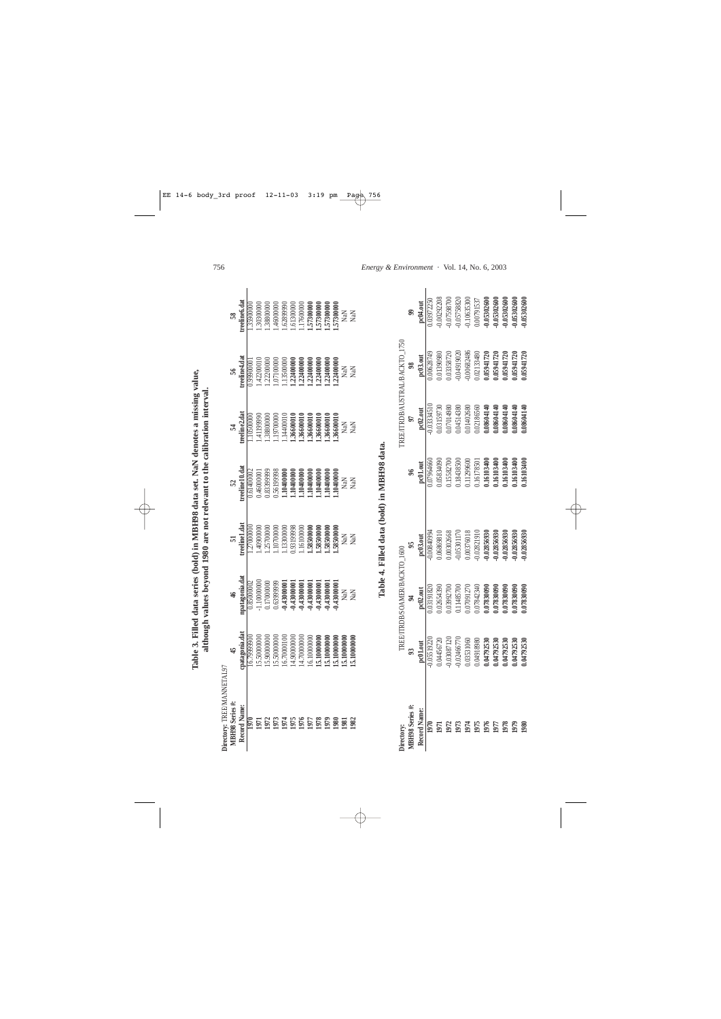1.17600000<br>1.57300000 1.57300000<br>1.57300000 treeline<sub>6</sub>.dat **Record Name: cpatagonia.dat npatagonia.dat treeline1.dat treeline10.dat treeline2.dat treeline4.dat treeline6.dat** .30300000 .38800000 .46000000 .6289990 .61300000 35900000 **1970** 16.79999900 0.85000002 1.27000000 0.61400002 1.10500000 0.99900001 1.35900000 **1971** 15.50000000 -1.10000000 1.40900000 0.46000001 1.41199990 1.42200010 1.30300000 **1972** 15.90000000 0.17000000 1.25700000 0.83399999 1.38800000 1.22200000 1.38800000 **1973** 15.50000000 0.63999999 1.10700000 0.56199998 1.19700000 1.07100000 1.46000000 **1974** 16.70000100 **-0.43000001** 1.13300000 **1.10400000** 1.14400010 1.13500000 1.62899990 **1975** 14.90000000 **-0.43000001** 0.93199998 **1.10400000 1.36600010 1.22400000** 1.61300000 **1976** 14.70000000 **-0.43000001** 1.16100000 **1.10400000 1.36600010 1.22400000** 1.17600000 **1977** 16.10000000 **-0.43000001 1.58500000 1.10400000 1.36600010 1.22400000 1.57300000 1978 15.10000000 -0.43000001 1.58500000 1.10400000 1.36600010 1.22400000 1.57300000 1979 15.10000000 -0.43000001 1.58500000 1.10400000 1.36600010 1.22400000 1.57300000 1980 15.10000000 -0.43000001 1.58500000 1.10400000 1.36600010 1.22400000 1.57300000** 1.57300000 NaN **NaN**  $58$ **1981 15.10000000** NaN NaN NaN NaN NaN NaN **1982 15.10000000** NaN NaN NaN NaN NaN NaN **MBH98 Series #: 45 46 51 52 54 56 58** 1.42200010<br>1.22200000 1.13500000<br>1.22400000 1.22400000<br>1.22400000 .22400000 reeline4.dat .07100000 .22400000 1.0000666 .22400000 NaN NaN ន៍ 1.36600010<br>1.36600010 treeline2.dat .4119990 1.38800000 1.19700000 .14400010 .36600010 .36600010 .36600010 .36600010 10500000 NaN<br>NaN  $\overline{a}$ treeline10.dat  $\begin{array}{l} 1.10400000 \\ 1.10400000 \\ 1.10400000 \\ 1.10400000 \\ \end{array}$ 0.46000001 0.83399999 0.5619998 1.0400000 1.10400000 1.0400000 0.61400002 NaN NaN  $52$ 1.16100000<br>1.58500000 treeline1.dat .25700000 .10700000 .58500000 .58500000 .27000000 00000000 .13300000 0.93199998 .58500000 NaN NaN 51 npatagonia.dat  $-1.10000000$ 0.17000000 0.6399999  $-0.43000001$  $-0.43000001$ 0.85000002 -0.43000001  $-0.43000001$  $-0.43000001$ -0.43000001 -0.43000001 NaN<br>NaN  $\frac{4}{5}$ patagonia.dat 14.70000000<br>16.10000000 15.50000000 15.90000000 5.50000000 16.70000100 14.90000000 15.10000000 15.10000000 6.7999900 15.10000000 15.10000000 15.10000000  $45$ Directory: TREE/MANNETAL97 **Directory:** TREE/MANNETAL97 MBH98 Series #: Record Name: n<br>2006<br>20092202020 1972 1970 160

Table 4. Filled data (bold) in MBH98 data. **Table 4. Filled data (bold) in MBH98 data.**

|                     |                                                                                     | REE/ITRDB/SOAMER/BACKTO_1600                                                                                                                                |                                                                                                                                                                                                                                |                                                                                                                     |                                                                                                                                                             | REATTRDB/AUSTRAL/BACKTO_175                                                                                                                                                                                                               |                                                                                                                                                                                                                   |
|---------------------|-------------------------------------------------------------------------------------|-------------------------------------------------------------------------------------------------------------------------------------------------------------|--------------------------------------------------------------------------------------------------------------------------------------------------------------------------------------------------------------------------------|---------------------------------------------------------------------------------------------------------------------|-------------------------------------------------------------------------------------------------------------------------------------------------------------|-------------------------------------------------------------------------------------------------------------------------------------------------------------------------------------------------------------------------------------------|-------------------------------------------------------------------------------------------------------------------------------------------------------------------------------------------------------------------|
| BH98 Series #:      |                                                                                     |                                                                                                                                                             |                                                                                                                                                                                                                                |                                                                                                                     |                                                                                                                                                             |                                                                                                                                                                                                                                           |                                                                                                                                                                                                                   |
| <b>tecord Name:</b> | pc01.out                                                                            |                                                                                                                                                             |                                                                                                                                                                                                                                |                                                                                                                     | pc02.out                                                                                                                                                    |                                                                                                                                                                                                                                           |                                                                                                                                                                                                                   |
|                     | 0.05519220                                                                          | 03191820                                                                                                                                                    | 0084099409940994                                                                                                                                                                                                               | $\frac{1001.001}{107964660}$                                                                                        |                                                                                                                                                             | 00628749                                                                                                                                                                                                                                  |                                                                                                                                                                                                                   |
|                     | $0.04456720$<br>$-0.03087120$                                                       |                                                                                                                                                             | 06869810                                                                                                                                                                                                                       |                                                                                                                     |                                                                                                                                                             |                                                                                                                                                                                                                                           | pc04.out<br>0.03972250<br>0.00292208<br>0.07598700                                                                                                                                                                |
|                     |                                                                                     | 0.02654390<br>0.03992700                                                                                                                                    |                                                                                                                                                                                                                                |                                                                                                                     |                                                                                                                                                             |                                                                                                                                                                                                                                           |                                                                                                                                                                                                                   |
|                     |                                                                                     |                                                                                                                                                             |                                                                                                                                                                                                                                |                                                                                                                     |                                                                                                                                                             |                                                                                                                                                                                                                                           |                                                                                                                                                                                                                   |
|                     | $-0.02466770$<br>0.03531060<br>0.04918980<br>0.04792530<br>0.04792530<br>0.04792530 | $\begin{array}{l} 0.1148700 \\ 0.07091270 \\ 0.07842340 \\ 0.07830090 \\ 0.07830090 \\ 0.07830090 \\ 0.07830090 \\ 0.07830090 \\ 0.07830090 \\ \end{array}$ | $\begin{array}{c} 0.00302668 \\ -0.05301170 \\ 0.00376018 \\ 0.00376018 \\ -0.02821910 \\ -0.02831910 \\ -0.02856930 \\ -0.02856930 \\ -0.02856930 \\ -0.02856930 \\ -0.02856930 \\ -0.02856930 \\ -0.02856930 \\ \end{array}$ | 0.06834090<br>0.0582700<br>0.1587200<br>0.0587101129600<br>0.06080001603400<br>0.06080001603400<br>0.06080001603400 | $\begin{array}{l} 0.0334510 \\ 0.03159730 \\ 0.07014980 \\ 0.04514380 \\ 0.04514380 \\ 0.001402680 \\ 0.001402660 \\ 0.0000000 \\ 0.0000000 \\ \end{array}$ | $\begin{array}{l} 0.01390980\\ 0.01398720\\ -0.04919020\\ -0.0682486\\ -0.00682486\\ 0.00632480\\ -0.005341720\\ 0.05941720\\ 0.05941720\\ 0.05941720\\ 0.06941720\\ 0.06941720\\ 0.06941720\\ 0.06960\\ 0.06960\\ 0.06960\\ \end{array}$ | $\begin{array}{c} -0.05758820 \\ -0.10635300 \\ 0.00791537 \\ -0.05302600 \\ -0.05302600 \\ -0.05302600 \\ -0.05302600 \\ -0.05302600 \\ -0.05302600 \\ -0.05302600 \\ -0.05302600 \\ -0.05302600 \\ \end{array}$ |
|                     |                                                                                     |                                                                                                                                                             |                                                                                                                                                                                                                                |                                                                                                                     |                                                                                                                                                             |                                                                                                                                                                                                                                           |                                                                                                                                                                                                                   |
|                     |                                                                                     |                                                                                                                                                             |                                                                                                                                                                                                                                |                                                                                                                     |                                                                                                                                                             |                                                                                                                                                                                                                                           |                                                                                                                                                                                                                   |
|                     |                                                                                     |                                                                                                                                                             |                                                                                                                                                                                                                                |                                                                                                                     |                                                                                                                                                             |                                                                                                                                                                                                                                           |                                                                                                                                                                                                                   |
|                     |                                                                                     |                                                                                                                                                             |                                                                                                                                                                                                                                |                                                                                                                     |                                                                                                                                                             |                                                                                                                                                                                                                                           |                                                                                                                                                                                                                   |
|                     | 0.04792530                                                                          |                                                                                                                                                             |                                                                                                                                                                                                                                |                                                                                                                     |                                                                                                                                                             |                                                                                                                                                                                                                                           |                                                                                                                                                                                                                   |
|                     | 04792530                                                                            |                                                                                                                                                             |                                                                                                                                                                                                                                |                                                                                                                     |                                                                                                                                                             |                                                                                                                                                                                                                                           |                                                                                                                                                                                                                   |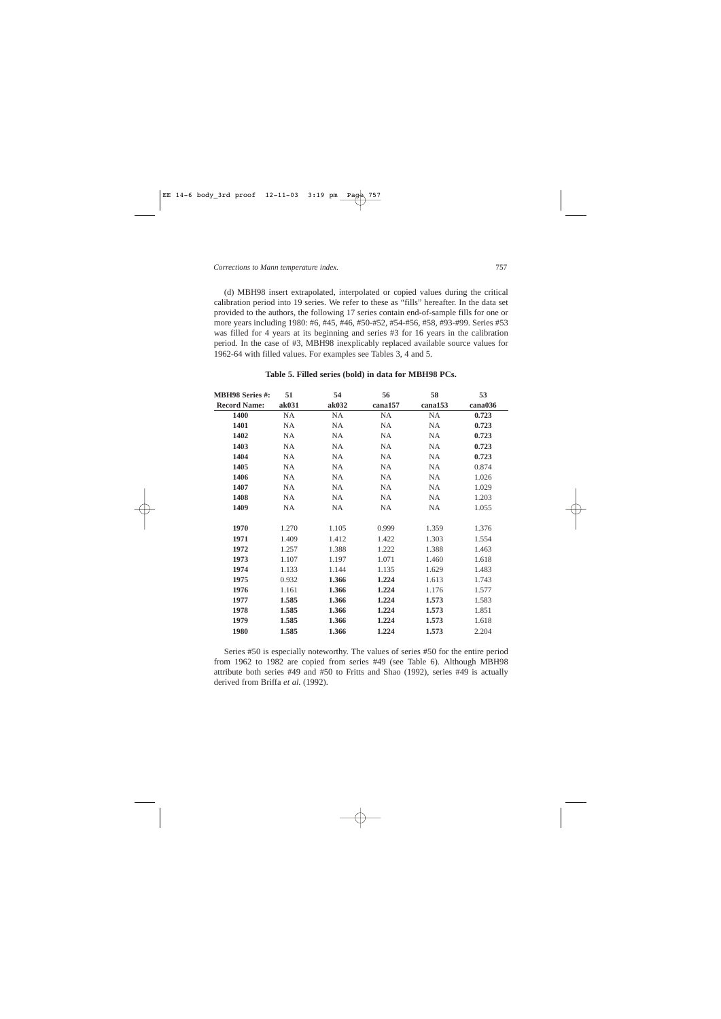(d) MBH98 insert extrapolated, interpolated or copied values during the critical calibration period into 19 series. We refer to these as "fills" hereafter. In the data set provided to the authors, the following 17 series contain end-of-sample fills for one or more years including 1980: #6, #45, #46, #50-#52, #54-#56, #58, #93-#99. Series #53 was filled for 4 years at its beginning and series #3 for 16 years in the calibration period. In the case of #3, MBH98 inexplicably replaced available source values for 1962-64 with filled values. For examples see Tables 3, 4 and 5.

| <b>MBH98 Series #:</b> | 51        | 54        | 56        | 58        | 53      |
|------------------------|-----------|-----------|-----------|-----------|---------|
| <b>Record Name:</b>    | ak031     | ak032     | cana157   | cana153   | cana036 |
| 1400                   | <b>NA</b> | <b>NA</b> | <b>NA</b> | <b>NA</b> | 0.723   |
| 1401                   | NA        | NA        | NA        | <b>NA</b> | 0.723   |
| 1402                   | <b>NA</b> | <b>NA</b> | <b>NA</b> | <b>NA</b> | 0.723   |
| 1403                   | <b>NA</b> | <b>NA</b> | <b>NA</b> | <b>NA</b> | 0.723   |
| 1404                   | NA        | NA        | <b>NA</b> | <b>NA</b> | 0.723   |
| 1405                   | NA        | <b>NA</b> | NA        | NA        | 0.874   |
| 1406                   | NA        | NA        | <b>NA</b> | NA.       | 1.026   |
| 1407                   | NA        | <b>NA</b> | <b>NA</b> | NA.       | 1.029   |
| 1408                   | NA        | <b>NA</b> | <b>NA</b> | <b>NA</b> | 1.203   |
| 1409                   | NA.       | NA        | <b>NA</b> | NA.       | 1.055   |
| 1970                   | 1.270     | 1.105     | 0.999     | 1.359     | 1.376   |
| 1971                   | 1.409     | 1.412     | 1.422     | 1.303     | 1.554   |
| 1972                   | 1.257     | 1.388     | 1.222     | 1.388     | 1.463   |
| 1973                   | 1.107     | 1.197     | 1.071     | 1.460     | 1.618   |
| 1974                   | 1.133     | 1.144     | 1.135     | 1.629     | 1.483   |
| 1975                   | 0.932     | 1.366     | 1.224     | 1.613     | 1.743   |
| 1976                   | 1.161     | 1.366     | 1.224     | 1.176     | 1.577   |
| 1977                   | 1.585     | 1.366     | 1.224     | 1.573     | 1.583   |
| 1978                   | 1.585     | 1.366     | 1.224     | 1.573     | 1.851   |
| 1979                   | 1.585     | 1.366     | 1.224     | 1.573     | 1.618   |
| 1980                   | 1.585     | 1.366     | 1.224     | 1.573     | 2.204   |

# **Table 5. Filled series (bold) in data for MBH98 PCs.**

Series #50 is especially noteworthy. The values of series #50 for the entire period from 1962 to 1982 are copied from series #49 (see Table 6). Although MBH98 attribute both series #49 and #50 to Fritts and Shao (1992), series #49 is actually derived from Briffa *et al.* (1992).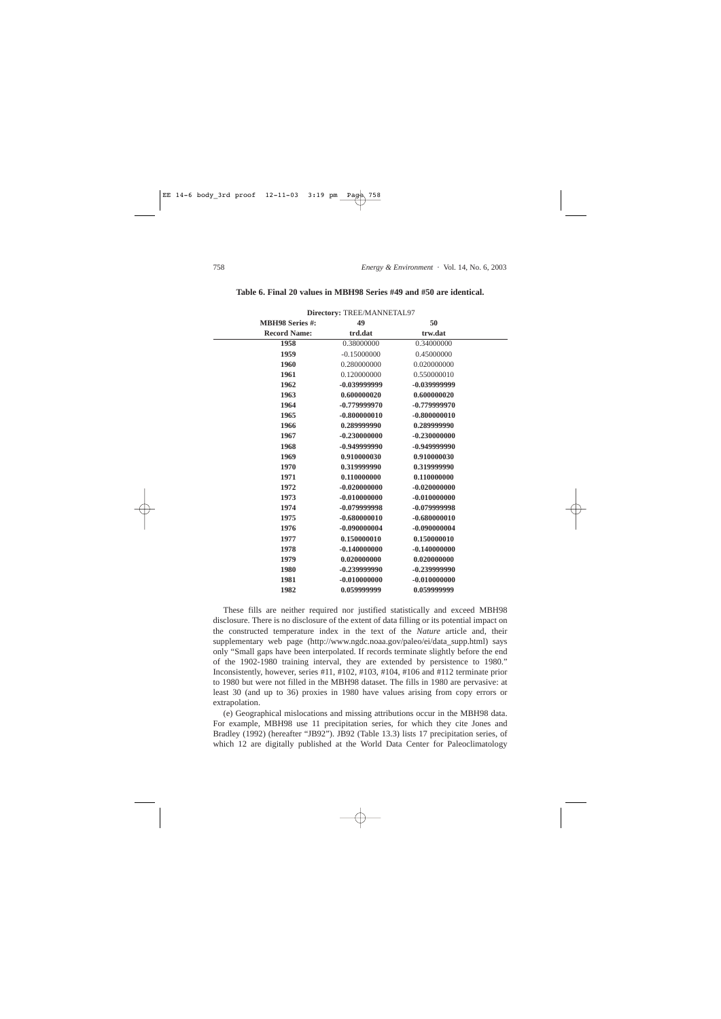|                        | Directory: TREE/MANNETAL97 |                |  |
|------------------------|----------------------------|----------------|--|
| <b>MBH98 Series #:</b> | 49                         | 50             |  |
| <b>Record Name:</b>    | trd.dat                    | trw.dat        |  |
| 1958                   | 0.38000000                 | 0.34000000     |  |
| 1959                   | $-0.15000000$              | 0.45000000     |  |
| 1960                   | 0.280000000                | 0.020000000    |  |
| 1961                   | 0.120000000                | 0.550000010    |  |
| 1962                   | -0.039999999               | -0.039999999   |  |
| 1963                   | 0.600000020                | 0.600000020    |  |
| 1964                   | -0.779999970               | $-0.779999970$ |  |
| 1965                   | $-0.800000010$             | $-0.800000010$ |  |
| 1966                   | 0.289999990                | 0.289999990    |  |
| 1967                   | $-0.230000000$             | $-0.230000000$ |  |
| 1968                   | $-0.949999990$             | $-0.949999990$ |  |
| 1969                   | 0.910000030                | 0.910000030    |  |
| 1970                   | 0.319999990                | 0.319999990    |  |
| 1971                   | 0.110000000                | 0.110000000    |  |
| 1972                   | $-0.020000000$             | $-0.020000000$ |  |
| 1973                   | $-0.010000000$             | $-0.010000000$ |  |
| 1974                   | -0.079999998               | -0.079999998   |  |
| 1975                   | $-0.680000010$             | $-0.680000010$ |  |
| 1976                   | $-0.090000004$             | $-0.090000004$ |  |
| 1977                   | 0.150000010                | 0.150000010    |  |
| 1978                   | $-0.140000000$             | $-0.140000000$ |  |
| 1979                   | 0.020000000                | 0.020000000    |  |
| 1980                   | $-0.239999990$             | $-0.239999990$ |  |
| 1981                   | $-0.010000000$             | $-0.010000000$ |  |
| 1982                   | 0.059999999                | 0.059999999    |  |

**Table 6. Final 20 values in MBH98 Series #49 and #50 are identical.**

These fills are neither required nor justified statistically and exceed MBH98 disclosure. There is no disclosure of the extent of data filling or its potential impact on the constructed temperature index in the text of the *Nature* article and, their supplementary web page (http://www.ngdc.noaa.gov/paleo/ei/data\_supp.html) says only "Small gaps have been interpolated. If records terminate slightly before the end of the 1902-1980 training interval, they are extended by persistence to 1980." Inconsistently, however, series #11, #102, #103, #104, #106 and #112 terminate prior to 1980 but were not filled in the MBH98 dataset. The fills in 1980 are pervasive: at least 30 (and up to 36) proxies in 1980 have values arising from copy errors or extrapolation.

(e) Geographical mislocations and missing attributions occur in the MBH98 data. For example, MBH98 use 11 precipitation series, for which they cite Jones and Bradley (1992) (hereafter "JB92"). JB92 (Table 13.3) lists 17 precipitation series, of which 12 are digitally published at the World Data Center for Paleoclimatology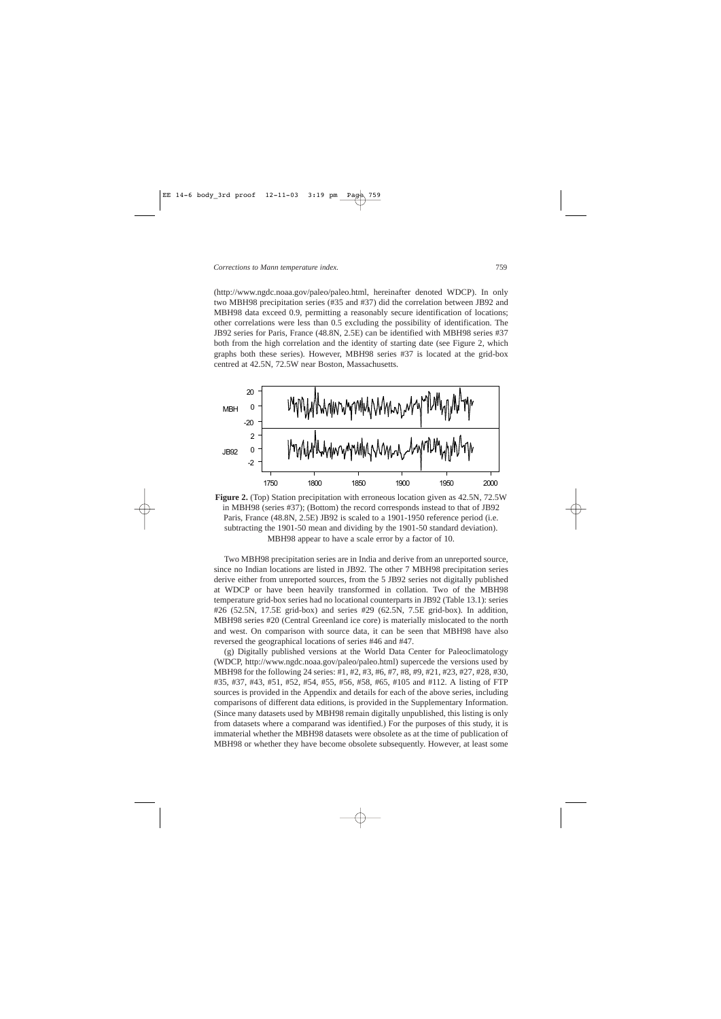(http://www.ngdc.noaa.gov/paleo/paleo.html, hereinafter denoted WDCP). In only two MBH98 precipitation series (#35 and #37) did the correlation between JB92 and MBH98 data exceed 0.9, permitting a reasonably secure identification of locations; other correlations were less than 0.5 excluding the possibility of identification. The JB92 series for Paris, France (48.8N, 2.5E) can be identified with MBH98 series #37 both from the high correlation and the identity of starting date (see Figure 2, which graphs both these series). However, MBH98 series #37 is located at the grid-box centred at 42.5N, 72.5W near Boston, Massachusetts.



**Figure 2.** (Top) Station precipitation with erroneous location given as 42.5N, 72.5W in MBH98 (series #37); (Bottom) the record corresponds instead to that of JB92 Paris, France (48.8N, 2.5E) JB92 is scaled to a 1901-1950 reference period (i.e. subtracting the 1901-50 mean and dividing by the 1901-50 standard deviation). MBH98 appear to have a scale error by a factor of 10.

Two MBH98 precipitation series are in India and derive from an unreported source, since no Indian locations are listed in JB92. The other 7 MBH98 precipitation series derive either from unreported sources, from the 5 JB92 series not digitally published at WDCP or have been heavily transformed in collation. Two of the MBH98 temperature grid-box series had no locational counterparts in JB92 (Table 13.1): series #26 (52.5N, 17.5E grid-box) and series #29 (62.5N, 7.5E grid-box). In addition, MBH98 series #20 (Central Greenland ice core) is materially mislocated to the north and west. On comparison with source data, it can be seen that MBH98 have also reversed the geographical locations of series #46 and #47.

(g) Digitally published versions at the World Data Center for Paleoclimatology (WDCP, http://www.ngdc.noaa.gov/paleo/paleo.html) supercede the versions used by MBH98 for the following 24 series: #1, #2, #3, #6, #7, #8, #9, #21, #23, #27, #28, #30, #35, #37, #43, #51, #52, #54, #55, #56, #58, #65, #105 and #112. A listing of FTP sources is provided in the Appendix and details for each of the above series, including comparisons of different data editions, is provided in the Supplementary Information. (Since many datasets used by MBH98 remain digitally unpublished, this listing is only from datasets where a comparand was identified.) For the purposes of this study, it is immaterial whether the MBH98 datasets were obsolete as at the time of publication of MBH98 or whether they have become obsolete subsequently. However, at least some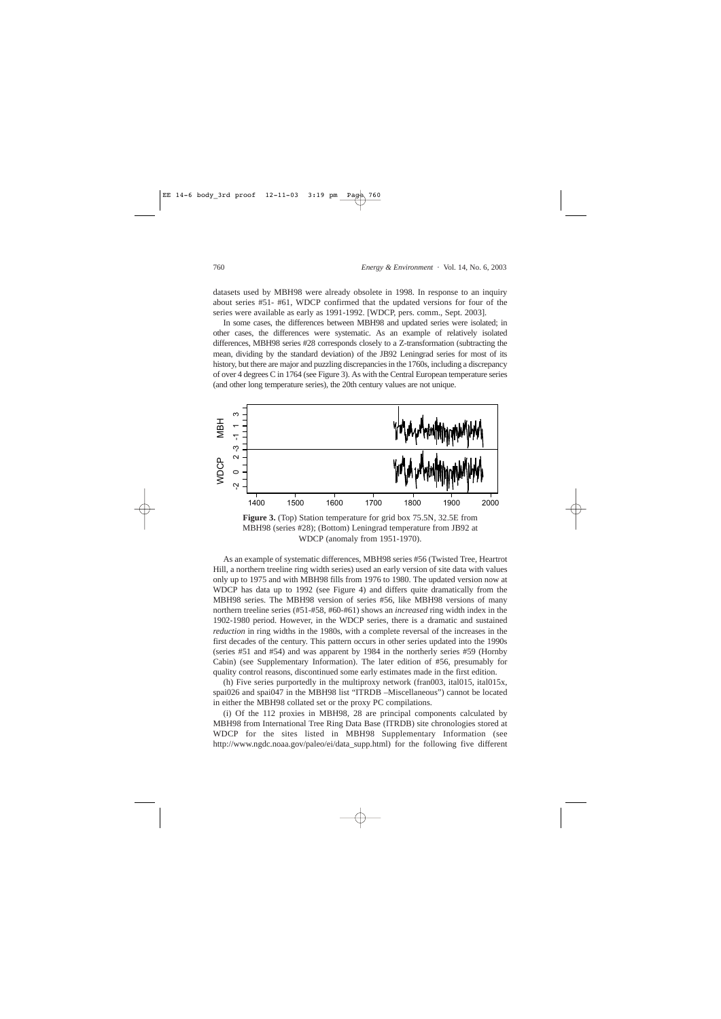datasets used by MBH98 were already obsolete in 1998. In response to an inquiry about series #51- #61, WDCP confirmed that the updated versions for four of the series were available as early as 1991-1992. [WDCP, pers. comm., Sept. 2003].

In some cases, the differences between MBH98 and updated series were isolated; in other cases, the differences were systematic. As an example of relatively isolated differences, MBH98 series #28 corresponds closely to a Z-transformation (subtracting the mean, dividing by the standard deviation) of the JB92 Leningrad series for most of its history, but there are major and puzzling discrepancies in the 1760s, including a discrepancy of over 4 degrees C in 1764 (see Figure 3). As with the Central European temperature series (and other long temperature series), the 20th century values are not unique.



**Figure 3.** (Top) Station temperature for grid box 75.5N, 32.5E from MBH98 (series #28); (Bottom) Leningrad temperature from JB92 at WDCP (anomaly from 1951-1970).

As an example of systematic differences, MBH98 series #56 (Twisted Tree, Heartrot Hill, a northern treeline ring width series) used an early version of site data with values only up to 1975 and with MBH98 fills from 1976 to 1980. The updated version now at WDCP has data up to 1992 (see Figure 4) and differs quite dramatically from the MBH98 series. The MBH98 version of series #56, like MBH98 versions of many northern treeline series (#51-#58, #60-#61) shows an *increased* ring width index in the 1902-1980 period. However, in the WDCP series, there is a dramatic and sustained *reduction* in ring widths in the 1980s, with a complete reversal of the increases in the first decades of the century. This pattern occurs in other series updated into the 1990s (series #51 and #54) and was apparent by 1984 in the northerly series #59 (Hornby Cabin) (see Supplementary Information). The later edition of #56, presumably for quality control reasons, discontinued some early estimates made in the first edition.

(h) Five series purportedly in the multiproxy network (fran003, ital015, ital015x, spai026 and spai047 in the MBH98 list "ITRDB –Miscellaneous") cannot be located in either the MBH98 collated set or the proxy PC compilations.

(i) Of the 112 proxies in MBH98, 28 are principal components calculated by MBH98 from International Tree Ring Data Base (ITRDB) site chronologies stored at WDCP for the sites listed in MBH98 Supplementary Information (see http://www.ngdc.noaa.gov/paleo/ei/data\_supp.html) for the following five different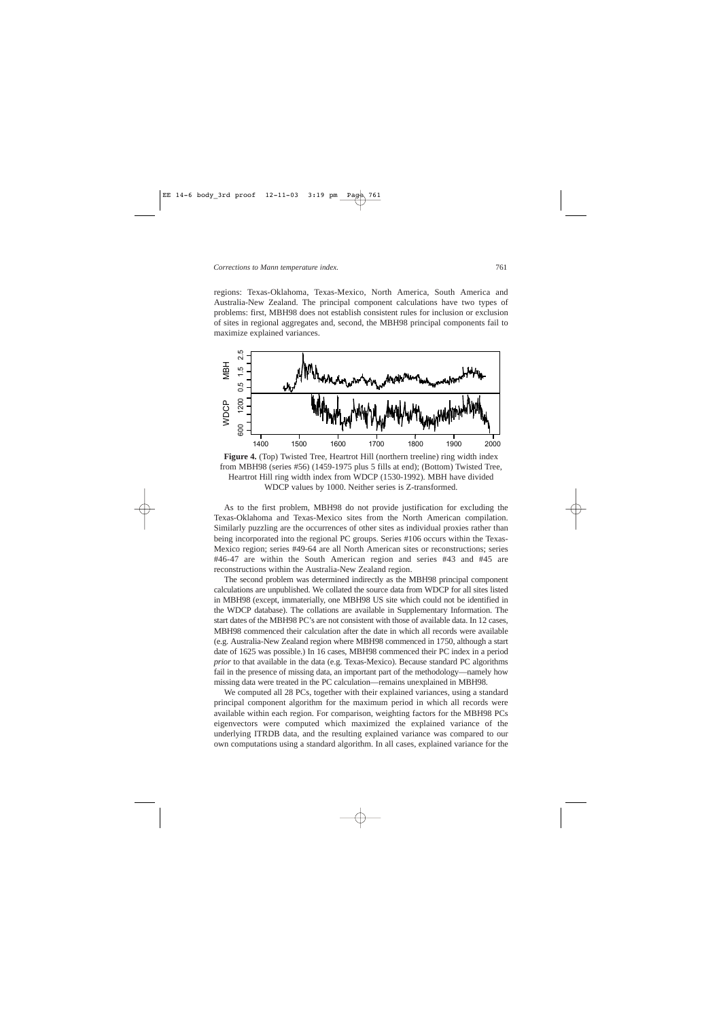regions: Texas-Oklahoma, Texas-Mexico, North America, South America and Australia-New Zealand. The principal component calculations have two types of problems: first, MBH98 does not establish consistent rules for inclusion or exclusion of sites in regional aggregates and, second, the MBH98 principal components fail to maximize explained variances.



**Figure 4.** (Top) Twisted Tree, Heartrot Hill (northern treeline) ring width index from MBH98 (series #56) (1459-1975 plus 5 fills at end); (Bottom) Twisted Tree, Heartrot Hill ring width index from WDCP (1530-1992). MBH have divided WDCP values by 1000. Neither series is Z-transformed.

As to the first problem, MBH98 do not provide justification for excluding the Texas-Oklahoma and Texas-Mexico sites from the North American compilation. Similarly puzzling are the occurrences of other sites as individual proxies rather than being incorporated into the regional PC groups. Series #106 occurs within the Texas-Mexico region; series #49-64 are all North American sites or reconstructions; series #46-47 are within the South American region and series #43 and #45 are reconstructions within the Australia-New Zealand region.

The second problem was determined indirectly as the MBH98 principal component calculations are unpublished. We collated the source data from WDCP for all sites listed in MBH98 (except, immaterially, one MBH98 US site which could not be identified in the WDCP database). The collations are available in Supplementary Information. The start dates of the MBH98 PC's are not consistent with those of available data. In 12 cases, MBH98 commenced their calculation after the date in which all records were available (e.g. Australia-New Zealand region where MBH98 commenced in 1750, although a start date of 1625 was possible.) In 16 cases, MBH98 commenced their PC index in a period *prior* to that available in the data (e.g. Texas-Mexico). Because standard PC algorithms fail in the presence of missing data, an important part of the methodology—namely how missing data were treated in the PC calculation—remains unexplained in MBH98.

We computed all 28 PCs, together with their explained variances, using a standard principal component algorithm for the maximum period in which all records were available within each region. For comparison, weighting factors for the MBH98 PCs eigenvectors were computed which maximized the explained variance of the underlying ITRDB data, and the resulting explained variance was compared to our own computations using a standard algorithm. In all cases, explained variance for the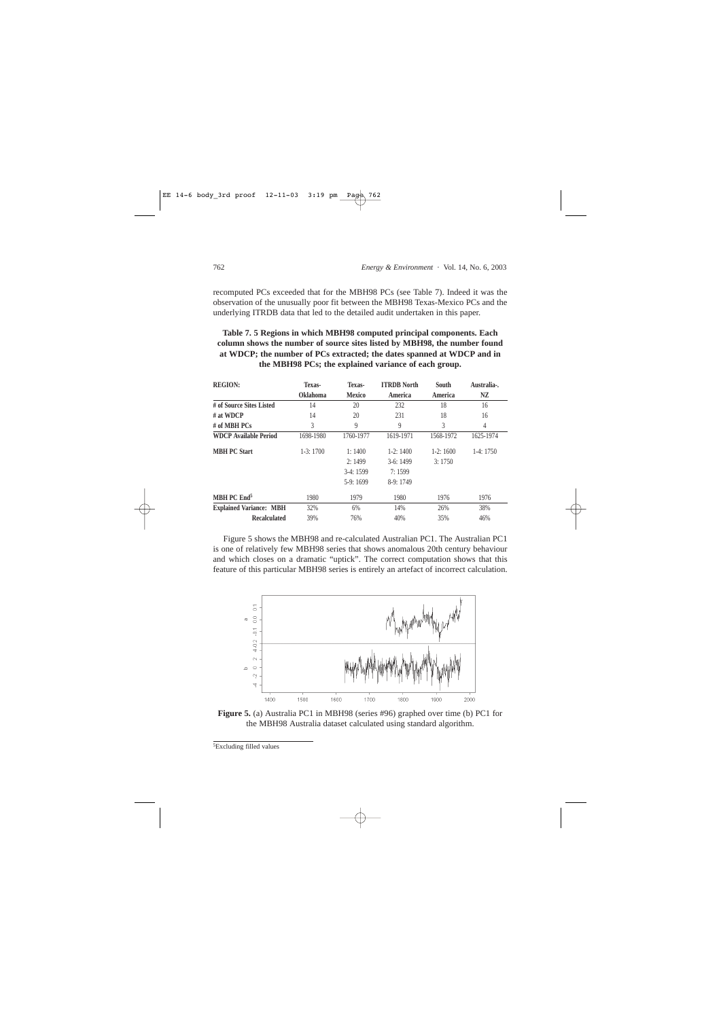recomputed PCs exceeded that for the MBH98 PCs (see Table 7). Indeed it was the observation of the unusually poor fit between the MBH98 Texas-Mexico PCs and the underlying ITRDB data that led to the detailed audit undertaken in this paper.

# **Table 7. 5 Regions in which MBH98 computed principal components. Each column shows the number of source sites listed by MBH98, the number found at WDCP; the number of PCs extracted; the dates spanned at WDCP and in the MBH98 PCs; the explained variance of each group.**

| <b>REGION:</b>                 | Texas-          | Texas-        | <b>ITRDB</b> North | <b>South</b> | Australia-. |
|--------------------------------|-----------------|---------------|--------------------|--------------|-------------|
|                                | <b>Oklahoma</b> | <b>Mexico</b> | America            | America      | NZ          |
| # of Source Sites Listed       | 14              | 20            | 232                | 18           | 16          |
| $#$ at WDCP                    | 14              | 20            | 231                | 18           | 16          |
| # of MBH $PCs$                 | 3               | 9             | 9                  | 3            | 4           |
| <b>WDCP Available Period</b>   | 1698-1980       | 1760-1977     | 1619-1971          | 1568-1972    | 1625-1974   |
| <b>MBH PC Start</b>            | $1-3:1700$      | 1:1400        | $1-2:1400$         | $1-2:1600$   | $1-4:1750$  |
|                                |                 | 2:1499        | $3-6:1499$         | 3:1750       |             |
|                                |                 | $3-4:1599$    | 7:1599             |              |             |
|                                |                 | $5-9:1699$    | $8-9:1749$         |              |             |
| MBH PC End <sup>5</sup>        | 1980            | 1979          | 1980               | 1976         | 1976        |
| <b>Explained Variance: MBH</b> | 32%             | 6%            | 14%                | 26%          | 38%         |
| <b>Recalculated</b>            | 39%             | 76%           | 40%                | 35%          | 46%         |

Figure 5 shows the MBH98 and re-calculated Australian PC1. The Australian PC1 is one of relatively few MBH98 series that shows anomalous 20th century behaviour and which closes on a dramatic "uptick". The correct computation shows that this feature of this particular MBH98 series is entirely an artefact of incorrect calculation.



**Figure 5.** (a) Australia PC1 in MBH98 (series #96) graphed over time (b) PC1 for the MBH98 Australia dataset calculated using standard algorithm.

<sup>5</sup>Excluding filled values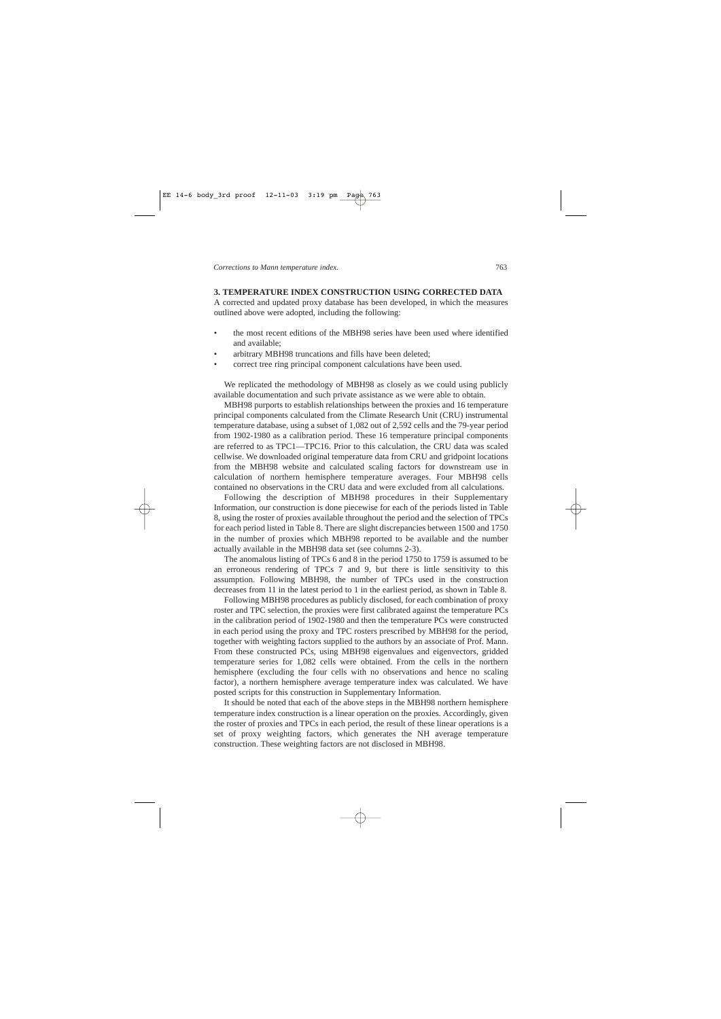# **3. TEMPERATURE INDEX CONSTRUCTION USING CORRECTED DATA**

A corrected and updated proxy database has been developed, in which the measures outlined above were adopted, including the following:

- the most recent editions of the MBH98 series have been used where identified and available;
- arbitrary MBH98 truncations and fills have been deleted;
- correct tree ring principal component calculations have been used.

We replicated the methodology of MBH98 as closely as we could using publicly available documentation and such private assistance as we were able to obtain.

MBH98 purports to establish relationships between the proxies and 16 temperature principal components calculated from the Climate Research Unit (CRU) instrumental temperature database, using a subset of 1,082 out of 2,592 cells and the 79-year period from 1902-1980 as a calibration period. These 16 temperature principal components are referred to as TPC1—TPC16. Prior to this calculation, the CRU data was scaled cellwise. We downloaded original temperature data from CRU and gridpoint locations from the MBH98 website and calculated scaling factors for downstream use in calculation of northern hemisphere temperature averages. Four MBH98 cells contained no observations in the CRU data and were excluded from all calculations.

Following the description of MBH98 procedures in their Supplementary Information, our construction is done piecewise for each of the periods listed in Table 8, using the roster of proxies available throughout the period and the selection of TPCs for each period listed in Table 8. There are slight discrepancies between 1500 and 1750 in the number of proxies which MBH98 reported to be available and the number actually available in the MBH98 data set (see columns 2-3).

The anomalous listing of TPCs 6 and 8 in the period 1750 to 1759 is assumed to be an erroneous rendering of TPCs 7 and 9, but there is little sensitivity to this assumption. Following MBH98, the number of TPCs used in the construction decreases from 11 in the latest period to 1 in the earliest period, as shown in Table 8.

Following MBH98 procedures as publicly disclosed, for each combination of proxy roster and TPC selection, the proxies were first calibrated against the temperature PCs in the calibration period of 1902-1980 and then the temperature PCs were constructed in each period using the proxy and TPC rosters prescribed by MBH98 for the period, together with weighting factors supplied to the authors by an associate of Prof. Mann. From these constructed PCs, using MBH98 eigenvalues and eigenvectors, gridded temperature series for 1,082 cells were obtained. From the cells in the northern hemisphere (excluding the four cells with no observations and hence no scaling factor), a northern hemisphere average temperature index was calculated. We have posted scripts for this construction in Supplementary Information.

It should be noted that each of the above steps in the MBH98 northern hemisphere temperature index construction is a linear operation on the proxies. Accordingly, given the roster of proxies and TPCs in each period, the result of these linear operations is a set of proxy weighting factors, which generates the NH average temperature construction. These weighting factors are not disclosed in MBH98.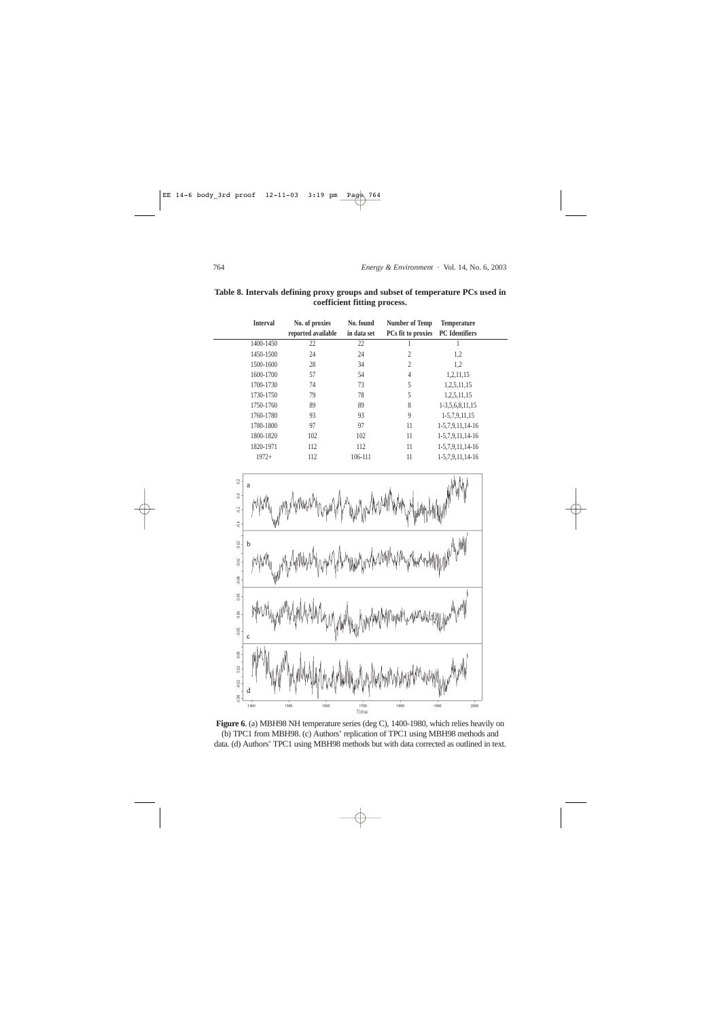| <b>Interval</b> | No. of proxies<br>reported available | No. found<br>in data set | Number of Temp<br>PCs fit to proxies | <b>Temperature</b><br><b>PC</b> Identifiers |  |
|-----------------|--------------------------------------|--------------------------|--------------------------------------|---------------------------------------------|--|
| 1400-1450       | 22                                   | 22                       |                                      |                                             |  |
| 1450-1500       | 24                                   | 24                       | 2                                    | 1,2                                         |  |
| 1500-1600       | 28                                   | 34                       | 2                                    | 1,2                                         |  |
| 1600-1700       | 57                                   | 54                       | 4                                    | 1,2,11,15                                   |  |
| 1700-1730       | 74                                   | 73                       | 5                                    | 1,2,5,11,15                                 |  |
| 1730-1750       | 79                                   | 78                       | 5                                    | 1,2,5,11,15                                 |  |
| 1750-1760       | 89                                   | 89                       | 8                                    | 1-3,5,6,8,11,15                             |  |
| 1760-1780       | 93                                   | 93                       | 9                                    | 1-5,7,9,11,15                               |  |
| 1780-1800       | 97                                   | 97                       | 11                                   | 1-5,7,9,11,14-16                            |  |
| 1800-1820       | 102                                  | 102                      | 11                                   | 1-5,7,9,11,14-16                            |  |
| 1820-1971       | 112                                  | 112                      | 11                                   | 1-5,7,9,11,14-16                            |  |
| $1972+$         | 112                                  | 106-111                  | 11                                   | 1-5,7,9,11,14-16                            |  |

**Table 8. Intervals defining proxy groups and subset of temperature PCs used in coefficient fitting process.**



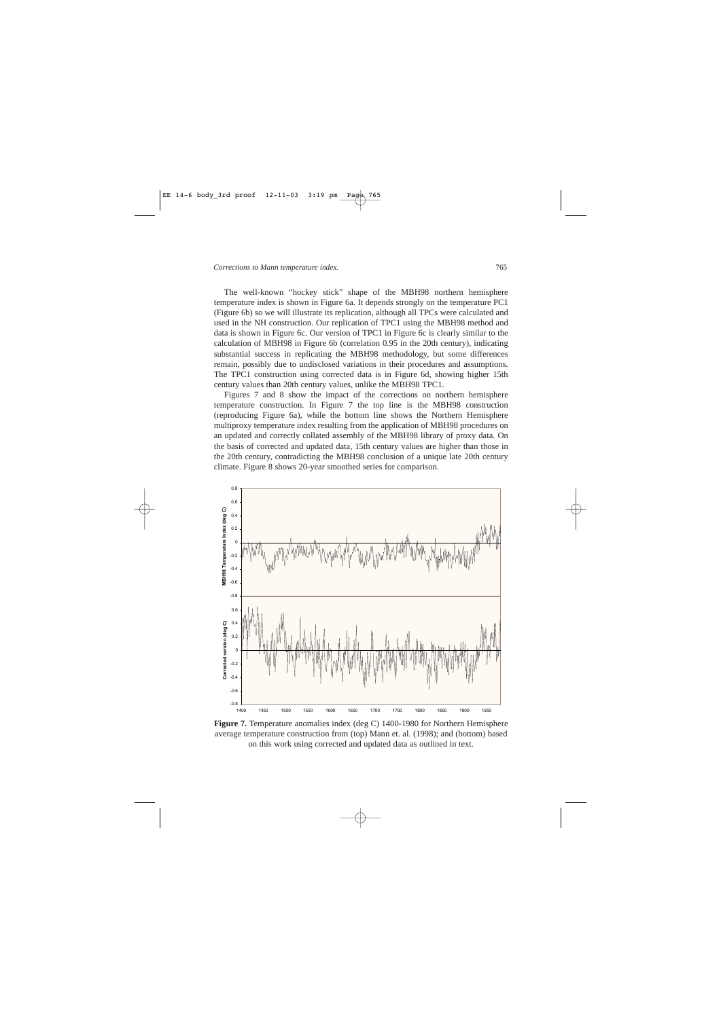The well-known "hockey stick" shape of the MBH98 northern hemisphere temperature index is shown in Figure 6a. It depends strongly on the temperature PC1 (Figure 6b) so we will illustrate its replication, although all TPCs were calculated and used in the NH construction. Our replication of TPC1 using the MBH98 method and data is shown in Figure 6c. Our version of TPC1 in Figure 6c is clearly similar to the calculation of MBH98 in Figure 6b (correlation 0.95 in the 20th century), indicating substantial success in replicating the MBH98 methodology, but some differences remain, possibly due to undisclosed variations in their procedures and assumptions. The TPC1 construction using corrected data is in Figure 6d, showing higher 15th century values than 20th century values, unlike the MBH98 TPC1.

Figures 7 and 8 show the impact of the corrections on northern hemisphere temperature construction. In Figure 7 the top line is the MBH98 construction (reproducing Figure 6a), while the bottom line shows the Northern Hemisphere multiproxy temperature index resulting from the application of MBH98 procedures on an updated and correctly collated assembly of the MBH98 library of proxy data. On the basis of corrected and updated data, 15th century values are higher than those in the 20th century, contradicting the MBH98 conclusion of a unique late 20th century climate. Figure 8 shows 20-year smoothed series for comparison.



**Figure 7.** Temperature anomalies index (deg C) 1400-1980 for Northern Hemisphere average temperature construction from (top) Mann et. al. (1998); and (bottom) based on this work using corrected and updated data as outlined in text.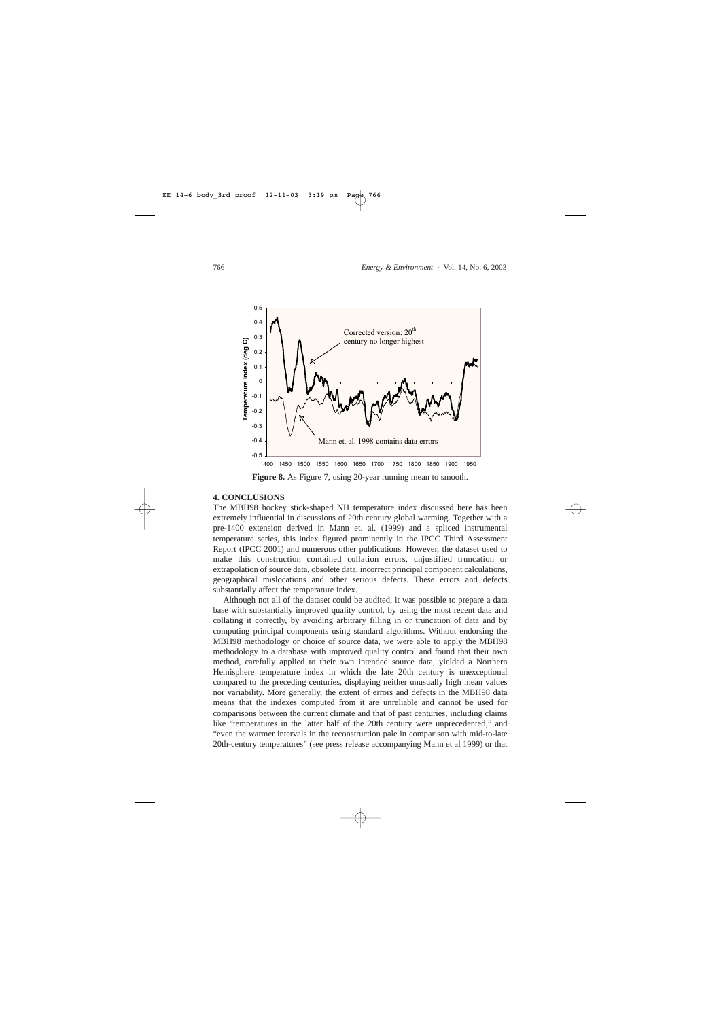

## **4. CONCLUSIONS**

The MBH98 hockey stick-shaped NH temperature index discussed here has been extremely influential in discussions of 20th century global warming. Together with a pre-1400 extension derived in Mann et. al. (1999) and a spliced instrumental temperature series, this index figured prominently in the IPCC Third Assessment Report (IPCC 2001) and numerous other publications. However, the dataset used to make this construction contained collation errors, unjustified truncation or extrapolation of source data, obsolete data, incorrect principal component calculations, geographical mislocations and other serious defects. These errors and defects substantially affect the temperature index.

Although not all of the dataset could be audited, it was possible to prepare a data base with substantially improved quality control, by using the most recent data and collating it correctly, by avoiding arbitrary filling in or truncation of data and by computing principal components using standard algorithms. Without endorsing the MBH98 methodology or choice of source data, we were able to apply the MBH98 methodology to a database with improved quality control and found that their own method, carefully applied to their own intended source data, yielded a Northern Hemisphere temperature index in which the late 20th century is unexceptional compared to the preceding centuries, displaying neither unusually high mean values nor variability. More generally, the extent of errors and defects in the MBH98 data means that the indexes computed from it are unreliable and cannot be used for comparisons between the current climate and that of past centuries, including claims like "temperatures in the latter half of the 20th century were unprecedented," and "even the warmer intervals in the reconstruction pale in comparison with mid-to-late 20th-century temperatures" (see press release accompanying Mann et al 1999) or that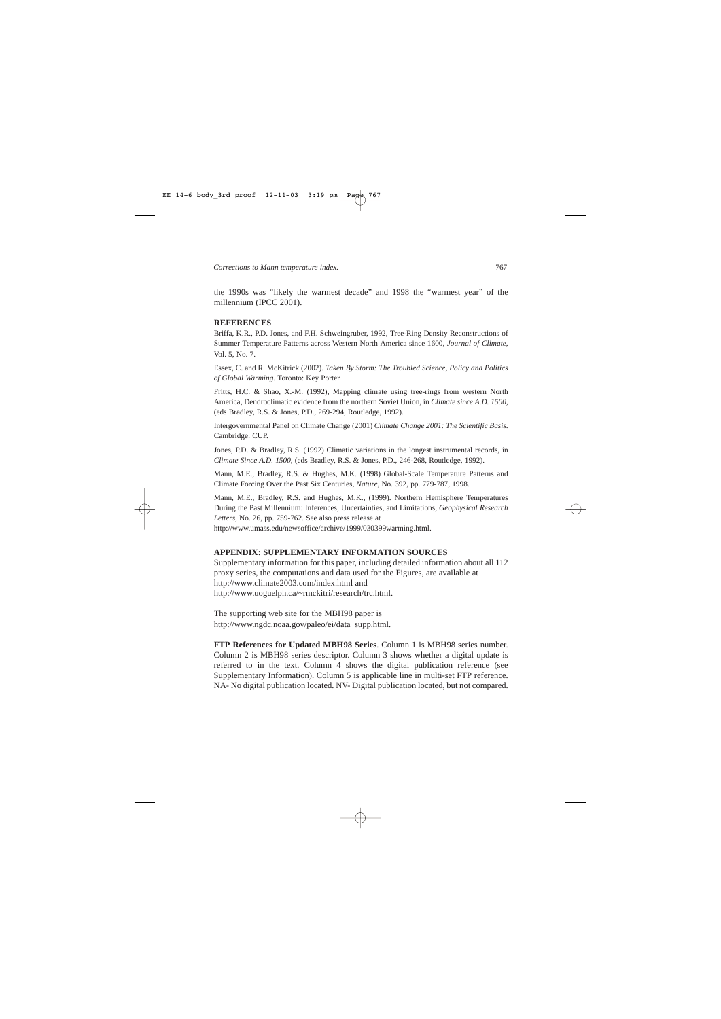the 1990s was "likely the warmest decade" and 1998 the "warmest year" of the millennium (IPCC 2001).

#### **REFERENCES**

Briffa, K.R., P.D. Jones, and F.H. Schweingruber, 1992, Tree-Ring Density Reconstructions of Summer Temperature Patterns across Western North America since 1600, *Journal of Climate*, Vol. 5, No. 7.

Essex, C. and R. McKitrick (2002). *Taken By Storm: The Troubled Science, Policy and Politics of Global Warming*. Toronto: Key Porter.

Fritts, H.C. & Shao, X.-M. (1992), Mapping climate using tree-rings from western North America, Dendroclimatic evidence from the northern Soviet Union, in *Climate since A.D. 1500*, (eds Bradley, R.S. & Jones, P.D., 269-294, Routledge, 1992).

Intergovernmental Panel on Climate Change (2001) *Climate Change 2001: The Scientific Basis*. Cambridge: CUP.

Jones, P.D. & Bradley, R.S. (1992) Climatic variations in the longest instrumental records, in *Climate Since A.D. 1500*, (eds Bradley, R.S. & Jones, P.D., 246-268, Routledge, 1992).

Mann, M.E., Bradley, R.S. & Hughes, M.K. (1998) Global-Scale Temperature Patterns and Climate Forcing Over the Past Six Centuries, *Nature*, No. 392, pp. 779-787, 1998.

Mann, M.E., Bradley, R.S. and Hughes, M.K., (1999). Northern Hemisphere Temperatures During the Past Millennium: Inferences, Uncertainties, and Limitations, *Geophysical Research Letters*, No. 26, pp. 759-762. See also press release at

http://www.umass.edu/newsoffice/archive/1999/030399warming.html.

# **APPENDIX: SUPPLEMENTARY INFORMATION SOURCES**

Supplementary information for this paper, including detailed information about all 112 proxy series, the computations and data used for the Figures, are available at http://www.climate2003.com/index.html and http://www.uoguelph.ca/~rmckitri/research/trc.html.

The supporting web site for the MBH98 paper is http://www.ngdc.noaa.gov/paleo/ei/data\_supp.html.

**FTP References for Updated MBH98 Series**. Column 1 is MBH98 series number. Column 2 is MBH98 series descriptor. Column 3 shows whether a digital update is referred to in the text. Column 4 shows the digital publication reference (see Supplementary Information). Column 5 is applicable line in multi-set FTP reference. NA- No digital publication located. NV- Digital publication located, but not compared.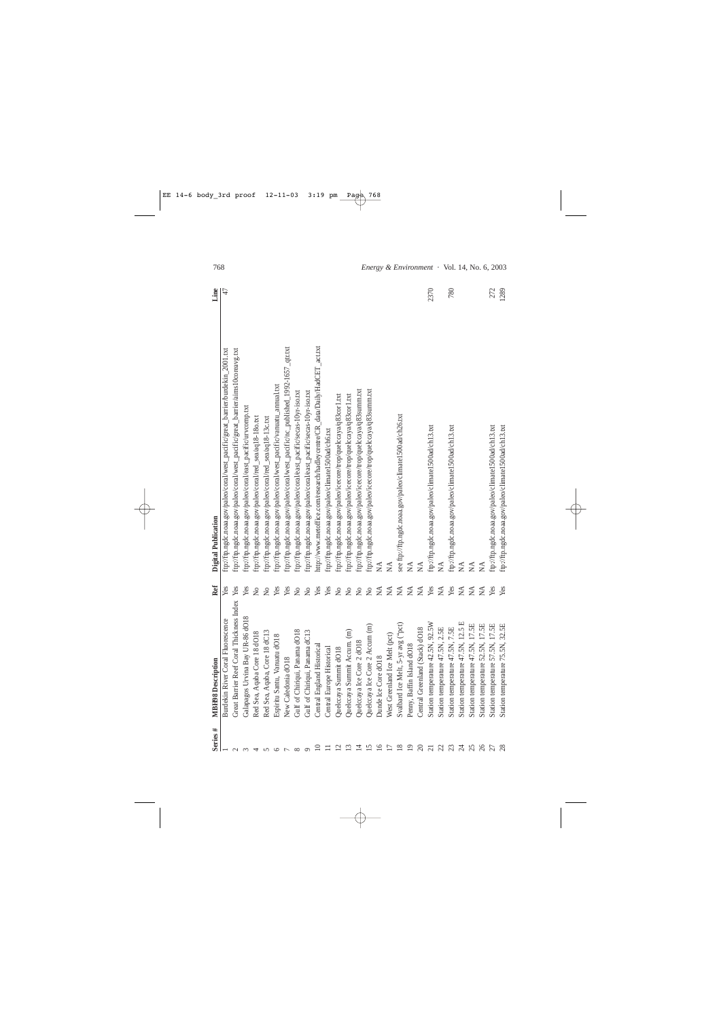| Series#        | <b>MBH98</b> Description                    | Ref                       | Digital Publication                                                              | Line |
|----------------|---------------------------------------------|---------------------------|----------------------------------------------------------------------------------|------|
|                | Burdekin River Coral Fluorescence           | Yes                       | ftp://ftp.ngdc.noaa.gov/paleo/coral/west_pacific/great_barrier/burdekin_2001.txt | 47   |
|                | Coral Thickness Index<br>Great Barrier Reef | Yes                       | ftp://ftp.ngdc.noaa.gov/paleo/coral/west_pacific/great_barrier/aims10coreavg.txt |      |
|                | Galapagos Urvina Bay UR-86 dO18             | Yes                       | ftp://ftp.ngdc.noaa.gov/paleo/coral/east_pacific/urvcomp.txt                     |      |
|                | Red Sea, Aqaba Core 18 dO18                 | $\overline{a}$            | ftp://ftp.ngdc.noaa.gov/paleo/coral/red_sea/aq18-18o.txt                         |      |
|                | Red Sea, Aqaba, Core 18 dC13                | $\tilde{z}$               | ftp://ftp.ngdc.noaa.gov/paleo/coral/red_sea/aq18-13c.txt                         |      |
|                | Espiritu Santu, Vanuatu dO18                | Yes                       | ftp://ftp.ngdc.noaa.gov/paleo/coral/west_pacific/vanuatu_annual.txt              |      |
|                | New Caledonia dO18                          | Yes                       | ftp://ftp.ngdc.noaa.gov/paleo/coral/west_pacific/nc_published_1992-1657_qtr.txt  |      |
|                | Gulf of Chiriqui, Panama dO18               | $\rm \stackrel{\circ}{X}$ | ftp://ftp.ngdc.noaa.gov/paleo/coral/east_pacific/secas-10yr-iso.txt              |      |
|                | Gulf of Chiriqui, Panama dC13               | $\Sigma$                  | ftp://ftp.ngdc.noaa.gov/paleo/coral/east_pacific/secas-10yr-iso.txt              |      |
|                | Central England Historical                  | Yes                       | http://www.metoffice.com/research/hadleycentre/CR_data/Daily/HadCET_act.txt      |      |
|                | Central Europe Historical                   | Yes                       | ftp://ftp.ngdc.noaa.gov/paleo/climate1500ad/ch6.txt                              |      |
|                | dO18<br>Quelccaya Summit                    | $\rm _{NO}$               | ftp://ftp.ngdc.noaa.gov/paleo/icecore/trop/quelccaya/q83cor1.txt                 |      |
|                | Accum. (m)<br>Quelccaya Summit              | $\rm \stackrel{\circ}{X}$ | ftp://ftp.ngdc.noaa.gov/paleo/icecore/trop/quelccaya/q83cor1.txt                 |      |
|                | Quelccaya Ice Core 2 dO18                   | $\Sigma$                  | ftp://ftp.ngdc.noaa.gov/paleo/icecore/trop/quelccaya/q83summ.txt                 |      |
| $\Xi$          | Quelccaya Ice Core 2 Accum (m)              | $\overline{Q}$            | ftp://ftp.ngdc.noaa.gov/paleo/icecore/trop/quelccaya/q83summ.txt                 |      |
|                | Dunde Ice Core dO18                         | $\widetilde{\mathbf{M}}$  | $\sum_{i=1}^{n}$                                                                 |      |
|                | Melt (pct)<br>West Greenland Ice            | $\lesssim$                | $\mathbb{X}$                                                                     |      |
|                | (pd,) San 1X-5<br>Svalbard Ice Melt,        | $\mathbb N\mathbb A$      | see ftp://ftp.ngdc.noaa.gov/paleo/climate1500ad/ch26.txt                         |      |
|                | $d$ $d$ O18<br>Penny, Baffin Island         | $\mathop{\mathsf{NA}}$    | $\lesssim$                                                                       |      |
| $\approx$      | (Stack) dO18<br>Central Greenland           | $\mathbb{X}^{\mathsf{A}}$ | $\mathbb{X}$                                                                     |      |
| $\overline{c}$ | Station temperature 42.5N, 92.5W            | Yes                       | ftp://ftp.ngdc.noaa.gov/paleo/climate1500ad/ch13.txt                             | 2370 |
| 23             | Station temperature 47.5N, 2.5E             | $\lesssim$                | ΧÁ                                                                               |      |
|                | 47.5N, 7.5E<br>Station temperature          | Yes                       | ftp://ftp.ngdc.noaa.gov/paleo/climate1500ad/ch13.txt                             | 780  |
| $\overline{c}$ | 47.5N, 12.5 E<br>Station temperature        | $\mathbb{X}$              | $\lesssim$                                                                       |      |
| 25             | 47.5N, 17.5E<br>Station temperature         | $\sum_{i=1}^{n}$          | $\sum_{i=1}^{n}$                                                                 |      |
|                | 52.5N, 17.5E<br>Station temperature         | $\mathbb{X}$              | $\mathbb{A}$                                                                     |      |
|                | 57.5N, 17.5E<br>Station temperature         | Yes                       | ftp://ftp.ngdc.noaa.gov/paleo/climate1500ad/ch13.txt                             | 272  |
|                | Station temperature 75.5N, 32.5E            | Yes                       | ftp://ftp.ngdc.noaa.gov/paleo/climate1500ad/ch13.txt                             | 1289 |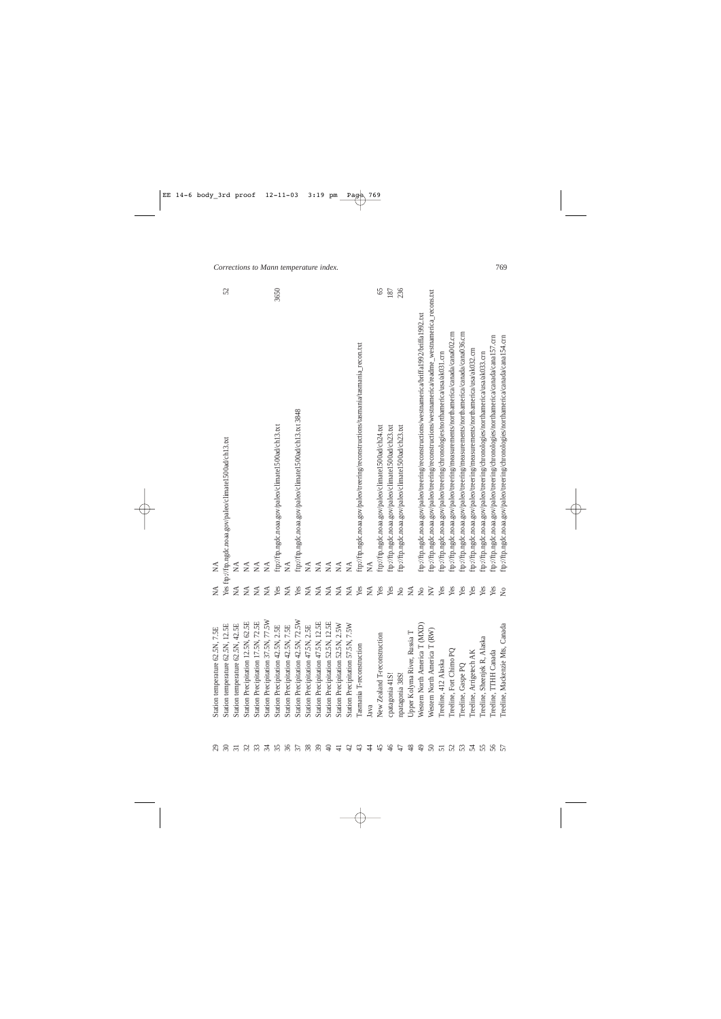| $\mathfrak{S}$ | Station temperature 62.5N, 7.5E                | $\mathbb{X}^{\mathsf{A}}$    | $\tilde{z}$                                                                                        |     |
|----------------|------------------------------------------------|------------------------------|----------------------------------------------------------------------------------------------------|-----|
| $\Im$          | Station temperature 62.5N, 12.5E               |                              | Yes fip://ftp.ngdc.noaa.gov/paleo/climate1500ad/ch13.txt                                           | 52  |
|                | Station temperature 62.5N, 42.5E               | $\lesssim$                   | $\mathbb{A}$                                                                                       |     |
|                | Station Precipitation 12.5N, 62.5E             | $\mathbb{X}$                 | $\tilde{\ge}$                                                                                      |     |
|                | Station Precipitation 17.5N, 72.5E             | $\tilde{\mathbf{X}}$         | $\mathbb{X}$                                                                                       |     |
|                | tion 37.5N, 77.5W<br><b>Station Precipitat</b> | $\lesssim$                   | $\mathbb{X}$                                                                                       |     |
|                | Station Precipitation 42.5N, 2.5E              | Yes                          | 3650<br>ftp://ftp.ngdc.noaa.gov/paleo/climate1500ad/ch13.txt                                       |     |
| 36             | tion 42.5N, 7.5E<br><b>Station Precipitat</b>  | $\lesssim$                   | $\tilde{\ge}$                                                                                      |     |
| 37             | tion 42.5N, 72.5W<br><b>Station Precipitat</b> | Yes                          | ftp://ftp.ngdc.noaa.gov/paleo/climate1500ad/ch13.txt 3848                                          |     |
|                | tion 47.5N, 2.5E<br><b>Station Precipitat</b>  | $\stackrel{\Delta}{\approx}$ | $\lessapprox$                                                                                      |     |
|                | tion 47.5N, 12.5E<br><b>Station Precipitat</b> | $\tilde{\mathbf{X}}$         | $\breve{\ge}$                                                                                      |     |
| $40$           | tion 52.5N, 12.5E<br><b>Station Precipitat</b> | $\tilde{\mathbf{X}}$         | $\tilde{\ge}$                                                                                      |     |
|                | tion 52.5N, 2.5W<br><b>Station Precipita</b>   | $\lesssim$                   | $\tilde{\ge}$                                                                                      |     |
|                | Station Precipitation 57.5N, 7.5W              | $\stackrel{\Delta}{\approx}$ | ≸                                                                                                  |     |
|                | nstruction<br>Tasmania T-recon                 | Yes                          | ftp://ftp.ngdc.noaa.gov/paleo/treering/reconstructions/tasmania/tasmania_recon.txt                 |     |
|                | Java                                           | $\lesssim$                   |                                                                                                    |     |
|                | econstruction<br>New Zealand T-ro              | Yes                          | ftp://ftp.ngdc.noaa.gov/paleo/climate1500ad/ch24.txt                                               | 65  |
|                | cpatagonia 41S!                                | Yes                          | ftp://ftp.ngdc.noaa.gov/paleo/climate1500ad/ch23.txt                                               | 187 |
|                | npatagonia 38S!                                | $\rm N_{O}$                  | 236<br>ftp://ftp.ngdc.noaa.gov/paleo/climate1500ad/ch23.txt                                        |     |
|                | Upper Kolyma River, Russia T                   | $\mathbb{X}^\mathsf{A}$      |                                                                                                    |     |
| $\frac{1}{2}$  | merica T (MXD)<br>Western North A              | $\rm \stackrel{\circ}{X}$    | ftp://ftp.ngdc.noaa.gov/paleo/treering/reconstructions/westnamerica/briffa1992/briffa1992.txt      |     |
| $50\,$         | merica T (RW)<br>Western North A               | $\gtrsim$                    | ftp://ftp.ngdc.noaa.gov/paleo/treering/reconstructions/westnamerica/readme_westnamerica_recons.txt |     |
| $\overline{5}$ | Treeline, 412 Alaska                           | Yes                          | ftp://ftp.ngdc.noaa.gov/paleo/treering/chronologies/northamerica/usa/ak031.crn                     |     |
| 52             | Treeline, Fort Chimo PQ                        | Yes                          | ftp://ftp.ngdc.noaa.gov/paleo/treering/measurements/northamerica/canada/cana002.crn                |     |
|                | Treeline, Gaspe PQ                             | Yes                          | ftp://ftp.ngdc.noaa.gov/paleo/treering/measurements/northamerica/canada/cana036.cm                 |     |
| 54             | Treeline, Arrigetech AK                        | Yes                          | ftp://ftp.ngdc.noaa.gov/paleo/treering/measurements/northamerica/usa/ak032.crn                     |     |
| 55             | Treeline, Sheenjek R, Alaska                   | Yes                          | ftp://ftp.ngdc.noaa.gov/paleo/treering/chronologies/northamerica/usa/ak033.crn                     |     |
| 56             | Canada<br>Treeline, TTHH                       | Yes                          | ftp://ftp.ngdc.noaa.gov/paleo/treering/chronologies/northamerica/canada/cana157.cm                 |     |
| 57             | izie Mts, Canada<br>Treeline, Macker           | $\tilde{z}$                  | ftp://ftp.ngdc.noaa.gov/paleo/treering/chronologies/northamerica/canada/cana154.cm                 |     |

*Corrections to Mann temperature index.* 769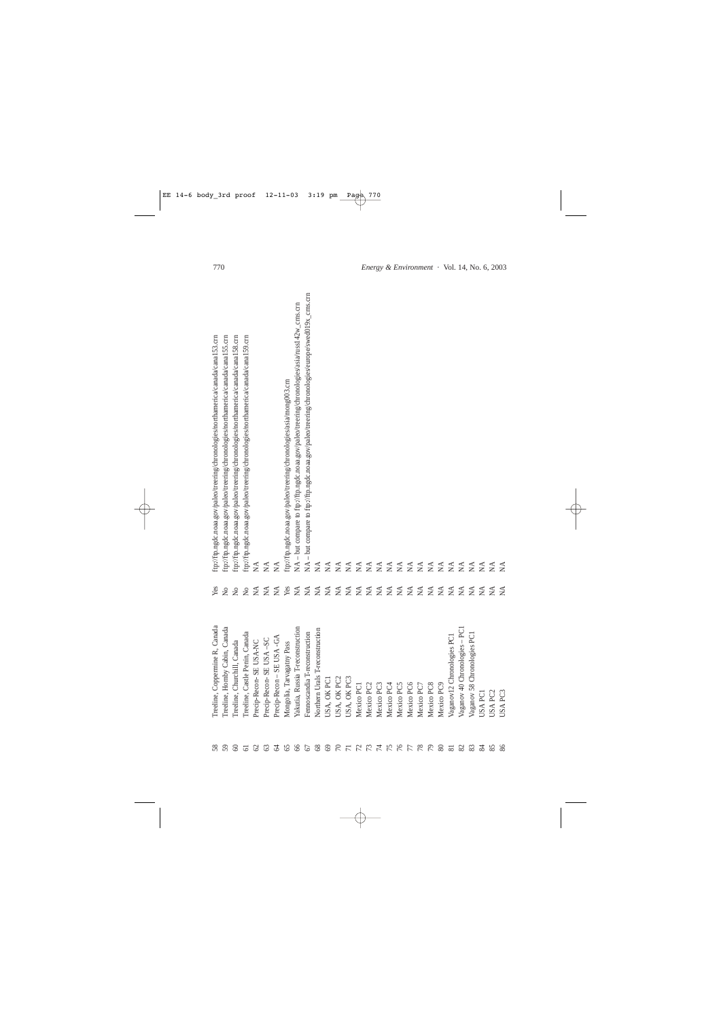| 58                   | Treeline, Coppermine R, Canada              | Yes                               | ftp://ftp.ngdc.noaa.gov/paleo/treering/chronologies/northamerica/canada/cana153.cm             |
|----------------------|---------------------------------------------|-----------------------------------|------------------------------------------------------------------------------------------------|
|                      | nby Cabin, Canada<br>Treeline, Horr         | $\mathcal{L}^{\circ}$             | ftp://ftp.ngdc.noaa.gov/paleo/treering/chronologies/northamerica/canada/cana155.cm             |
| $\infty$             | Treeline, Churchill, Canada                 | $\mathsf{S}^{\mathsf{O}}$         | ftp://ftp.ngdc.noaa.gov/paleo/treering/chronologies/northamerica/canada/cana158.cm             |
|                      | le Penin, Canada<br>Treeline, Castl         | $\rm \stackrel{\circ}{\rm \bf Z}$ | ftp://ftp.ngdc.noaa.gov/paleo/treering/chronologies/northamerica/canada/cana159.cm             |
|                      | Precip-Recon-SE USA-NC                      | $\lesssim$                        | $\lesssim$                                                                                     |
|                      | Precip-Recon- SE USA-SC                     | $\lesssim$                        | $\lessapprox$                                                                                  |
|                      | -SE USA -GA<br>Precip-Recon                 | $\tilde{\mathbf{X}}$              | $\tilde{\mathbf{z}}$                                                                           |
| 68224444444588989899 | Mongolia, Tarvagatny Pass                   | Yes                               | ftp://ftp.ngdc.noaa.gov/paleo/treering/chronologies/asia/mong003.crn                           |
|                      | Yakutia, Russia T-reconstruction            | $\tilde{M}$                       | NA - but compare to ftp://ftp.ngdc.noaa.gov/paleo/treering/chronologies/asia/russ142w_crns.cm  |
|                      | T-reconstruction<br>Fennoscandia            | $\tilde{\mathbf{X}}$              | NA - but compare to ftp://ftp.ngdc.noaa.gov/paleo/treering/chronologies/europe/swed019x_cms.cm |
|                      | Northern Urals T-reconstruction             | $\tilde{\mathbf{X}}$              | $\tilde{\ge}$                                                                                  |
|                      | USA, OK PCI                                 | $\tilde{\mathbf{X}}$              | ₹                                                                                              |
|                      | USA, OK PC2                                 | $\lesssim$                        | $\tilde{\mathbf{z}}$                                                                           |
|                      | USA, OK PC3                                 | $\tilde{\mathbf{X}}$              | MÃ                                                                                             |
|                      | Mexico PCI                                  | $\mathfrak{Z}$                    | $\mathfrak{Z}$                                                                                 |
|                      | Mexico PC2                                  | $\tilde{\mathbf{X}}$              | $\lesssim$                                                                                     |
|                      | Mexico PC3                                  | $\lesssim$                        | É                                                                                              |
|                      | Mexico PC4                                  | $\tilde{\mathbf{X}}$              | É                                                                                              |
|                      | Mexico PC5                                  | $\tilde{\mathbf{X}}$              | $\lessgtr$                                                                                     |
|                      | Mexico PC6                                  | $\tilde{\mathbf{X}}$              | $\lesssim$                                                                                     |
|                      | Mexico PC.                                  | $\tilde{\mathbf{X}}$              | $\lesssim$                                                                                     |
|                      | Mexico PC8                                  | $\tilde{\mathbf{X}}$              | $\tilde{\mathbf{z}}$                                                                           |
|                      | Mexico PC9                                  | $\mathbb{X}$                      | $\tilde{\ge}$                                                                                  |
|                      | nronologies PC1<br>Vaganov <sub>12</sub> Cl | $\lesssim$                        | $\tilde{\mathbf{z}}$                                                                           |
| 8588358              | Vaganov 40 Chronologies - PC1               | $\tilde{\mathbf{X}}$              | $\tilde{\mathbf{z}}$                                                                           |
|                      | Vaganov 58 Chronologies PC1                 | $\mathfrak{Z}$                    | $\mathbb{Z}$                                                                                   |
|                      | USA PCI                                     | $\tilde{\mathbf{X}}$              | ΧÁ                                                                                             |
|                      | USA PC2                                     | $\tilde{\mathbf{z}}$              | $\tilde{\mathbf{z}}$                                                                           |
|                      | USA PC3                                     | $\tilde{\mathbf{z}}$              | $\tilde{\mathbf{z}}$                                                                           |
|                      |                                             |                                   |                                                                                                |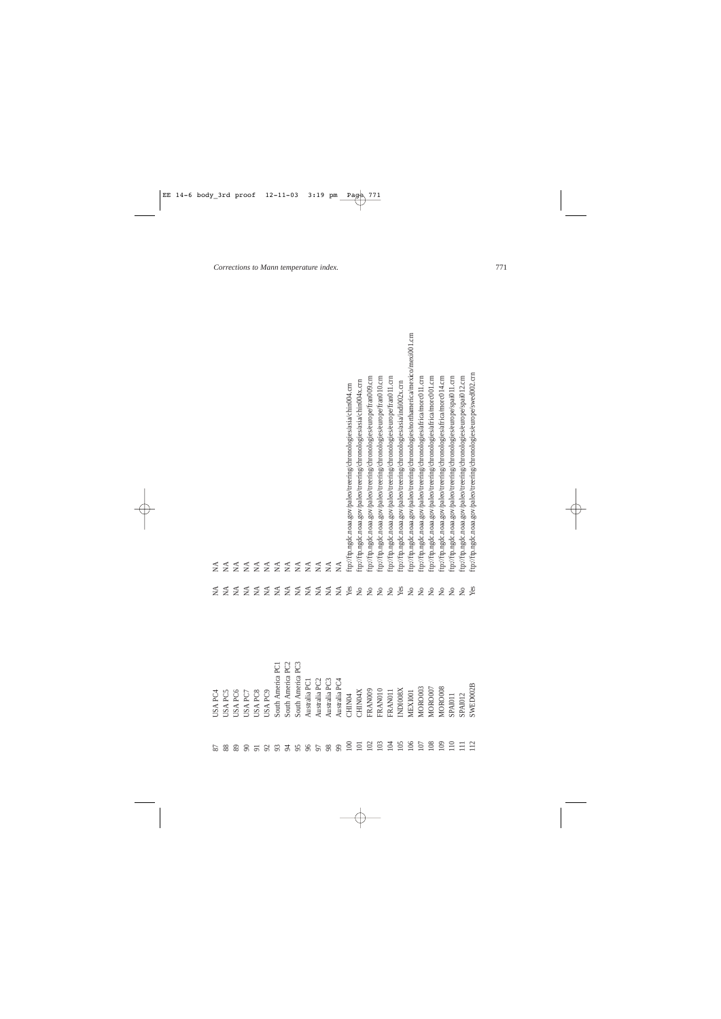| 87            | USA PC4            | $\mathbb{X}^{\mathsf{A}}$      | $\mathfrak{Z}$                                                                      |
|---------------|--------------------|--------------------------------|-------------------------------------------------------------------------------------|
| 88            | USA PC5            | $\lesssim$                     | $\tilde{\ge}$                                                                       |
| 89            | USA PC6            | $\lessapprox$                  | $\mathfrak{Z}$                                                                      |
| $\infty$      | <b>JSA PC7</b>     | $\tilde{\ge}$                  | $\lesssim$                                                                          |
| 51            | USA PC8            | $\tilde{\ge}$                  | $\tilde{\ge}$                                                                       |
|               | USA PC9            | $\tilde{\ge}$                  | $\lessapprox$                                                                       |
| 28            | South America PC1  | $\tilde{\ge}$                  | $\tilde{\ge}$                                                                       |
| $\mathcal{A}$ | South America PC2  | $\tilde{\mathbf{X}}$           | $\tilde{\ge}$                                                                       |
| 95            | South America PC3  | $\tilde{\ge}$                  | $\tilde{\ge}$                                                                       |
| 96            | Australia PC1      | $\tilde{\mathbf{X}}$           | $\tilde{\ge}$                                                                       |
| 50            | Australia PC2      | $\lesssim$                     | $\boldsymbol{\Sigma}$                                                               |
| 98            | Australia PC3      | $\tilde{M}$                    | $\tilde{\ge}$                                                                       |
| 99            | Australia PC4      | $\mathbb{X}^{\mathsf{A}}$      | $\widetilde{\ge}$                                                                   |
| 100           | CHIN <sub>04</sub> | Yes                            | ftp://ftp.ngdc.noaa.gov/paleo/treering/chronologies/asia/chin004.crn                |
| 101           | CHIN04X            | $\tilde{z}$                    | ftp://ftp.ngdc.noaa.gov/paleo/treering/chronologies/asia/chin004x.crn               |
| 102           | FRAN009            | $\mathcal{L}^{\circ}$          | ftp://ftp.ngdc.noaa.gov/paleo/treering/chronologies/europe/fran009.crn              |
| 103           | FRAN010            | $\mathcal{L}^{\circ}$          | ftp://ftp.ngdc.noaa.gov/paleo/treering/chronologies/europe/fran010.crn              |
| 104           | FRANO11            | $\mathcal{L}^{\circ}$          | ftp://ftp.ngdc.noaa.gov/paleo/treering/chronologies/europe/fran011.crn              |
| 105           | INDI008X           | Yes                            | ftp://ftp.ngdc.noaa.gov/paleo/treering/chronologies/asia/indi002x.crn               |
| 106           | MEXI001            | $\stackrel{\circ}{\mathbf{Z}}$ | ftp://ftp.ngdc.noaa.gov/paleo/treering/chronologies/northamerica/mexico/mexi001.crn |
| 107           | MORO003            | $\overline{\mathsf{S}}$        | ftp://ftp.ngdc.noaa.gov/paleo/treering/chronologies/africa/morc011.crm              |
| 108           | MORO007            | $\overline{\mathsf{S}}$        | ftp://ftp.ngdc.noaa.gov/paleo/treering/chronologies/africa/morc001.crm              |
| 109           | MORO008            | $\overline{\mathsf{S}}$        | ftp://ftp.ngdc.noaa.gov/paleo/treering/chronologies/africa/morc014.crm              |
| 110           | SPAI011            | $\mathcal{L}^{\circ}$          | ftp://ftp.ngdc.noaa.gov/paleo/treering/chronologies/europe/spai011.crn              |
| $\equiv$      | <b>SPAI012</b>     | $\overline{\mathsf{S}}$        | ftp://ftp.ngdc.noaa.gov/paleo/treering/chronologies/europe/spai012.crn              |
| 112           | SWED002B           | Yes                            | ftp://ftp.ngdc.noaa.gov/paleo/treering/chronologies/europe/swed002.crn              |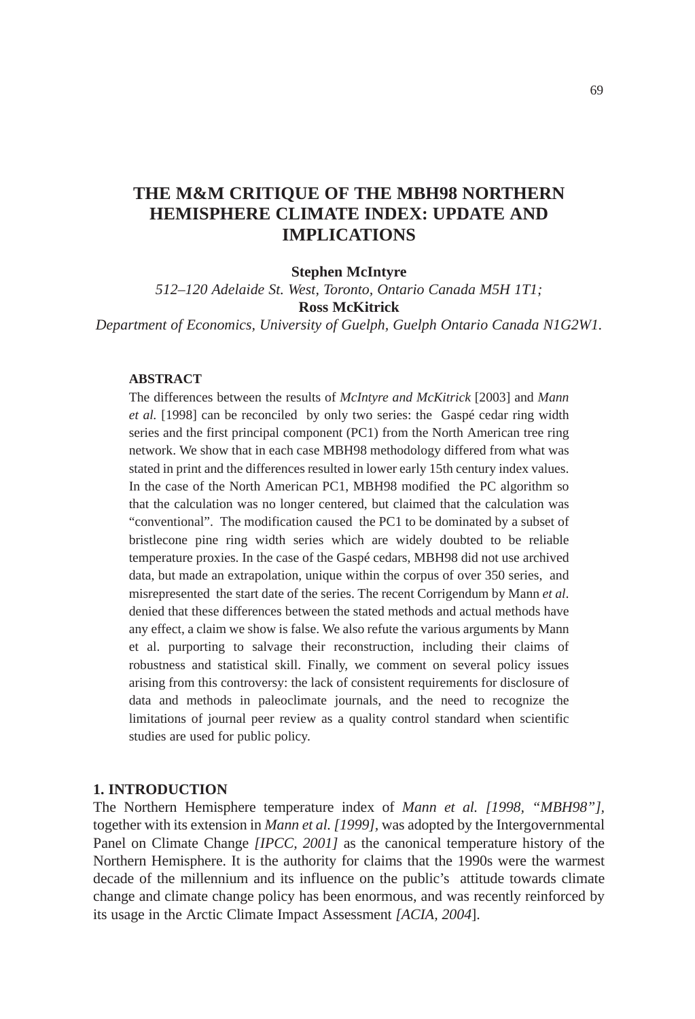# **THE M&M CRITIQUE OF THE MBH98 NORTHERN HEMISPHERE CLIMATE INDEX: UPDATE AND IMPLICATIONS**

**Stephen McIntyre**

*512–120 Adelaide St. West, Toronto, Ontario Canada M5H 1T1;* **Ross McKitrick**

*Department of Economics, University of Guelph, Guelph Ontario Canada N1G2W1.*

# **ABSTRACT**

The differences between the results of *McIntyre and McKitrick* [2003] and *Mann et al.* [1998] can be reconciled by only two series: the Gaspé cedar ring width series and the first principal component (PC1) from the North American tree ring network. We show that in each case MBH98 methodology differed from what was stated in print and the differences resulted in lower early 15th century index values. In the case of the North American PC1, MBH98 modified the PC algorithm so that the calculation was no longer centered, but claimed that the calculation was "conventional". The modification caused the PC1 to be dominated by a subset of bristlecone pine ring width series which are widely doubted to be reliable temperature proxies. In the case of the Gaspé cedars, MBH98 did not use archived data, but made an extrapolation, unique within the corpus of over 350 series, and misrepresented the start date of the series. The recent Corrigendum by Mann *et al*. denied that these differences between the stated methods and actual methods have any effect, a claim we show is false. We also refute the various arguments by Mann et al. purporting to salvage their reconstruction, including their claims of robustness and statistical skill. Finally, we comment on several policy issues arising from this controversy: the lack of consistent requirements for disclosure of data and methods in paleoclimate journals, and the need to recognize the limitations of journal peer review as a quality control standard when scientific studies are used for public policy.

#### **1. INTRODUCTION**

The Northern Hemisphere temperature index of *Mann et al. [1998, "MBH98"],* together with its extension in *Mann et al. [1999],* was adopted by the Intergovernmental Panel on Climate Change *[IPCC, 2001]* as the canonical temperature history of the Northern Hemisphere. It is the authority for claims that the 1990s were the warmest decade of the millennium and its influence on the public's attitude towards climate change and climate change policy has been enormous, and was recently reinforced by its usage in the Arctic Climate Impact Assessment *[ACIA, 2004*].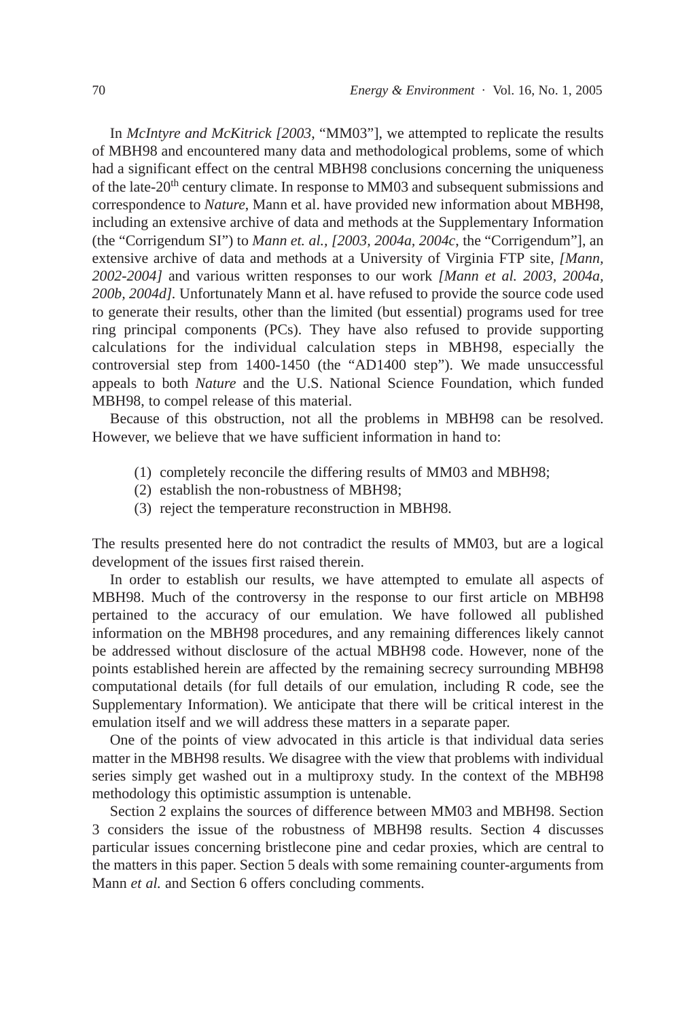In *McIntyre and McKitrick [2003*, "MM03"], we attempted to replicate the results of MBH98 and encountered many data and methodological problems, some of which had a significant effect on the central MBH98 conclusions concerning the uniqueness of the late-20th century climate. In response to MM03 and subsequent submissions and correspondence to *Nature*, Mann et al. have provided new information about MBH98, including an extensive archive of data and methods at the Supplementary Information (the "Corrigendum SI") to *Mann et. al., [2003, 2004a, 2004c*, the "Corrigendum"], an extensive archive of data and methods at a University of Virginia FTP site, *[Mann, 2002-2004]* and various written responses to our work *[Mann et al. 2003, 2004a, 200b, 2004d].* Unfortunately Mann et al. have refused to provide the source code used to generate their results, other than the limited (but essential) programs used for tree ring principal components (PCs). They have also refused to provide supporting calculations for the individual calculation steps in MBH98, especially the controversial step from 1400-1450 (the "AD1400 step"). We made unsuccessful appeals to both *Nature* and the U.S. National Science Foundation, which funded MBH98, to compel release of this material.

Because of this obstruction, not all the problems in MBH98 can be resolved. However, we believe that we have sufficient information in hand to:

- (1) completely reconcile the differing results of MM03 and MBH98;
- (2) establish the non-robustness of MBH98;
- (3) reject the temperature reconstruction in MBH98.

The results presented here do not contradict the results of MM03, but are a logical development of the issues first raised therein.

In order to establish our results, we have attempted to emulate all aspects of MBH98. Much of the controversy in the response to our first article on MBH98 pertained to the accuracy of our emulation. We have followed all published information on the MBH98 procedures, and any remaining differences likely cannot be addressed without disclosure of the actual MBH98 code. However, none of the points established herein are affected by the remaining secrecy surrounding MBH98 computational details (for full details of our emulation, including R code, see the Supplementary Information). We anticipate that there will be critical interest in the emulation itself and we will address these matters in a separate paper.

One of the points of view advocated in this article is that individual data series matter in the MBH98 results. We disagree with the view that problems with individual series simply get washed out in a multiproxy study. In the context of the MBH98 methodology this optimistic assumption is untenable.

Section 2 explains the sources of difference between MM03 and MBH98. Section 3 considers the issue of the robustness of MBH98 results. Section 4 discusses particular issues concerning bristlecone pine and cedar proxies, which are central to the matters in this paper. Section 5 deals with some remaining counter-arguments from Mann *et al.* and Section 6 offers concluding comments.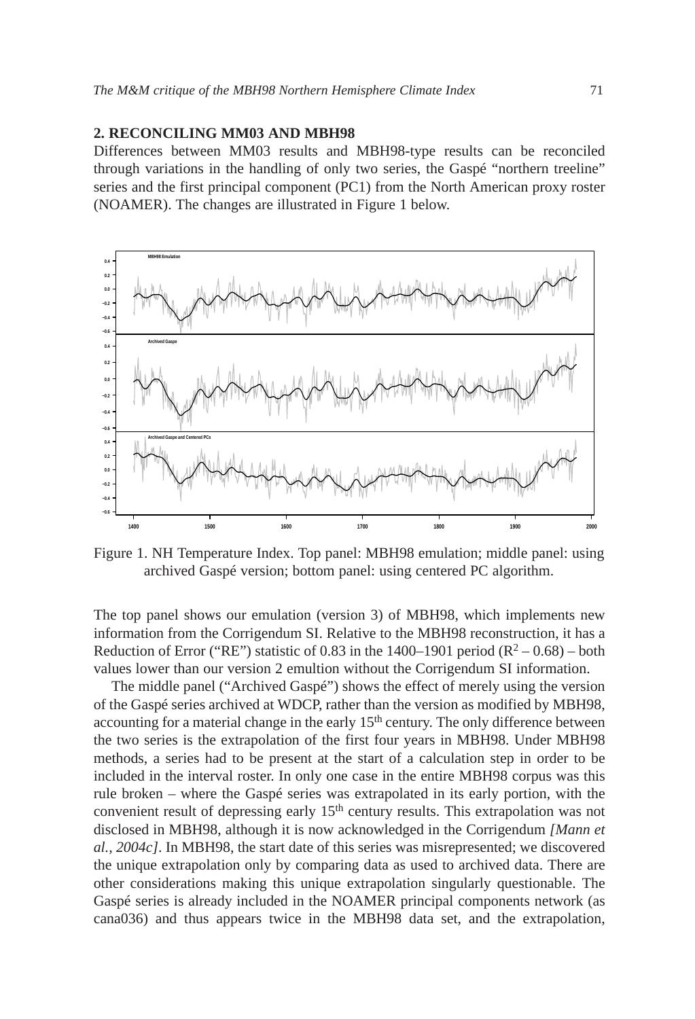#### **2. RECONCILING MM03 AND MBH98**

Differences between MM03 results and MBH98-type results can be reconciled through variations in the handling of only two series, the Gaspé "northern treeline" series and the first principal component (PC1) from the North American proxy roster (NOAMER). The changes are illustrated in Figure 1 below.



Figure 1. NH Temperature Index. Top panel: MBH98 emulation; middle panel: using archived Gaspé version; bottom panel: using centered PC algorithm.

The top panel shows our emulation (version 3) of MBH98, which implements new information from the Corrigendum SI. Relative to the MBH98 reconstruction, it has a Reduction of Error ("RE") statistic of 0.83 in the  $1400-1901$  period (R<sup>2</sup> – 0.68) – both values lower than our version 2 emultion without the Corrigendum SI information.

The middle panel ("Archived Gaspé") shows the effect of merely using the version of the Gaspé series archived at WDCP, rather than the version as modified by MBH98, accounting for a material change in the early  $15<sup>th</sup>$  century. The only difference between the two series is the extrapolation of the first four years in MBH98. Under MBH98 methods, a series had to be present at the start of a calculation step in order to be included in the interval roster. In only one case in the entire MBH98 corpus was this rule broken – where the Gaspé series was extrapolated in its early portion, with the convenient result of depressing early 15<sup>th</sup> century results. This extrapolation was not disclosed in MBH98, although it is now acknowledged in the Corrigendum *[Mann et al., 2004c]*. In MBH98, the start date of this series was misrepresented; we discovered the unique extrapolation only by comparing data as used to archived data. There are other considerations making this unique extrapolation singularly questionable. The Gaspé series is already included in the NOAMER principal components network (as cana036) and thus appears twice in the MBH98 data set, and the extrapolation,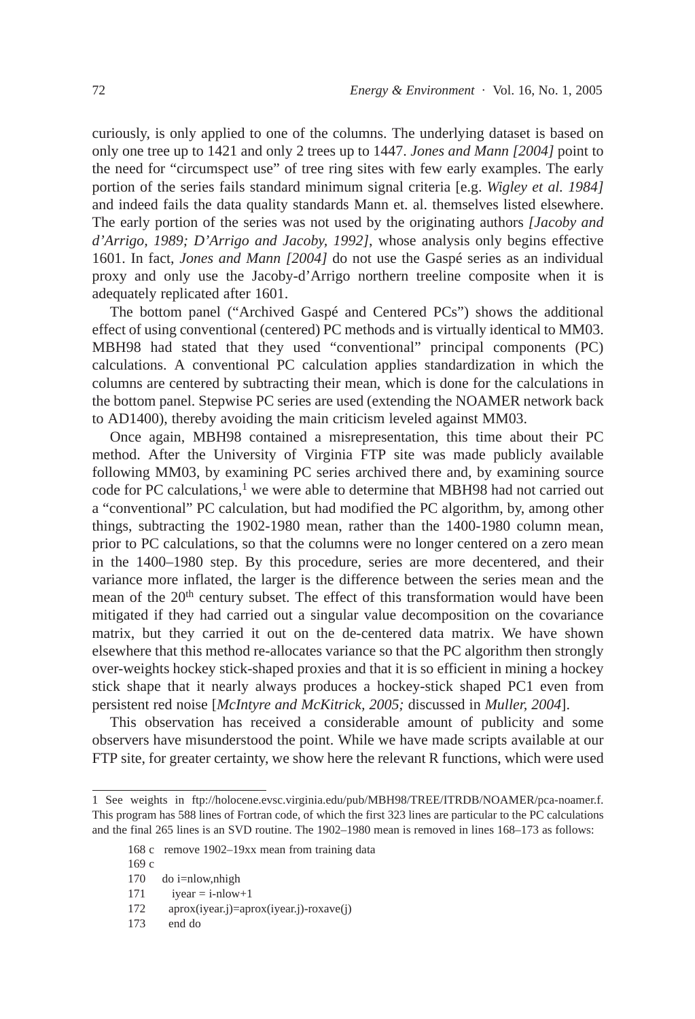curiously, is only applied to one of the columns. The underlying dataset is based on only one tree up to 1421 and only 2 trees up to 1447. *Jones and Mann [2004]* point to the need for "circumspect use" of tree ring sites with few early examples. The early portion of the series fails standard minimum signal criteria [e.g. *Wigley et al. 1984]* and indeed fails the data quality standards Mann et. al. themselves listed elsewhere. The early portion of the series was not used by the originating authors *[Jacoby and d'Arrigo, 1989; D'Arrigo and Jacoby, 1992]*, whose analysis only begins effective 1601. In fact, *Jones and Mann [2004]* do not use the Gaspé series as an individual proxy and only use the Jacoby-d'Arrigo northern treeline composite when it is adequately replicated after 1601.

The bottom panel ("Archived Gaspé and Centered PCs") shows the additional effect of using conventional (centered) PC methods and is virtually identical to MM03. MBH98 had stated that they used "conventional" principal components (PC) calculations. A conventional PC calculation applies standardization in which the columns are centered by subtracting their mean, which is done for the calculations in the bottom panel. Stepwise PC series are used (extending the NOAMER network back to AD1400), thereby avoiding the main criticism leveled against MM03.

Once again, MBH98 contained a misrepresentation, this time about their PC method. After the University of Virginia FTP site was made publicly available following MM03, by examining PC series archived there and, by examining source code for PC calculations, $<sup>1</sup>$  we were able to determine that MBH98 had not carried out</sup> a "conventional" PC calculation, but had modified the PC algorithm, by, among other things, subtracting the 1902-1980 mean, rather than the 1400-1980 column mean, prior to PC calculations, so that the columns were no longer centered on a zero mean in the 1400–1980 step. By this procedure, series are more decentered, and their variance more inflated, the larger is the difference between the series mean and the mean of the 20<sup>th</sup> century subset. The effect of this transformation would have been mitigated if they had carried out a singular value decomposition on the covariance matrix, but they carried it out on the de-centered data matrix. We have shown elsewhere that this method re-allocates variance so that the PC algorithm then strongly over-weights hockey stick-shaped proxies and that it is so efficient in mining a hockey stick shape that it nearly always produces a hockey-stick shaped PC1 even from persistent red noise [*McIntyre and McKitrick, 2005;* discussed in *Muller, 2004*].

This observation has received a considerable amount of publicity and some observers have misunderstood the point. While we have made scripts available at our FTP site, for greater certainty, we show here the relevant R functions, which were used

<sup>1</sup> See weights in ftp://holocene.evsc.virginia.edu/pub/MBH98/TREE/ITRDB/NOAMER/pca-noamer.f. This program has 588 lines of Fortran code, of which the first 323 lines are particular to the PC calculations and the final 265 lines is an SVD routine. The 1902–1980 mean is removed in lines 168–173 as follows:

<sup>168</sup> c remove 1902–19xx mean from training data

<sup>169</sup> c

<sup>170</sup> do i=nlow,nhigh

<sup>171</sup> iyear  $=$  i-nlow+1

<sup>172</sup> aprox(iyear.j)=aprox(iyear.j)-roxave(j)

<sup>173</sup> end do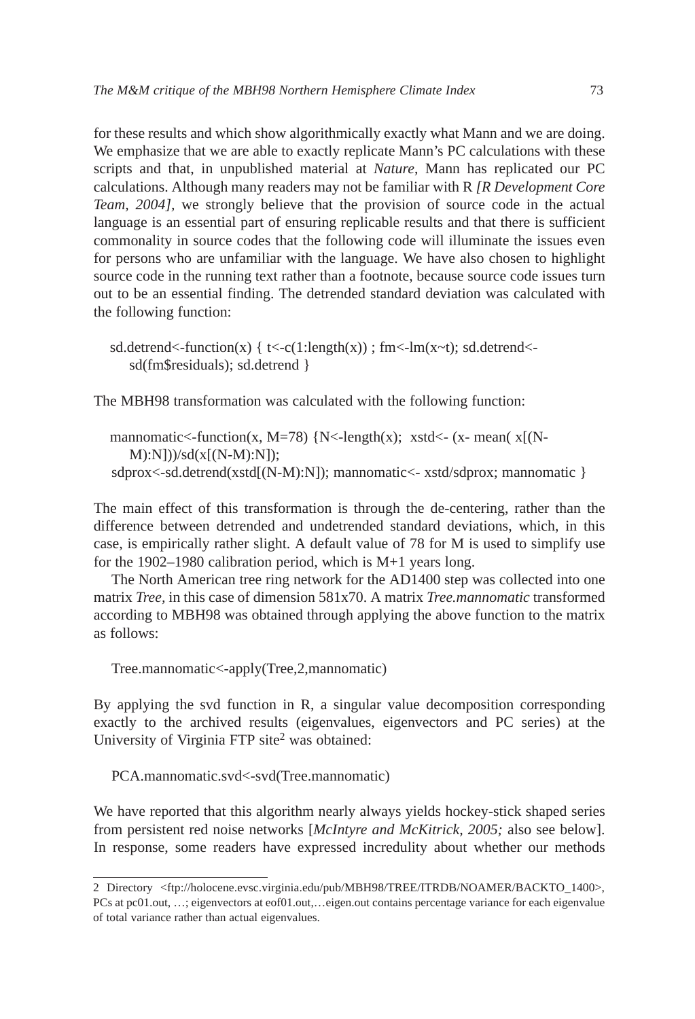for these results and which show algorithmically exactly what Mann and we are doing. We emphasize that we are able to exactly replicate Mann's PC calculations with these scripts and that, in unpublished material at *Nature*, Mann has replicated our PC calculations. Although many readers may not be familiar with R *[R Development Core Team, 2004],* we strongly believe that the provision of source code in the actual language is an essential part of ensuring replicable results and that there is sufficient commonality in source codes that the following code will illuminate the issues even for persons who are unfamiliar with the language. We have also chosen to highlight source code in the running text rather than a footnote, because source code issues turn out to be an essential finding. The detrended standard deviation was calculated with the following function:

sd.detrend<-function(x) {  $t < -c(1:length(x))$ ; fm $\lt$ -lm(x $\lt$ t); sd.detrend $\lt$ sd(fm\$residuals); sd.detrend }

The MBH98 transformation was calculated with the following function:

mannomatic<-function(x, M=78) {N<-length(x); xstd<- (x- mean(  $x$ [(N-M):N]))/sd(x[(N-M):N]); sdprox<-sd.detrend(xstd[(N-M):N]); mannomatic<- xstd/sdprox; mannomatic }

The main effect of this transformation is through the de-centering, rather than the difference between detrended and undetrended standard deviations, which, in this case, is empirically rather slight. A default value of 78 for M is used to simplify use for the 1902–1980 calibration period, which is M+1 years long.

The North American tree ring network for the AD1400 step was collected into one matrix *Tree,* in this case of dimension 581x70. A matrix *Tree.mannomatic* transformed according to MBH98 was obtained through applying the above function to the matrix as follows:

Tree.mannomatic<-apply(Tree,2,mannomatic)

By applying the svd function in R, a singular value decomposition corresponding exactly to the archived results (eigenvalues, eigenvectors and PC series) at the University of Virginia FTP site<sup>2</sup> was obtained:

PCA.mannomatic.svd<-svd(Tree.mannomatic)

We have reported that this algorithm nearly always yields hockey-stick shaped series from persistent red noise networks [*McIntyre and McKitrick, 2005;* also see below]. In response, some readers have expressed incredulity about whether our methods

<sup>2</sup> Directory <ftp://holocene.evsc.virginia.edu/pub/MBH98/TREE/ITRDB/NOAMER/BACKTO\_1400>, PCs at pc01.out, …; eigenvectors at eof01.out,…eigen.out contains percentage variance for each eigenvalue of total variance rather than actual eigenvalues.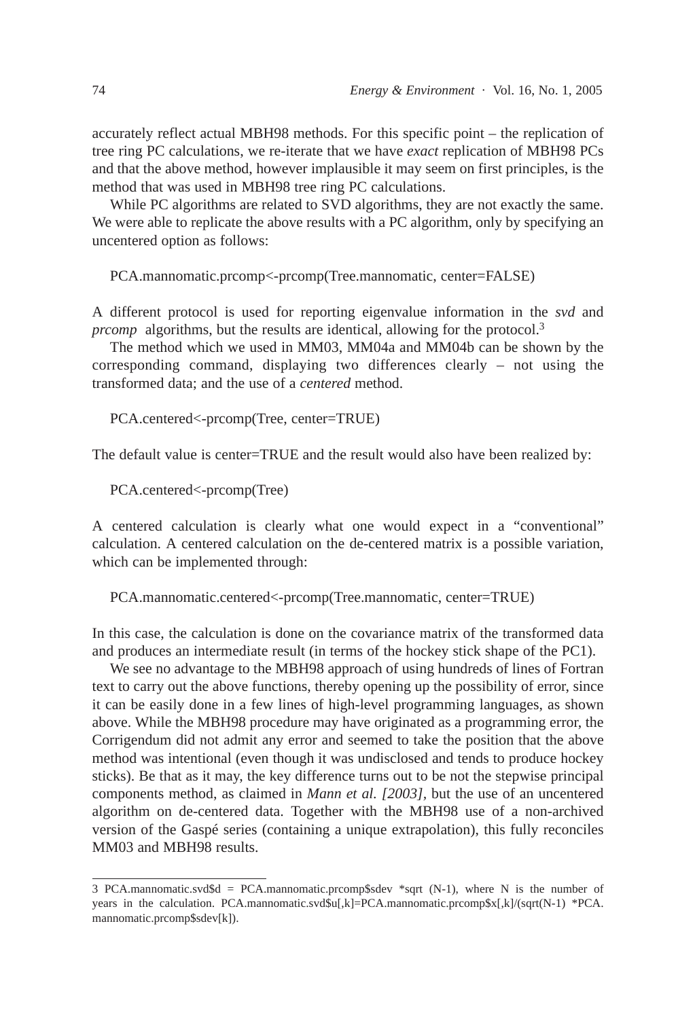accurately reflect actual MBH98 methods. For this specific point – the replication of tree ring PC calculations, we re-iterate that we have *exact* replication of MBH98 PCs and that the above method, however implausible it may seem on first principles, is the method that was used in MBH98 tree ring PC calculations.

While PC algorithms are related to SVD algorithms, they are not exactly the same. We were able to replicate the above results with a PC algorithm, only by specifying an uncentered option as follows:

PCA.mannomatic.prcomp<-prcomp(Tree.mannomatic, center=FALSE)

A different protocol is used for reporting eigenvalue information in the *svd* and *prcomp* algorithms, but the results are identical, allowing for the protocol.<sup>3</sup>

The method which we used in MM03, MM04a and MM04b can be shown by the corresponding command, displaying two differences clearly – not using the transformed data; and the use of a *centered* method.

PCA.centered<-prcomp(Tree, center=TRUE)

The default value is center=TRUE and the result would also have been realized by:

PCA.centered<-prcomp(Tree)

A centered calculation is clearly what one would expect in a "conventional" calculation. A centered calculation on the de-centered matrix is a possible variation, which can be implemented through:

PCA.mannomatic.centered<-prcomp(Tree.mannomatic, center=TRUE)

In this case, the calculation is done on the covariance matrix of the transformed data and produces an intermediate result (in terms of the hockey stick shape of the PC1).

We see no advantage to the MBH98 approach of using hundreds of lines of Fortran text to carry out the above functions, thereby opening up the possibility of error, since it can be easily done in a few lines of high-level programming languages, as shown above. While the MBH98 procedure may have originated as a programming error, the Corrigendum did not admit any error and seemed to take the position that the above method was intentional (even though it was undisclosed and tends to produce hockey sticks). Be that as it may, the key difference turns out to be not the stepwise principal components method, as claimed in *Mann et al. [2003],* but the use of an uncentered algorithm on de-centered data. Together with the MBH98 use of a non-archived version of the Gaspé series (containing a unique extrapolation), this fully reconciles MM03 and MBH98 results.

<sup>3</sup> PCA.mannomatic.svd\$d = PCA.mannomatic.prcomp\$sdev \*sqrt (N-1), where N is the number of years in the calculation. PCA.mannomatic.svd\$u[,k]=PCA.mannomatic.prcomp\$x[,k]/(sqrt(N-1) \*PCA. mannomatic.prcomp\$sdev[k]).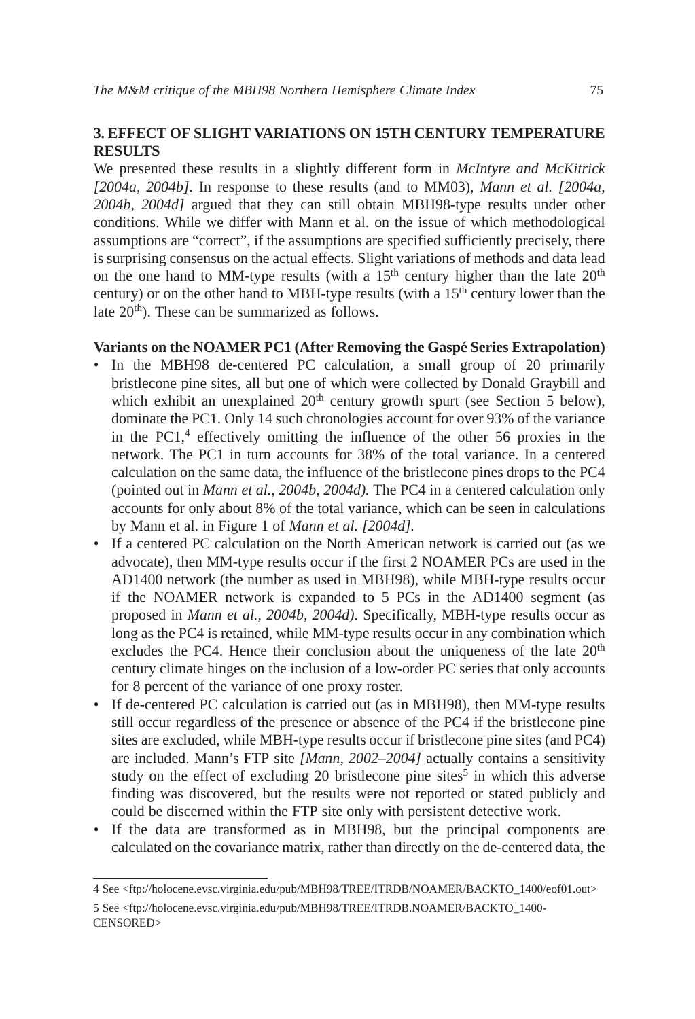# **3. EFFECT OF SLIGHT VARIATIONS ON 15TH CENTURY TEMPERATURE RESULTS**

We presented these results in a slightly different form in *McIntyre and McKitrick [2004a, 2004b]*. In response to these results (and to MM03), *Mann et al. [2004a, 2004b, 2004d]* argued that they can still obtain MBH98-type results under other conditions. While we differ with Mann et al. on the issue of which methodological assumptions are "correct", if the assumptions are specified sufficiently precisely, there is surprising consensus on the actual effects. Slight variations of methods and data lead on the one hand to MM-type results (with a  $15<sup>th</sup>$  century higher than the late  $20<sup>th</sup>$ century) or on the other hand to MBH-type results (with a  $15<sup>th</sup>$  century lower than the late  $20<sup>th</sup>$ ). These can be summarized as follows.

# **Variants on the NOAMER PC1 (After Removing the Gaspé Series Extrapolation)**

- In the MBH98 de-centered PC calculation, a small group of 20 primarily bristlecone pine sites, all but one of which were collected by Donald Graybill and which exhibit an unexplained  $20<sup>th</sup>$  century growth spurt (see Section 5 below), dominate the PC1. Only 14 such chronologies account for over 93% of the variance in the  $PC1<sup>4</sup>$  effectively omitting the influence of the other 56 proxies in the network. The PC1 in turn accounts for 38% of the total variance. In a centered calculation on the same data, the influence of the bristlecone pines drops to the PC4 (pointed out in *Mann et al., 2004b, 2004d).* The PC4 in a centered calculation only accounts for only about 8% of the total variance, which can be seen in calculations by Mann et al. in Figure 1 of *Mann et al. [2004d].*
- If a centered PC calculation on the North American network is carried out (as we advocate), then MM-type results occur if the first 2 NOAMER PCs are used in the AD1400 network (the number as used in MBH98), while MBH-type results occur if the NOAMER network is expanded to 5 PCs in the AD1400 segment (as proposed in *Mann et al., 2004b, 2004d)*. Specifically, MBH-type results occur as long as the PC4 is retained, while MM-type results occur in any combination which excludes the PC4. Hence their conclusion about the uniqueness of the late  $20<sup>th</sup>$ century climate hinges on the inclusion of a low-order PC series that only accounts for 8 percent of the variance of one proxy roster.
- If de-centered PC calculation is carried out (as in MBH98), then MM-type results still occur regardless of the presence or absence of the PC4 if the bristlecone pine sites are excluded, while MBH-type results occur if bristlecone pine sites (and PC4) are included. Mann's FTP site *[Mann, 2002–2004]* actually contains a sensitivity study on the effect of excluding 20 bristlecone pine sites<sup>5</sup> in which this adverse finding was discovered, but the results were not reported or stated publicly and could be discerned within the FTP site only with persistent detective work.
- If the data are transformed as in MBH98, but the principal components are calculated on the covariance matrix, rather than directly on the de-centered data, the

<sup>4</sup> See <ftp://holocene.evsc.virginia.edu/pub/MBH98/TREE/ITRDB/NOAMER/BACKTO\_1400/eof01.out> 5 See <ftp://holocene.evsc.virginia.edu/pub/MBH98/TREE/ITRDB.NOAMER/BACKTO\_1400- CENSORED>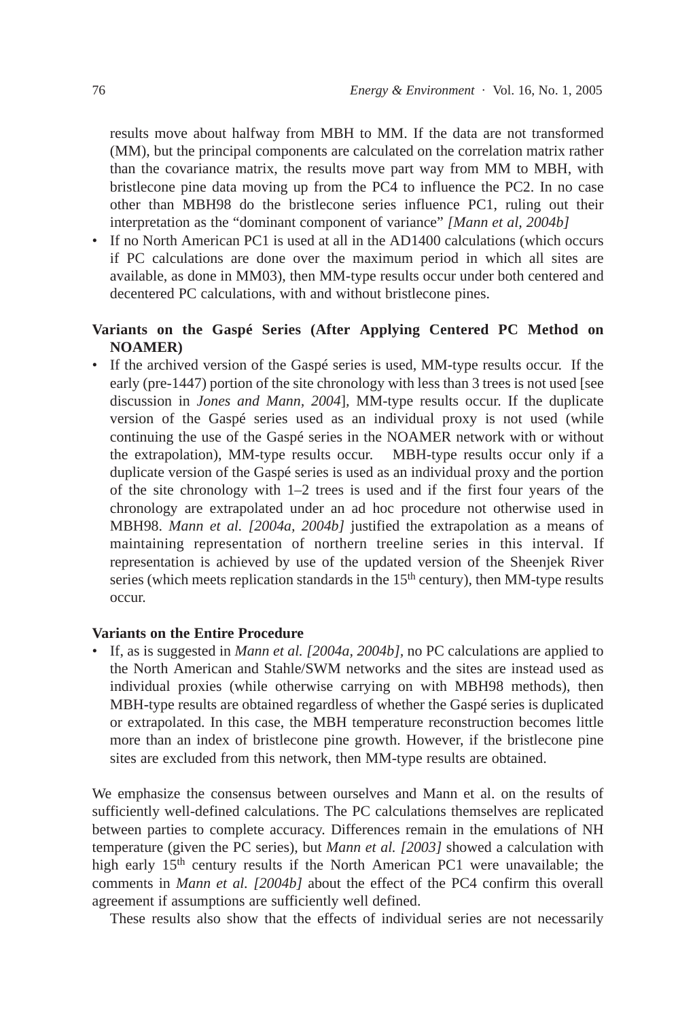results move about halfway from MBH to MM. If the data are not transformed (MM), but the principal components are calculated on the correlation matrix rather than the covariance matrix, the results move part way from MM to MBH, with bristlecone pine data moving up from the PC4 to influence the PC2. In no case other than MBH98 do the bristlecone series influence PC1, ruling out their interpretation as the "dominant component of variance" *[Mann et al, 2004b]*

• If no North American PC1 is used at all in the AD1400 calculations (which occurs if PC calculations are done over the maximum period in which all sites are available, as done in MM03), then MM-type results occur under both centered and decentered PC calculations, with and without bristlecone pines.

# **Variants on the Gaspé Series (After Applying Centered PC Method on NOAMER)**

• If the archived version of the Gaspé series is used, MM-type results occur. If the early (pre-1447) portion of the site chronology with less than 3 trees is not used [see discussion in *Jones and Mann, 2004*]*,* MM-type results occur. If the duplicate version of the Gaspé series used as an individual proxy is not used (while continuing the use of the Gaspé series in the NOAMER network with or without the extrapolation), MM-type results occur. MBH-type results occur only if a duplicate version of the Gaspé series is used as an individual proxy and the portion of the site chronology with  $1-2$  trees is used and if the first four years of the chronology are extrapolated under an ad hoc procedure not otherwise used in MBH98. *Mann et al. [2004a, 2004b]* justified the extrapolation as a means of maintaining representation of northern treeline series in this interval. If representation is achieved by use of the updated version of the Sheenjek River series (which meets replication standards in the  $15<sup>th</sup>$  century), then MM-type results occur.

# **Variants on the Entire Procedure**

• If, as is suggested in *Mann et al. [2004a, 2004b],* no PC calculations are applied to the North American and Stahle/SWM networks and the sites are instead used as individual proxies (while otherwise carrying on with MBH98 methods), then MBH-type results are obtained regardless of whether the Gaspé series is duplicated or extrapolated. In this case, the MBH temperature reconstruction becomes little more than an index of bristlecone pine growth. However, if the bristlecone pine sites are excluded from this network, then MM-type results are obtained.

We emphasize the consensus between ourselves and Mann et al. on the results of sufficiently well-defined calculations. The PC calculations themselves are replicated between parties to complete accuracy. Differences remain in the emulations of NH temperature (given the PC series), but *Mann et al. [2003]* showed a calculation with high early 15<sup>th</sup> century results if the North American PC1 were unavailable; the comments in *Mann et al. [2004b]* about the effect of the PC4 confirm this overall agreement if assumptions are sufficiently well defined.

These results also show that the effects of individual series are not necessarily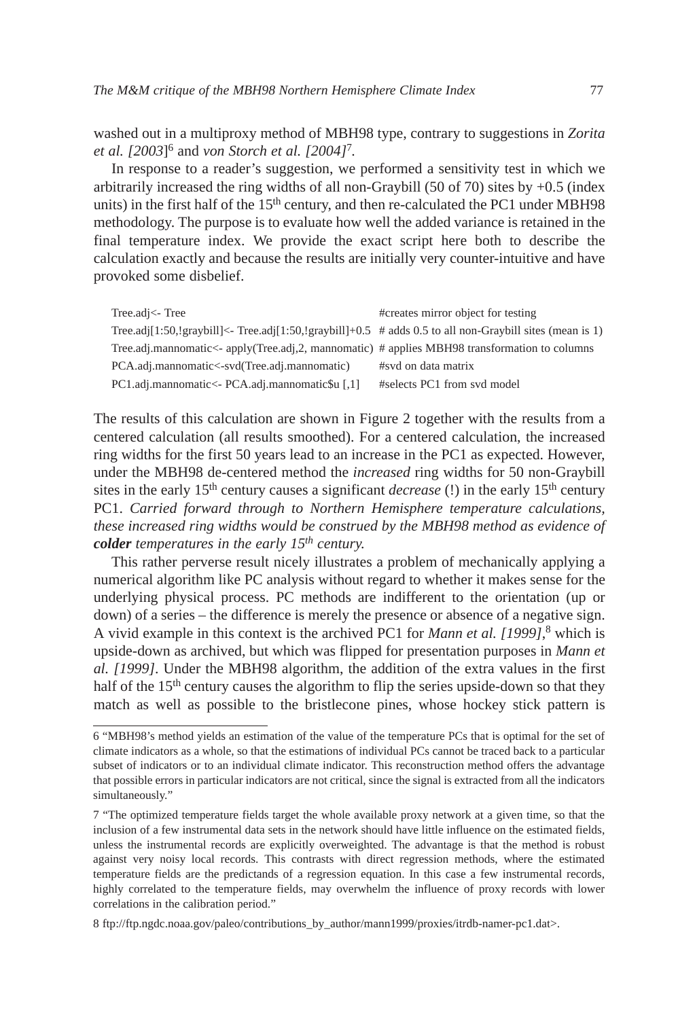washed out in a multiproxy method of MBH98 type, contrary to suggestions in *Zorita et al. [2003*]6 and *von Storch et al. [2004]*<sup>7</sup>*.*

In response to a reader's suggestion, we performed a sensitivity test in which we arbitrarily increased the ring widths of all non-Graybill  $(50 \text{ of } 70)$  sites by  $+0.5$  (index units) in the first half of the  $15<sup>th</sup>$  century, and then re-calculated the PC1 under MBH98 methodology. The purpose is to evaluate how well the added variance is retained in the final temperature index. We provide the exact script here both to describe the calculation exactly and because the results are initially very counter-intuitive and have provoked some disbelief.

| Tree.adj<-Tree                                                                                           | #creates mirror object for testing |
|----------------------------------------------------------------------------------------------------------|------------------------------------|
| Tree.adj[1:50,!graybill]<- Tree.adj[1:50,!graybill]+0.5 # adds 0.5 to all non-Graybill sites (mean is 1) |                                    |
| Tree.adj.mannomatic<- apply(Tree.adj,2, mannomatic) # applies MBH98 transformation to columns            |                                    |
| PCA.adj.mannomatic<-svd(Tree.adj.mannomatic)                                                             | #svd on data matrix                |
| PC1.adj.mannomatic<- PCA.adj.mannomatic\$u [,1]                                                          | #selects PC1 from svd model        |

The results of this calculation are shown in Figure 2 together with the results from a centered calculation (all results smoothed). For a centered calculation, the increased ring widths for the first 50 years lead to an increase in the PC1 as expected. However, under the MBH98 de-centered method the *increased* ring widths for 50 non-Graybill sites in the early 15th century causes a significant *decrease* (!) in the early 15th century PC1. *Carried forward through to Northern Hemisphere temperature calculations, these increased ring widths would be construed by the MBH98 method as evidence of colder temperatures in the early 15th century.*

This rather perverse result nicely illustrates a problem of mechanically applying a numerical algorithm like PC analysis without regard to whether it makes sense for the underlying physical process. PC methods are indifferent to the orientation (up or down) of a series – the difference is merely the presence or absence of a negative sign. A vivid example in this context is the archived PC1 for *Mann et al. [1999]*, <sup>8</sup> which is upside-down as archived, but which was flipped for presentation purposes in *Mann et al. [1999]*. Under the MBH98 algorithm, the addition of the extra values in the first half of the 15<sup>th</sup> century causes the algorithm to flip the series upside-down so that they match as well as possible to the bristlecone pines, whose hockey stick pattern is

<sup>6 &</sup>quot;MBH98's method yields an estimation of the value of the temperature PCs that is optimal for the set of climate indicators as a whole, so that the estimations of individual PCs cannot be traced back to a particular subset of indicators or to an individual climate indicator. This reconstruction method offers the advantage that possible errors in particular indicators are not critical, since the signal is extracted from all the indicators simultaneously."

<sup>7 &</sup>quot;The optimized temperature fields target the whole available proxy network at a given time, so that the inclusion of a few instrumental data sets in the network should have little influence on the estimated fields, unless the instrumental records are explicitly overweighted. The advantage is that the method is robust against very noisy local records. This contrasts with direct regression methods, where the estimated temperature fields are the predictands of a regression equation. In this case a few instrumental records, highly correlated to the temperature fields, may overwhelm the influence of proxy records with lower correlations in the calibration period."

<sup>8</sup> ftp://ftp.ngdc.noaa.gov/paleo/contributions\_by\_author/mann1999/proxies/itrdb-namer-pc1.dat>.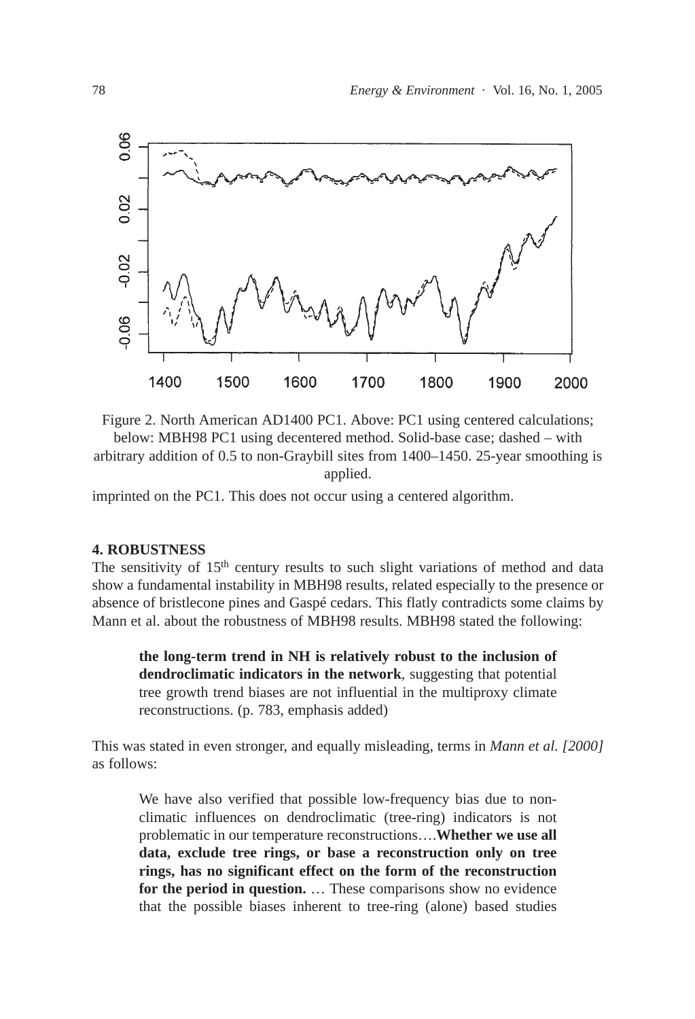

Figure 2. North American AD1400 PC1. Above: PC1 using centered calculations;

below: MBH98 PC1 using decentered method. Solid-base case; dashed – with arbitrary addition of 0.5 to non-Graybill sites from 1400–1450. 25-year smoothing is applied.

imprinted on the PC1. This does not occur using a centered algorithm.

# **4. ROBUSTNESS**

The sensitivity of  $15<sup>th</sup>$  century results to such slight variations of method and data show a fundamental instability in MBH98 results, related especially to the presence or absence of bristlecone pines and Gaspé cedars. This flatly contradicts some claims by Mann et al. about the robustness of MBH98 results. MBH98 stated the following:

**the long-term trend in NH is relatively robust to the inclusion of dendroclimatic indicators in the network**, suggesting that potential tree growth trend biases are not influential in the multiproxy climate reconstructions. (p. 783, emphasis added)

This was stated in even stronger, and equally misleading, terms in *Mann et al. [2000]* as follows:

We have also verified that possible low-frequency bias due to nonclimatic influences on dendroclimatic (tree-ring) indicators is not problematic in our temperature reconstructions….**Whether we use all data, exclude tree rings, or base a reconstruction only on tree rings, has no significant effect on the form of the reconstruction for the period in question.** … These comparisons show no evidence that the possible biases inherent to tree-ring (alone) based studies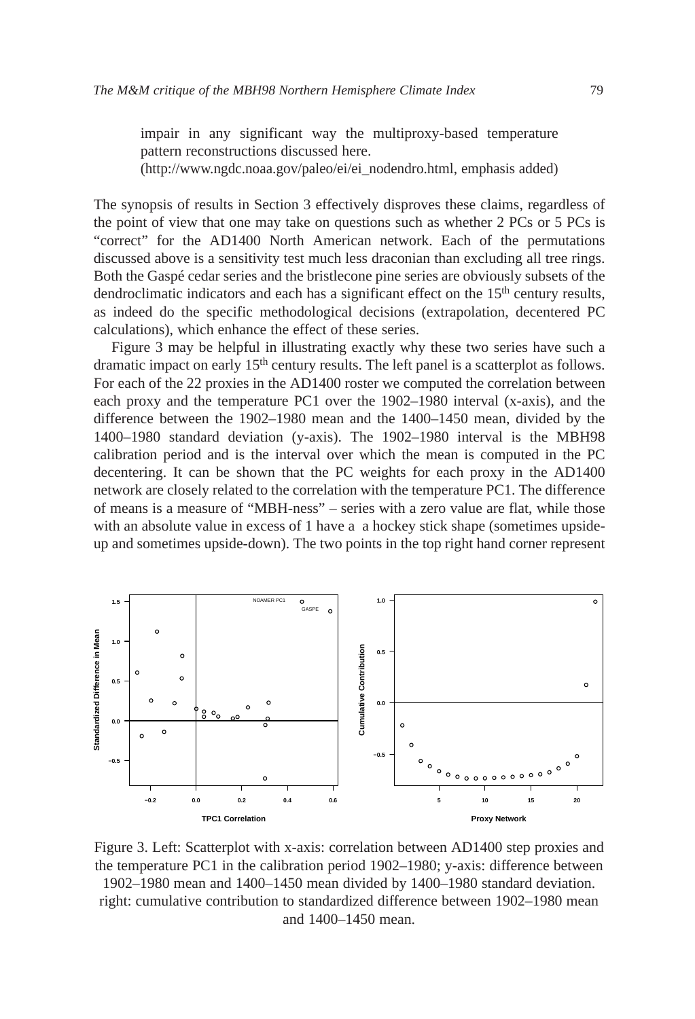impair in any significant way the multiproxy-based temperature pattern reconstructions discussed here. (http://www.ngdc.noaa.gov/paleo/ei/ei\_nodendro.html, emphasis added)

The synopsis of results in Section 3 effectively disproves these claims, regardless of the point of view that one may take on questions such as whether 2 PCs or 5 PCs is "correct" for the AD1400 North American network. Each of the permutations discussed above is a sensitivity test much less draconian than excluding all tree rings. Both the Gaspé cedar series and the bristlecone pine series are obviously subsets of the dendroclimatic indicators and each has a significant effect on the  $15<sup>th</sup>$  century results, as indeed do the specific methodological decisions (extrapolation, decentered PC calculations), which enhance the effect of these series.

Figure 3 may be helpful in illustrating exactly why these two series have such a dramatic impact on early  $15<sup>th</sup>$  century results. The left panel is a scatterplot as follows. For each of the 22 proxies in the AD1400 roster we computed the correlation between each proxy and the temperature PC1 over the 1902–1980 interval (x-axis), and the difference between the 1902–1980 mean and the 1400–1450 mean, divided by the 1400–1980 standard deviation (y-axis). The 1902–1980 interval is the MBH98 calibration period and is the interval over which the mean is computed in the PC decentering. It can be shown that the PC weights for each proxy in the AD1400 network are closely related to the correlation with the temperature PC1. The difference of means is a measure of "MBH-ness" – series with a zero value are flat, while those with an absolute value in excess of 1 have a a hockey stick shape (sometimes upsideup and sometimes upside-down). The two points in the top right hand corner represent



Figure 3. Left: Scatterplot with x-axis: correlation between AD1400 step proxies and the temperature PC1 in the calibration period 1902–1980; y-axis: difference between

1902–1980 mean and 1400–1450 mean divided by 1400–1980 standard deviation. right: cumulative contribution to standardized difference between 1902–1980 mean and 1400–1450 mean.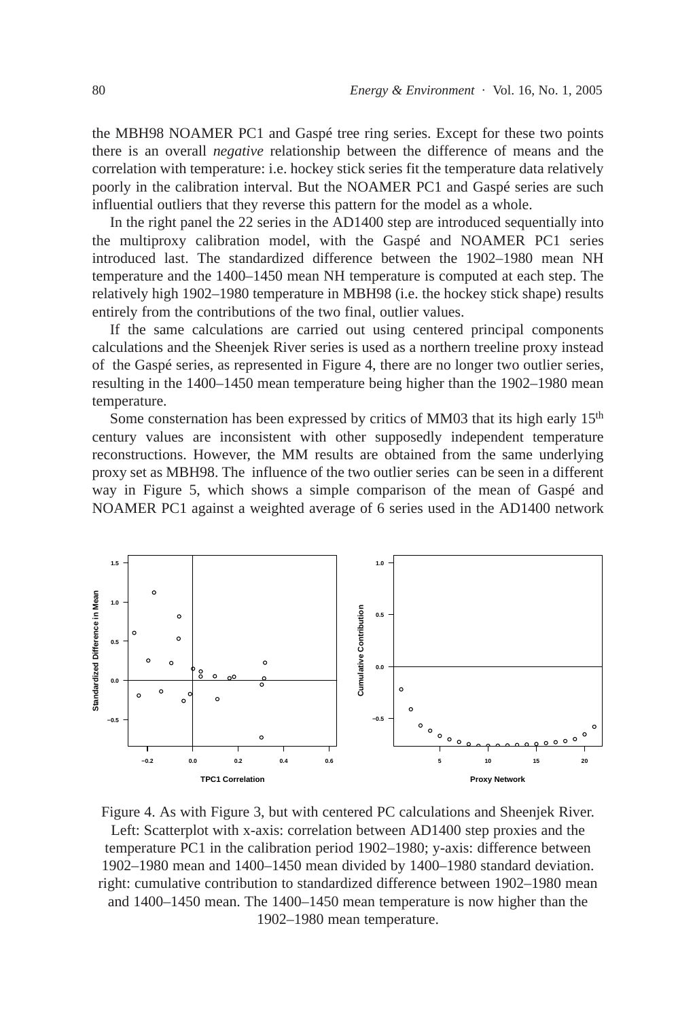the MBH98 NOAMER PC1 and Gaspé tree ring series. Except for these two points there is an overall *negative* relationship between the difference of means and the correlation with temperature: i.e. hockey stick series fit the temperature data relatively poorly in the calibration interval. But the NOAMER PC1 and Gaspé series are such influential outliers that they reverse this pattern for the model as a whole.

In the right panel the 22 series in the AD1400 step are introduced sequentially into the multiproxy calibration model, with the Gaspé and NOAMER PC1 series introduced last. The standardized difference between the 1902–1980 mean NH temperature and the 1400–1450 mean NH temperature is computed at each step. The relatively high 1902–1980 temperature in MBH98 (i.e. the hockey stick shape) results entirely from the contributions of the two final, outlier values.

If the same calculations are carried out using centered principal components calculations and the Sheenjek River series is used as a northern treeline proxy instead of the Gaspé series, as represented in Figure 4, there are no longer two outlier series, resulting in the 1400–1450 mean temperature being higher than the 1902–1980 mean temperature.

Some consternation has been expressed by critics of MM03 that its high early  $15<sup>th</sup>$ century values are inconsistent with other supposedly independent temperature reconstructions. However, the MM results are obtained from the same underlying proxy set as MBH98. The influence of the two outlier series can be seen in a different way in Figure 5, which shows a simple comparison of the mean of Gaspé and NOAMER PC1 against a weighted average of 6 series used in the AD1400 network



Figure 4. As with Figure 3, but with centered PC calculations and Sheenjek River. Left: Scatterplot with x-axis: correlation between AD1400 step proxies and the temperature PC1 in the calibration period 1902–1980; y-axis: difference between 1902–1980 mean and 1400–1450 mean divided by 1400–1980 standard deviation. right: cumulative contribution to standardized difference between 1902–1980 mean and 1400–1450 mean. The 1400–1450 mean temperature is now higher than the 1902–1980 mean temperature.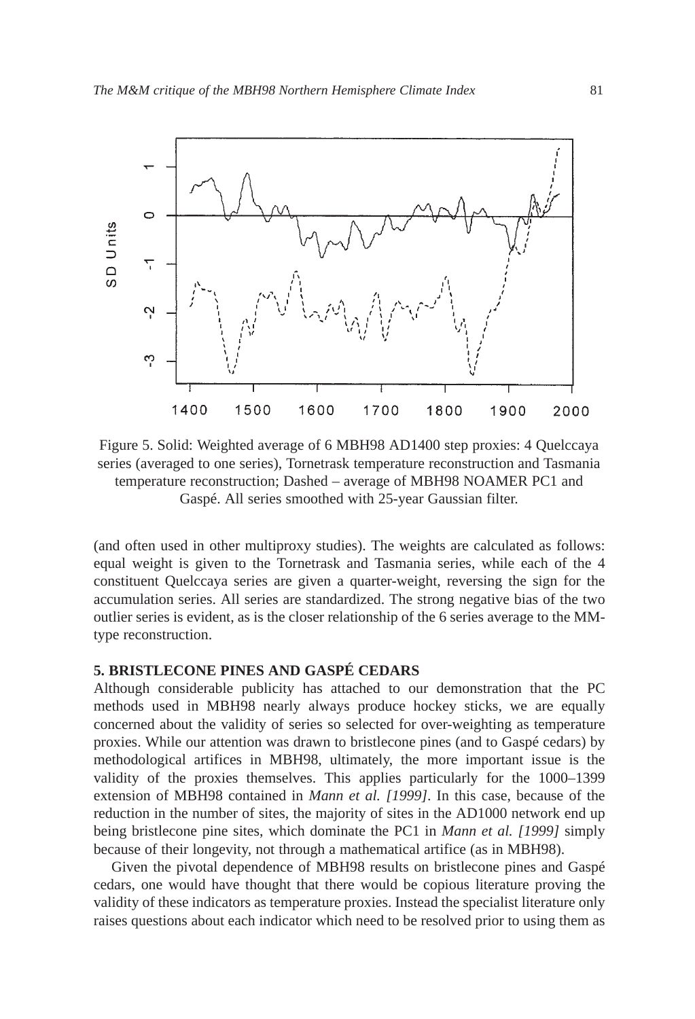

Figure 5. Solid: Weighted average of 6 MBH98 AD1400 step proxies: 4 Quelccaya series (averaged to one series), Tornetrask temperature reconstruction and Tasmania temperature reconstruction; Dashed – average of MBH98 NOAMER PC1 and Gaspé. All series smoothed with 25-year Gaussian filter.

(and often used in other multiproxy studies). The weights are calculated as follows: equal weight is given to the Tornetrask and Tasmania series, while each of the 4 constituent Quelccaya series are given a quarter-weight, reversing the sign for the accumulation series. All series are standardized. The strong negative bias of the two outlier series is evident, as is the closer relationship of the 6 series average to the MMtype reconstruction.

# **5. BRISTLECONE PINES AND GASPÉ CEDARS**

Although considerable publicity has attached to our demonstration that the PC methods used in MBH98 nearly always produce hockey sticks, we are equally concerned about the validity of series so selected for over-weighting as temperature proxies. While our attention was drawn to bristlecone pines (and to Gaspé cedars) by methodological artifices in MBH98, ultimately, the more important issue is the validity of the proxies themselves. This applies particularly for the 1000–1399 extension of MBH98 contained in *Mann et al. [1999]*. In this case, because of the reduction in the number of sites, the majority of sites in the AD1000 network end up being bristlecone pine sites, which dominate the PC1 in *Mann et al. [1999]* simply because of their longevity, not through a mathematical artifice (as in MBH98).

Given the pivotal dependence of MBH98 results on bristlecone pines and Gaspé cedars, one would have thought that there would be copious literature proving the validity of these indicators as temperature proxies. Instead the specialist literature only raises questions about each indicator which need to be resolved prior to using them as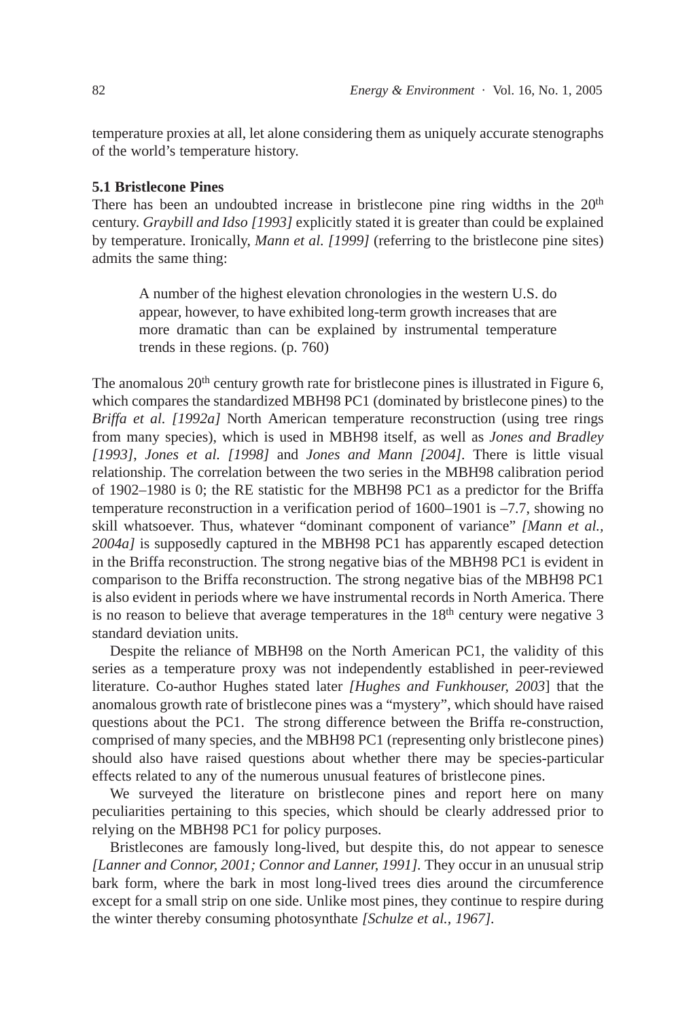temperature proxies at all, let alone considering them as uniquely accurate stenographs of the world's temperature history.

#### **5.1 Bristlecone Pines**

There has been an undoubted increase in bristlecone pine ring widths in the  $20<sup>th</sup>$ century. *Graybill and Idso [1993]* explicitly stated it is greater than could be explained by temperature. Ironically, *Mann et al. [1999]* (referring to the bristlecone pine sites) admits the same thing:

A number of the highest elevation chronologies in the western U.S. do appear, however, to have exhibited long-term growth increases that are more dramatic than can be explained by instrumental temperature trends in these regions. (p. 760)

The anomalous  $20<sup>th</sup>$  century growth rate for bristlecone pines is illustrated in Figure 6, which compares the standardized MBH98 PC1 (dominated by bristlecone pines) to the *Briffa et al. [1992a]* North American temperature reconstruction (using tree rings from many species), which is used in MBH98 itself, as well as *Jones and Bradley [1993]*, *Jones et al. [1998]* and *Jones and Mann [2004].* There is little visual relationship. The correlation between the two series in the MBH98 calibration period of 1902–1980 is 0; the RE statistic for the MBH98 PC1 as a predictor for the Briffa temperature reconstruction in a verification period of 1600–1901 is –7.7, showing no skill whatsoever. Thus, whatever "dominant component of variance" *[Mann et al., 2004a]* is supposedly captured in the MBH98 PC1 has apparently escaped detection in the Briffa reconstruction. The strong negative bias of the MBH98 PC1 is evident in comparison to the Briffa reconstruction. The strong negative bias of the MBH98 PC1 is also evident in periods where we have instrumental records in North America. There is no reason to believe that average temperatures in the  $18<sup>th</sup>$  century were negative 3 standard deviation units.

Despite the reliance of MBH98 on the North American PC1, the validity of this series as a temperature proxy was not independently established in peer-reviewed literature. Co-author Hughes stated later *[Hughes and Funkhouser, 2003*] that the anomalous growth rate of bristlecone pines was a "mystery", which should have raised questions about the PC1. The strong difference between the Briffa re-construction, comprised of many species, and the MBH98 PC1 (representing only bristlecone pines) should also have raised questions about whether there may be species-particular effects related to any of the numerous unusual features of bristlecone pines.

We surveyed the literature on bristlecone pines and report here on many peculiarities pertaining to this species, which should be clearly addressed prior to relying on the MBH98 PC1 for policy purposes.

Bristlecones are famously long-lived, but despite this, do not appear to senesce *[Lanner and Connor, 2001; Connor and Lanner, 1991].* They occur in an unusual strip bark form, where the bark in most long-lived trees dies around the circumference except for a small strip on one side. Unlike most pines, they continue to respire during the winter thereby consuming photosynthate *[Schulze et al., 1967].*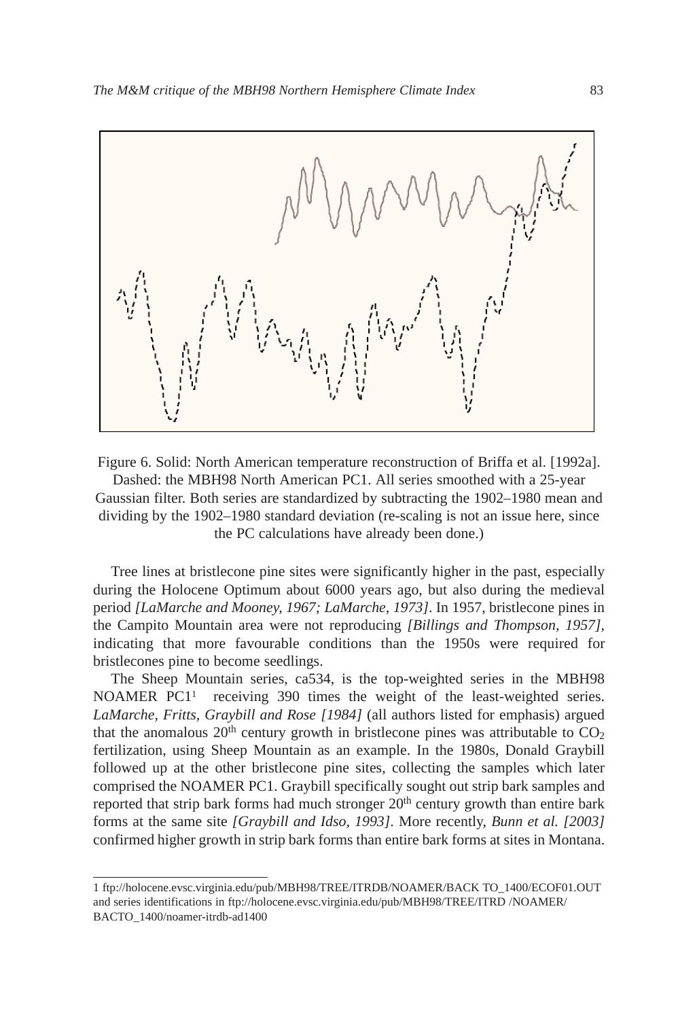

Figure 6. Solid: North American temperature reconstruction of Briffa et al. [1992a]. Dashed: the MBH98 North American PC1. All series smoothed with a 25-year Gaussian filter. Both series are standardized by subtracting the 1902–1980 mean and dividing by the 1902–1980 standard deviation (re-scaling is not an issue here, since the PC calculations have already been done.)

Tree lines at bristlecone pine sites were significantly higher in the past, especially during the Holocene Optimum about 6000 years ago, but also during the medieval period *[LaMarche and Mooney, 1967; LaMarche, 1973]*. In 1957, bristlecone pines in the Campito Mountain area were not reproducing *[Billings and Thompson, 1957],* indicating that more favourable conditions than the 1950s were required for bristlecones pine to become seedlings.

The Sheep Mountain series, ca534, is the top-weighted series in the MBH98 NOAMER PC1<sup>1</sup> receiving 390 times the weight of the least-weighted series. *LaMarche, Fritts, Graybill and Rose [1984]* (all authors listed for emphasis) argued that the anomalous  $20<sup>th</sup>$  century growth in bristlecone pines was attributable to  $CO<sub>2</sub>$ fertilization, using Sheep Mountain as an example. In the 1980s, Donald Graybill followed up at the other bristlecone pine sites, collecting the samples which later comprised the NOAMER PC1. Graybill specifically sought out strip bark samples and reported that strip bark forms had much stronger  $20<sup>th</sup>$  century growth than entire bark forms at the same site *[Graybill and Idso, 1993]*. More recently, *Bunn et al. [2003]* confirmed higher growth in strip bark forms than entire bark forms at sites in Montana.

<sup>1</sup> ftp://holocene.evsc.virginia.edu/pub/MBH98/TREE/ITRDB/NOAMER/BACK TO\_1400/ECOF01.OUT and series identifications in ftp://holocene.evsc.virginia.edu/pub/MBH98/TREE/ITRD /NOAMER/ BACTO\_1400/noamer-itrdb-ad1400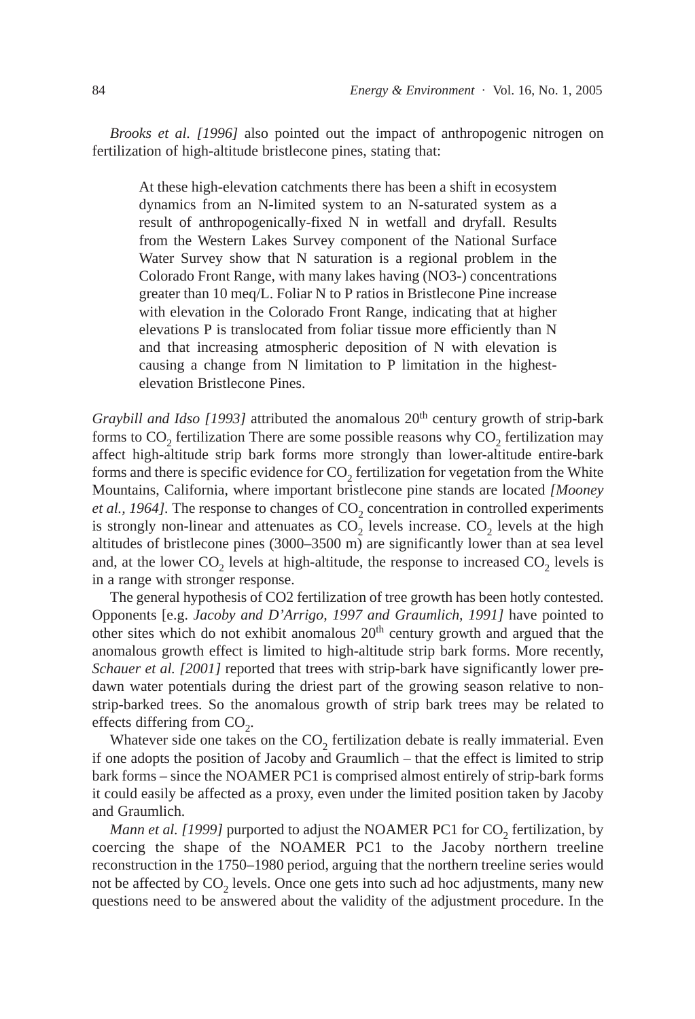*Brooks et al. [1996]* also pointed out the impact of anthropogenic nitrogen on fertilization of high-altitude bristlecone pines, stating that:

At these high-elevation catchments there has been a shift in ecosystem dynamics from an N-limited system to an N-saturated system as a result of anthropogenically-fixed N in wetfall and dryfall. Results from the Western Lakes Survey component of the National Surface Water Survey show that N saturation is a regional problem in the Colorado Front Range, with many lakes having (NO3-) concentrations greater than 10 meq/L. Foliar N to P ratios in Bristlecone Pine increase with elevation in the Colorado Front Range, indicating that at higher elevations P is translocated from foliar tissue more efficiently than N and that increasing atmospheric deposition of N with elevation is causing a change from N limitation to P limitation in the highestelevation Bristlecone Pines.

*Graybill and Idso [1993]* attributed the anomalous 20<sup>th</sup> century growth of strip-bark forms to CO<sub>2</sub> fertilization There are some possible reasons why CO<sub>2</sub> fertilization may affect high-altitude strip bark forms more strongly than lower-altitude entire-bark forms and there is specific evidence for CO<sub>2</sub> fertilization for vegetation from the White Mountains, California, where important bristlecone pine stands are located *[Mooney et al., 1964]*. The response to changes of  $CO<sub>2</sub>$  concentration in controlled experiments is strongly non-linear and attenuates as  $CO<sub>2</sub>$  levels increase.  $CO<sub>2</sub>$  levels at the high altitudes of bristlecone pines (3000–3500 m) are significantly lower than at sea level and, at the lower  $CO<sub>2</sub>$  levels at high-altitude, the response to increased  $CO<sub>2</sub>$  levels is in a range with stronger response.

The general hypothesis of CO2 fertilization of tree growth has been hotly contested. Opponents [e.g. *Jacoby and D'Arrigo, 1997 and Graumlich, 1991]* have pointed to other sites which do not exhibit anomalous 20<sup>th</sup> century growth and argued that the anomalous growth effect is limited to high-altitude strip bark forms. More recently, *Schauer et al.* [2001] reported that trees with strip-bark have significantly lower predawn water potentials during the driest part of the growing season relative to nonstrip-barked trees. So the anomalous growth of strip bark trees may be related to effects differing from  $CO<sub>2</sub>$ .

Whatever side one takes on the  $CO<sub>2</sub>$  fertilization debate is really immaterial. Even if one adopts the position of Jacoby and Graumlich – that the effect is limited to strip bark forms – since the NOAMER PC1 is comprised almost entirely of strip-bark forms it could easily be affected as a proxy, even under the limited position taken by Jacoby and Graumlich.

*Mann et al. [1999]* purported to adjust the NOAMER PC1 for CO<sub>2</sub> fertilization, by coercing the shape of the NOAMER PC1 to the Jacoby northern treeline reconstruction in the 1750–1980 period, arguing that the northern treeline series would not be affected by  $CO<sub>2</sub>$  levels. Once one gets into such ad hoc adjustments, many new questions need to be answered about the validity of the adjustment procedure. In the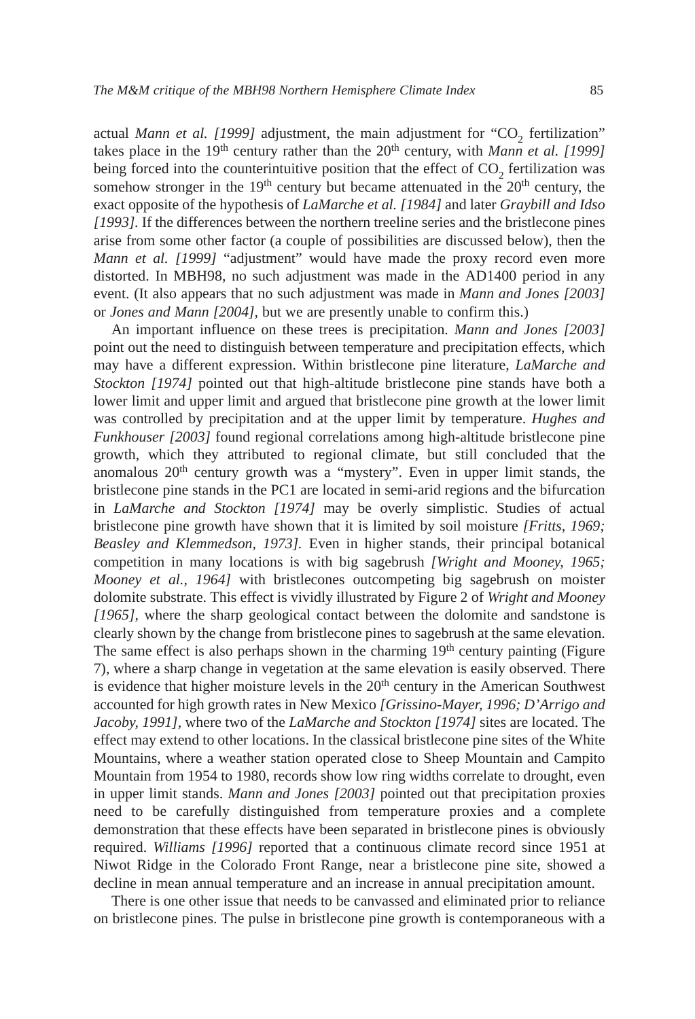actual *Mann et al.* [1999] adjustment, the main adjustment for "CO<sub>2</sub> fertilization" takes place in the 19<sup>th</sup> century rather than the  $20<sup>th</sup>$  century, with *Mann et al.* [1999] being forced into the counterintuitive position that the effect of  $CO<sub>2</sub>$  fertilization was somehow stronger in the  $19<sup>th</sup>$  century but became attenuated in the  $20<sup>th</sup>$  century, the exact opposite of the hypothesis of *LaMarche et al. [1984]* and later *Graybill and Idso [1993].* If the differences between the northern treeline series and the bristlecone pines arise from some other factor (a couple of possibilities are discussed below), then the *Mann et al. [1999]* "adjustment" would have made the proxy record even more distorted. In MBH98, no such adjustment was made in the AD1400 period in any event. (It also appears that no such adjustment was made in *Mann and Jones [2003]* or *Jones and Mann [2004],* but we are presently unable to confirm this.)

An important influence on these trees is precipitation. *Mann and Jones [2003]* point out the need to distinguish between temperature and precipitation effects, which may have a different expression. Within bristlecone pine literature, *LaMarche and Stockton [1974]* pointed out that high-altitude bristlecone pine stands have both a lower limit and upper limit and argued that bristlecone pine growth at the lower limit was controlled by precipitation and at the upper limit by temperature. *Hughes and Funkhouser [2003]* found regional correlations among high-altitude bristlecone pine growth, which they attributed to regional climate, but still concluded that the anomalous 20<sup>th</sup> century growth was a "mystery". Even in upper limit stands, the bristlecone pine stands in the PC1 are located in semi-arid regions and the bifurcation in *LaMarche and Stockton [1974]* may be overly simplistic. Studies of actual bristlecone pine growth have shown that it is limited by soil moisture *[Fritts, 1969; Beasley and Klemmedson, 1973].* Even in higher stands, their principal botanical competition in many locations is with big sagebrush *[Wright and Mooney, 1965; Mooney et al., 1964]* with bristlecones outcompeting big sagebrush on moister dolomite substrate. This effect is vividly illustrated by Figure 2 of *Wright and Mooney [1965],* where the sharp geological contact between the dolomite and sandstone is clearly shown by the change from bristlecone pines to sagebrush at the same elevation. The same effect is also perhaps shown in the charming  $19<sup>th</sup>$  century painting (Figure 7), where a sharp change in vegetation at the same elevation is easily observed. There is evidence that higher moisture levels in the  $20<sup>th</sup>$  century in the American Southwest accounted for high growth rates in New Mexico *[Grissino-Mayer, 1996; D'Arrigo and Jacoby, 1991],* where two of the *LaMarche and Stockton [1974]* sites are located. The effect may extend to other locations. In the classical bristlecone pine sites of the White Mountains, where a weather station operated close to Sheep Mountain and Campito Mountain from 1954 to 1980, records show low ring widths correlate to drought, even in upper limit stands. *Mann and Jones [2003]* pointed out that precipitation proxies need to be carefully distinguished from temperature proxies and a complete demonstration that these effects have been separated in bristlecone pines is obviously required. *Williams [1996]* reported that a continuous climate record since 1951 at Niwot Ridge in the Colorado Front Range, near a bristlecone pine site, showed a decline in mean annual temperature and an increase in annual precipitation amount.

There is one other issue that needs to be canvassed and eliminated prior to reliance on bristlecone pines. The pulse in bristlecone pine growth is contemporaneous with a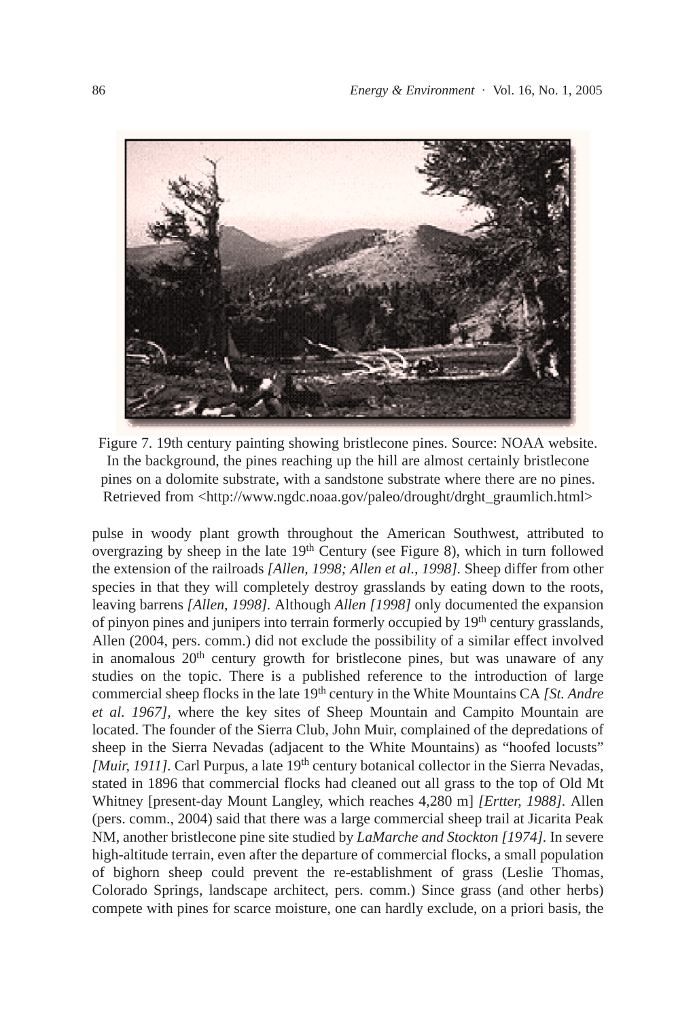

Figure 7. 19th century painting showing bristlecone pines. Source: NOAA website. In the background, the pines reaching up the hill are almost certainly bristlecone pines on a dolomite substrate, with a sandstone substrate where there are no pines. Retrieved from <http://www.ngdc.noaa.gov/paleo/drought/drght\_graumlich.html>

pulse in woody plant growth throughout the American Southwest, attributed to overgrazing by sheep in the late  $19<sup>th</sup>$  Century (see Figure 8), which in turn followed the extension of the railroads *[Allen, 1998; Allen et al., 1998].* Sheep differ from other species in that they will completely destroy grasslands by eating down to the roots, leaving barrens *[Allen, 1998].* Although *Allen [1998]* only documented the expansion of pinyon pines and junipers into terrain formerly occupied by 19th century grasslands, Allen (2004, pers. comm.) did not exclude the possibility of a similar effect involved in anomalous  $20<sup>th</sup>$  century growth for bristlecone pines, but was unaware of any studies on the topic. There is a published reference to the introduction of large commercial sheep flocks in the late 19th century in the White Mountains CA *[St. Andre et al. 1967],* where the key sites of Sheep Mountain and Campito Mountain are located. The founder of the Sierra Club, John Muir, complained of the depredations of sheep in the Sierra Nevadas (adjacent to the White Mountains) as "hoofed locusts" *[Muir, 1911]*. Carl Purpus, a late 19<sup>th</sup> century botanical collector in the Sierra Nevadas, stated in 1896 that commercial flocks had cleaned out all grass to the top of Old Mt Whitney [present-day Mount Langley, which reaches 4,280 m] *[Ertter, 1988].* Allen (pers. comm., 2004) said that there was a large commercial sheep trail at Jicarita Peak NM, another bristlecone pine site studied by *LaMarche and Stockton [1974].* In severe high-altitude terrain, even after the departure of commercial flocks, a small population of bighorn sheep could prevent the re-establishment of grass (Leslie Thomas, Colorado Springs, landscape architect, pers. comm.) Since grass (and other herbs) compete with pines for scarce moisture, one can hardly exclude, on a priori basis, the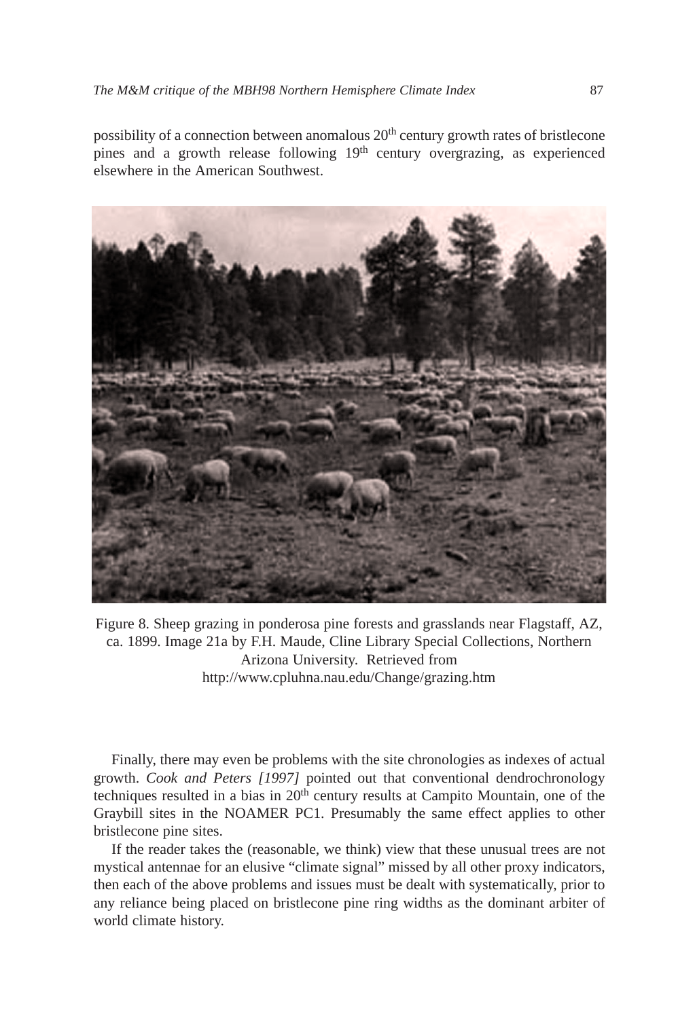possibility of a connection between anomalous 20<sup>th</sup> century growth rates of bristlecone pines and a growth release following  $19<sup>th</sup>$  century overgrazing, as experienced elsewhere in the American Southwest.



Figure 8. Sheep grazing in ponderosa pine forests and grasslands near Flagstaff, AZ, ca. 1899. Image 21a by F.H. Maude, Cline Library Special Collections, Northern Arizona University. Retrieved from http://www.cpluhna.nau.edu/Change/grazing.htm

Finally, there may even be problems with the site chronologies as indexes of actual growth. *Cook and Peters [1997]* pointed out that conventional dendrochronology techniques resulted in a bias in 20th century results at Campito Mountain, one of the Graybill sites in the NOAMER PC1. Presumably the same effect applies to other bristlecone pine sites.

If the reader takes the (reasonable, we think) view that these unusual trees are not mystical antennae for an elusive "climate signal" missed by all other proxy indicators, then each of the above problems and issues must be dealt with systematically, prior to any reliance being placed on bristlecone pine ring widths as the dominant arbiter of world climate history.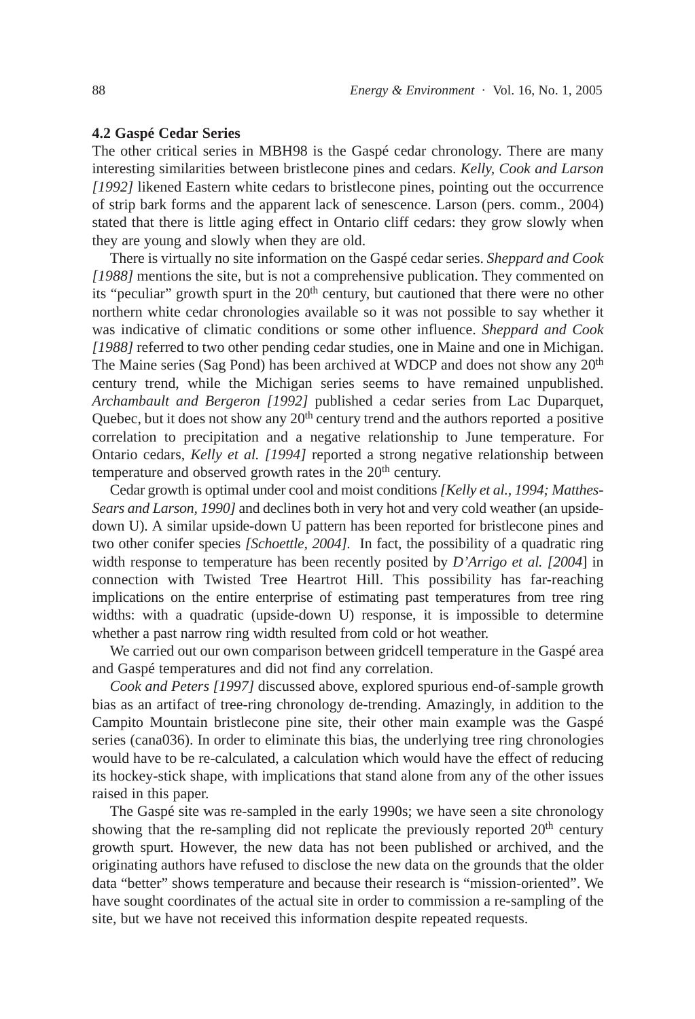## **4.2 Gaspé Cedar Series**

The other critical series in MBH98 is the Gaspé cedar chronology. There are many interesting similarities between bristlecone pines and cedars. *Kelly, Cook and Larson [1992]* likened Eastern white cedars to bristlecone pines, pointing out the occurrence of strip bark forms and the apparent lack of senescence. Larson (pers. comm., 2004) stated that there is little aging effect in Ontario cliff cedars: they grow slowly when they are young and slowly when they are old.

There is virtually no site information on the Gaspé cedar series. *Sheppard and Cook [1988]* mentions the site, but is not a comprehensive publication. They commented on its "peculiar" growth spurt in the 20<sup>th</sup> century, but cautioned that there were no other northern white cedar chronologies available so it was not possible to say whether it was indicative of climatic conditions or some other influence. *Sheppard and Cook [1988]* referred to two other pending cedar studies, one in Maine and one in Michigan. The Maine series (Sag Pond) has been archived at WDCP and does not show any 20th century trend, while the Michigan series seems to have remained unpublished. *Archambault and Bergeron [1992]* published a cedar series from Lac Duparquet, Quebec, but it does not show any  $20<sup>th</sup>$  century trend and the authors reported a positive correlation to precipitation and a negative relationship to June temperature. For Ontario cedars, *Kelly et al. [1994]* reported a strong negative relationship between temperature and observed growth rates in the  $20<sup>th</sup>$  century.

Cedar growth is optimal under cool and moist conditions *[Kelly et al., 1994; Matthes-Sears and Larson, 1990]* and declines both in very hot and very cold weather (an upsidedown U). A similar upside-down U pattern has been reported for bristlecone pines and two other conifer species *[Schoettle, 2004].* In fact, the possibility of a quadratic ring width response to temperature has been recently posited by *D'Arrigo et al. [2004*] in connection with Twisted Tree Heartrot Hill. This possibility has far-reaching implications on the entire enterprise of estimating past temperatures from tree ring widths: with a quadratic (upside-down U) response, it is impossible to determine whether a past narrow ring width resulted from cold or hot weather.

We carried out our own comparison between gridcell temperature in the Gaspé area and Gaspé temperatures and did not find any correlation.

*Cook and Peters [1997]* discussed above, explored spurious end-of-sample growth bias as an artifact of tree-ring chronology de-trending. Amazingly, in addition to the Campito Mountain bristlecone pine site, their other main example was the Gaspé series (cana036). In order to eliminate this bias, the underlying tree ring chronologies would have to be re-calculated, a calculation which would have the effect of reducing its hockey-stick shape, with implications that stand alone from any of the other issues raised in this paper.

The Gaspé site was re-sampled in the early 1990s; we have seen a site chronology showing that the re-sampling did not replicate the previously reported  $20<sup>th</sup>$  century growth spurt. However, the new data has not been published or archived, and the originating authors have refused to disclose the new data on the grounds that the older data "better" shows temperature and because their research is "mission-oriented". We have sought coordinates of the actual site in order to commission a re-sampling of the site, but we have not received this information despite repeated requests.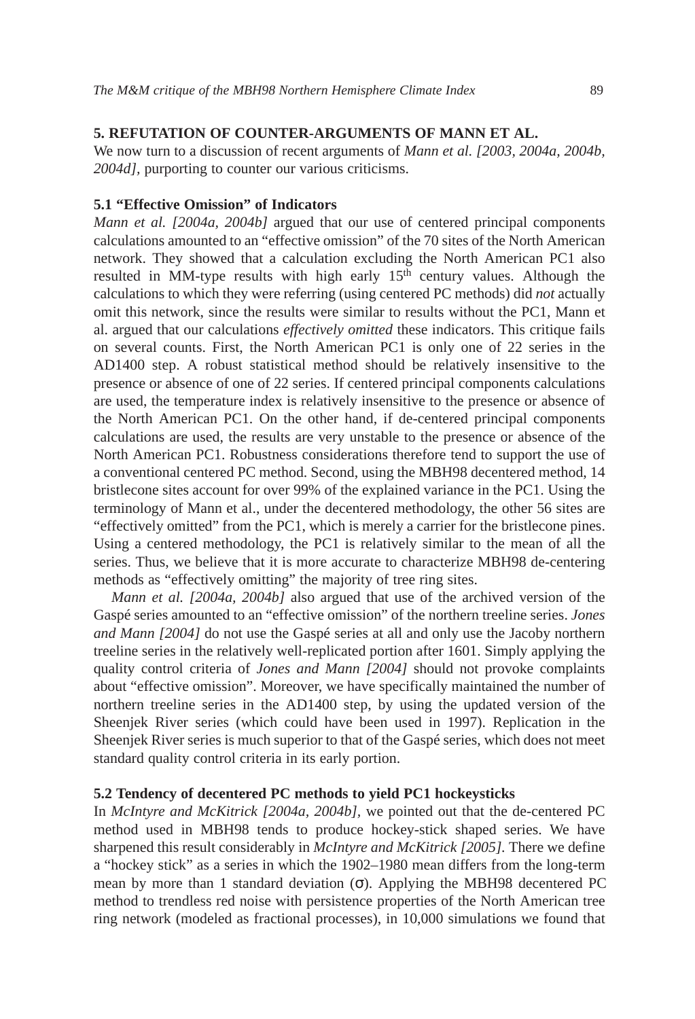# **5. REFUTATION OF COUNTER-ARGUMENTS OF MANN ET AL.**

We now turn to a discussion of recent arguments of *Mann et al. [2003, 2004a, 2004b, 2004d],* purporting to counter our various criticisms.

# **5.1 "Effective Omission" of Indicators**

*Mann et al. [2004a, 2004b]* argued that our use of centered principal components calculations amounted to an "effective omission" of the 70 sites of the North American network. They showed that a calculation excluding the North American PC1 also resulted in MM-type results with high early  $15<sup>th</sup>$  century values. Although the calculations to which they were referring (using centered PC methods) did *not* actually omit this network, since the results were similar to results without the PC1, Mann et al. argued that our calculations *effectively omitted* these indicators. This critique fails on several counts. First, the North American PC1 is only one of 22 series in the AD1400 step. A robust statistical method should be relatively insensitive to the presence or absence of one of 22 series. If centered principal components calculations are used, the temperature index is relatively insensitive to the presence or absence of the North American PC1. On the other hand, if de-centered principal components calculations are used, the results are very unstable to the presence or absence of the North American PC1. Robustness considerations therefore tend to support the use of a conventional centered PC method. Second, using the MBH98 decentered method, 14 bristlecone sites account for over 99% of the explained variance in the PC1. Using the terminology of Mann et al., under the decentered methodology, the other 56 sites are "effectively omitted" from the PC1, which is merely a carrier for the bristlecone pines. Using a centered methodology, the PC1 is relatively similar to the mean of all the series. Thus, we believe that it is more accurate to characterize MBH98 de-centering methods as "effectively omitting" the majority of tree ring sites.

*Mann et al. [2004a, 2004b]* also argued that use of the archived version of the Gaspé series amounted to an "effective omission" of the northern treeline series. *Jones and Mann [2004]* do not use the Gaspé series at all and only use the Jacoby northern treeline series in the relatively well-replicated portion after 1601. Simply applying the quality control criteria of *Jones and Mann [2004]* should not provoke complaints about "effective omission". Moreover, we have specifically maintained the number of northern treeline series in the AD1400 step, by using the updated version of the Sheenjek River series (which could have been used in 1997). Replication in the Sheenjek River series is much superior to that of the Gaspé series, which does not meet standard quality control criteria in its early portion.

## **5.2 Tendency of decentered PC methods to yield PC1 hockeysticks**

In *McIntyre and McKitrick [2004a, 2004b],* we pointed out that the de-centered PC method used in MBH98 tends to produce hockey-stick shaped series. We have sharpened this result considerably in *McIntyre and McKitrick [2005].* There we define a "hockey stick" as a series in which the 1902–1980 mean differs from the long-term mean by more than 1 standard deviation ( $\sigma$ ). Applying the MBH98 decentered PC method to trendless red noise with persistence properties of the North American tree ring network (modeled as fractional processes), in 10,000 simulations we found that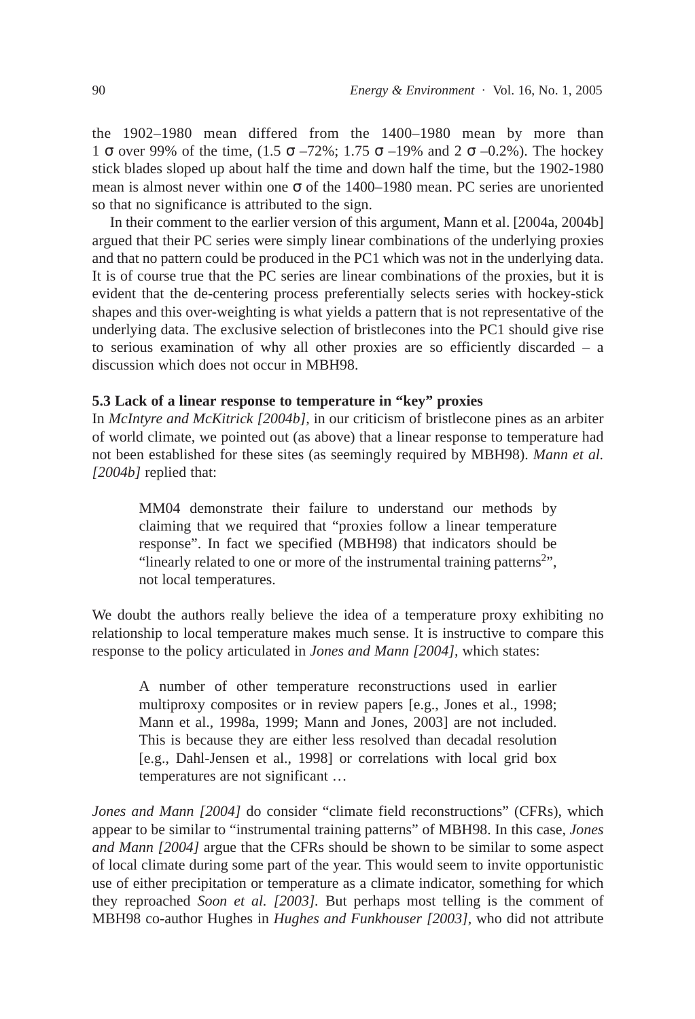the 1902–1980 mean differed from the 1400–1980 mean by more than 1  $\sigma$  over 99% of the time, (1.5  $\sigma$  –72%; 1.75  $\sigma$  –19% and 2  $\sigma$  –0.2%). The hockey stick blades sloped up about half the time and down half the time, but the 1902-1980 mean is almost never within one  $\sigma$  of the 1400–1980 mean. PC series are unoriented so that no significance is attributed to the sign.

In their comment to the earlier version of this argument, Mann et al. [2004a, 2004b] argued that their PC series were simply linear combinations of the underlying proxies and that no pattern could be produced in the PC1 which was not in the underlying data. It is of course true that the PC series are linear combinations of the proxies, but it is evident that the de-centering process preferentially selects series with hockey-stick shapes and this over-weighting is what yields a pattern that is not representative of the underlying data. The exclusive selection of bristlecones into the PC1 should give rise to serious examination of why all other proxies are so efficiently discarded  $-$  a discussion which does not occur in MBH98.

# **5.3 Lack of a linear response to temperature in "key" proxies**

In *McIntyre and McKitrick [2004b],* in our criticism of bristlecone pines as an arbiter of world climate, we pointed out (as above) that a linear response to temperature had not been established for these sites (as seemingly required by MBH98). *Mann et al. [2004b]* replied that:

MM04 demonstrate their failure to understand our methods by claiming that we required that "proxies follow a linear temperature response". In fact we specified (MBH98) that indicators should be "linearly related to one or more of the instrumental training patterns<sup>2</sup>", not local temperatures.

We doubt the authors really believe the idea of a temperature proxy exhibiting no relationship to local temperature makes much sense. It is instructive to compare this response to the policy articulated in *Jones and Mann [2004],* which states:

A number of other temperature reconstructions used in earlier multiproxy composites or in review papers [e.g., Jones et al., 1998; Mann et al., 1998a, 1999; Mann and Jones, 2003] are not included. This is because they are either less resolved than decadal resolution [e.g., Dahl-Jensen et al., 1998] or correlations with local grid box temperatures are not significant …

*Jones and Mann [2004]* do consider "climate field reconstructions" (CFRs), which appear to be similar to "instrumental training patterns" of MBH98. In this case, *Jones and Mann [2004]* argue that the CFRs should be shown to be similar to some aspect of local climate during some part of the year. This would seem to invite opportunistic use of either precipitation or temperature as a climate indicator, something for which they reproached *Soon et al. [2003].* But perhaps most telling is the comment of MBH98 co-author Hughes in *Hughes and Funkhouser [2003],* who did not attribute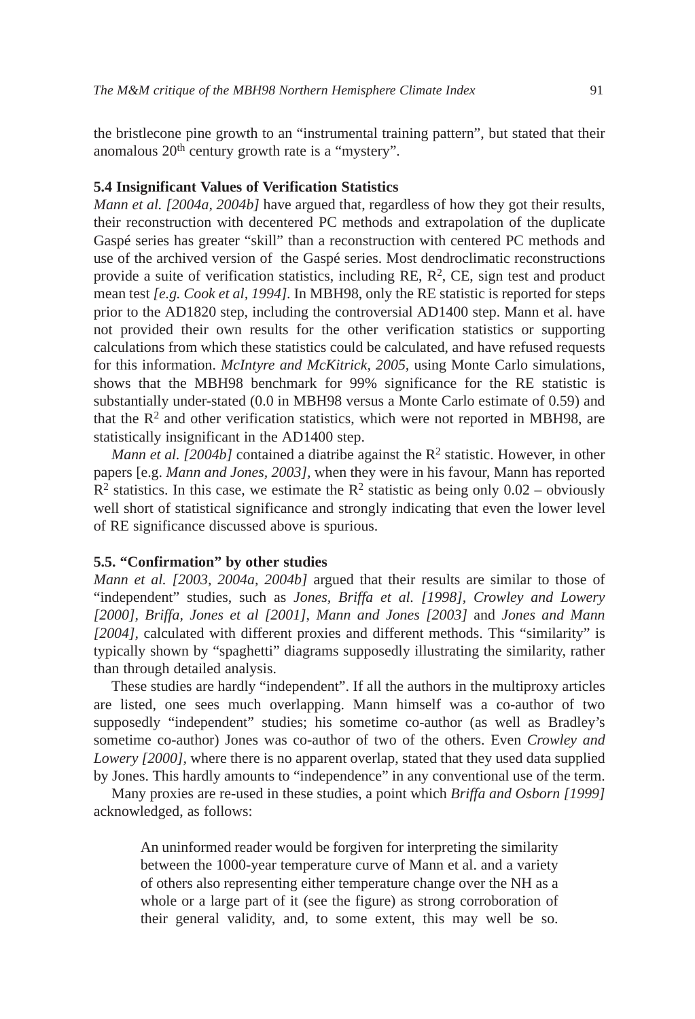the bristlecone pine growth to an "instrumental training pattern", but stated that their anomalous  $20<sup>th</sup>$  century growth rate is a "mystery".

#### **5.4 Insignificant Values of Verification Statistics**

*Mann et al.* [2004a, 2004b] have argued that, regardless of how they got their results, their reconstruction with decentered PC methods and extrapolation of the duplicate Gaspé series has greater "skill" than a reconstruction with centered PC methods and use of the archived version of the Gaspé series. Most dendroclimatic reconstructions provide a suite of verification statistics, including  $RE$ ,  $R^2$ ,  $CE$ , sign test and product mean test *[e.g. Cook et al, 1994].* In MBH98, only the RE statistic is reported for steps prior to the AD1820 step, including the controversial AD1400 step. Mann et al. have not provided their own results for the other verification statistics or supporting calculations from which these statistics could be calculated, and have refused requests for this information. *McIntyre and McKitrick, 2005,* using Monte Carlo simulations, shows that the MBH98 benchmark for 99% significance for the RE statistic is substantially under-stated (0.0 in MBH98 versus a Monte Carlo estimate of 0.59) and that the  $R<sup>2</sup>$  and other verification statistics, which were not reported in MBH98, are statistically insignificant in the AD1400 step.

*Mann et al.* [2004b] contained a diatribe against the  $\mathbb{R}^2$  statistic. However, in other papers [e.g. *Mann and Jones, 2003],* when they were in his favour, Mann has reported  $R^2$  statistics. In this case, we estimate the  $R^2$  statistic as being only 0.02 – obviously well short of statistical significance and strongly indicating that even the lower level of RE significance discussed above is spurious.

# **5.5. "Confirmation" by other studies**

*Mann et al. [2003, 2004a, 2004b]* argued that their results are similar to those of "independent" studies, such as *Jones, Briffa et al. [1998], Crowley and Lowery [2000], Briffa, Jones et al [2001]*, *Mann and Jones [2003]* and *Jones and Mann [2004],* calculated with different proxies and different methods. This "similarity" is typically shown by "spaghetti" diagrams supposedly illustrating the similarity, rather than through detailed analysis.

These studies are hardly "independent". If all the authors in the multiproxy articles are listed, one sees much overlapping. Mann himself was a co-author of two supposedly "independent" studies; his sometime co-author (as well as Bradley's sometime co-author) Jones was co-author of two of the others. Even *Crowley and Lowery [2000]*, where there is no apparent overlap, stated that they used data supplied by Jones. This hardly amounts to "independence" in any conventional use of the term.

Many proxies are re-used in these studies, a point which *Briffa and Osborn [1999]* acknowledged, as follows:

An uninformed reader would be forgiven for interpreting the similarity between the 1000-year temperature curve of Mann et al. and a variety of others also representing either temperature change over the NH as a whole or a large part of it (see the figure) as strong corroboration of their general validity, and, to some extent, this may well be so.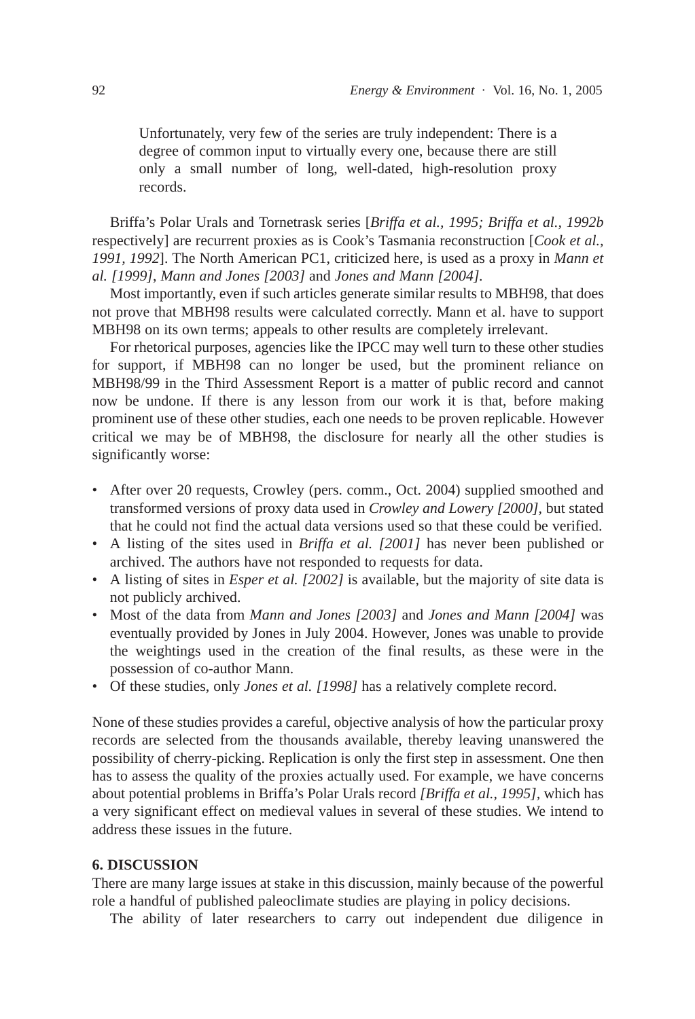Unfortunately, very few of the series are truly independent: There is a degree of common input to virtually every one, because there are still only a small number of long, well-dated, high-resolution proxy records.

Briffa's Polar Urals and Tornetrask series [*Briffa et al., 1995; Briffa et al., 1992b* respectively] are recurrent proxies as is Cook's Tasmania reconstruction [*Cook et al., 1991, 1992*]. The North American PC1, criticized here, is used as a proxy in *Mann et al. [1999]*, *Mann and Jones [2003]* and *Jones and Mann [2004].* 

Most importantly, even if such articles generate similar results to MBH98, that does not prove that MBH98 results were calculated correctly. Mann et al. have to support MBH98 on its own terms; appeals to other results are completely irrelevant.

For rhetorical purposes, agencies like the IPCC may well turn to these other studies for support, if MBH98 can no longer be used, but the prominent reliance on MBH98/99 in the Third Assessment Report is a matter of public record and cannot now be undone. If there is any lesson from our work it is that, before making prominent use of these other studies, each one needs to be proven replicable. However critical we may be of MBH98, the disclosure for nearly all the other studies is significantly worse:

- After over 20 requests, Crowley (pers. comm., Oct. 2004) supplied smoothed and transformed versions of proxy data used in *Crowley and Lowery [2000],* but stated that he could not find the actual data versions used so that these could be verified.
- A listing of the sites used in *Briffa et al. [2001]* has never been published or archived. The authors have not responded to requests for data.
- A listing of sites in *Esper et al. [2002]* is available, but the majority of site data is not publicly archived.
- Most of the data from *Mann and Jones [2003]* and *Jones and Mann [2004]* was eventually provided by Jones in July 2004. However, Jones was unable to provide the weightings used in the creation of the final results, as these were in the possession of co-author Mann.
- Of these studies, only *Jones et al. [1998]* has a relatively complete record.

None of these studies provides a careful, objective analysis of how the particular proxy records are selected from the thousands available, thereby leaving unanswered the possibility of cherry-picking. Replication is only the first step in assessment. One then has to assess the quality of the proxies actually used. For example, we have concerns about potential problems in Briffa's Polar Urals record *[Briffa et al., 1995],* which has a very significant effect on medieval values in several of these studies. We intend to address these issues in the future.

### **6. DISCUSSION**

There are many large issues at stake in this discussion, mainly because of the powerful role a handful of published paleoclimate studies are playing in policy decisions.

The ability of later researchers to carry out independent due diligence in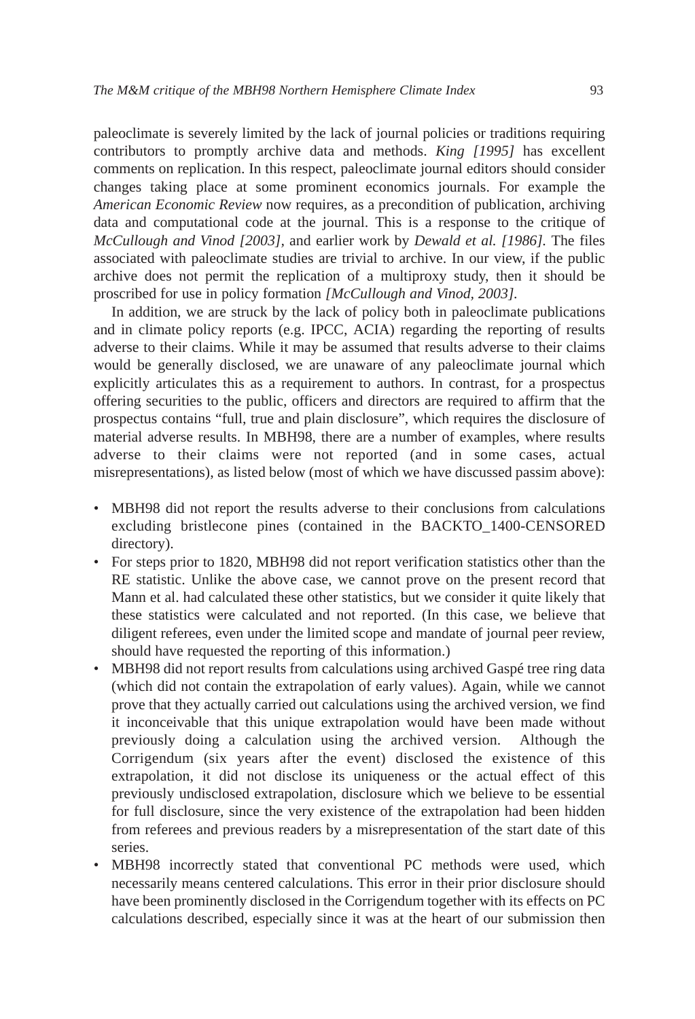paleoclimate is severely limited by the lack of journal policies or traditions requiring contributors to promptly archive data and methods. *King [1995]* has excellent comments on replication. In this respect, paleoclimate journal editors should consider changes taking place at some prominent economics journals. For example the *American Economic Review* now requires, as a precondition of publication, archiving data and computational code at the journal. This is a response to the critique of *McCullough and Vinod [2003],* and earlier work by *Dewald et al. [1986].* The files associated with paleoclimate studies are trivial to archive. In our view, if the public archive does not permit the replication of a multiproxy study, then it should be proscribed for use in policy formation *[McCullough and Vinod, 2003].*

In addition, we are struck by the lack of policy both in paleoclimate publications and in climate policy reports (e.g. IPCC, ACIA) regarding the reporting of results adverse to their claims. While it may be assumed that results adverse to their claims would be generally disclosed, we are unaware of any paleoclimate journal which explicitly articulates this as a requirement to authors. In contrast, for a prospectus offering securities to the public, officers and directors are required to affirm that the prospectus contains "full, true and plain disclosure", which requires the disclosure of material adverse results. In MBH98, there are a number of examples, where results adverse to their claims were not reported (and in some cases, actual misrepresentations), as listed below (most of which we have discussed passim above):

- MBH98 did not report the results adverse to their conclusions from calculations excluding bristlecone pines (contained in the BACKTO\_1400-CENSORED directory).
- For steps prior to 1820, MBH98 did not report verification statistics other than the RE statistic. Unlike the above case, we cannot prove on the present record that Mann et al. had calculated these other statistics, but we consider it quite likely that these statistics were calculated and not reported. (In this case, we believe that diligent referees, even under the limited scope and mandate of journal peer review, should have requested the reporting of this information.)
- MBH98 did not report results from calculations using archived Gaspé tree ring data (which did not contain the extrapolation of early values). Again, while we cannot prove that they actually carried out calculations using the archived version, we find it inconceivable that this unique extrapolation would have been made without previously doing a calculation using the archived version. Although the Corrigendum (six years after the event) disclosed the existence of this extrapolation, it did not disclose its uniqueness or the actual effect of this previously undisclosed extrapolation, disclosure which we believe to be essential for full disclosure, since the very existence of the extrapolation had been hidden from referees and previous readers by a misrepresentation of the start date of this series.
- MBH98 incorrectly stated that conventional PC methods were used, which necessarily means centered calculations. This error in their prior disclosure should have been prominently disclosed in the Corrigendum together with its effects on PC calculations described, especially since it was at the heart of our submission then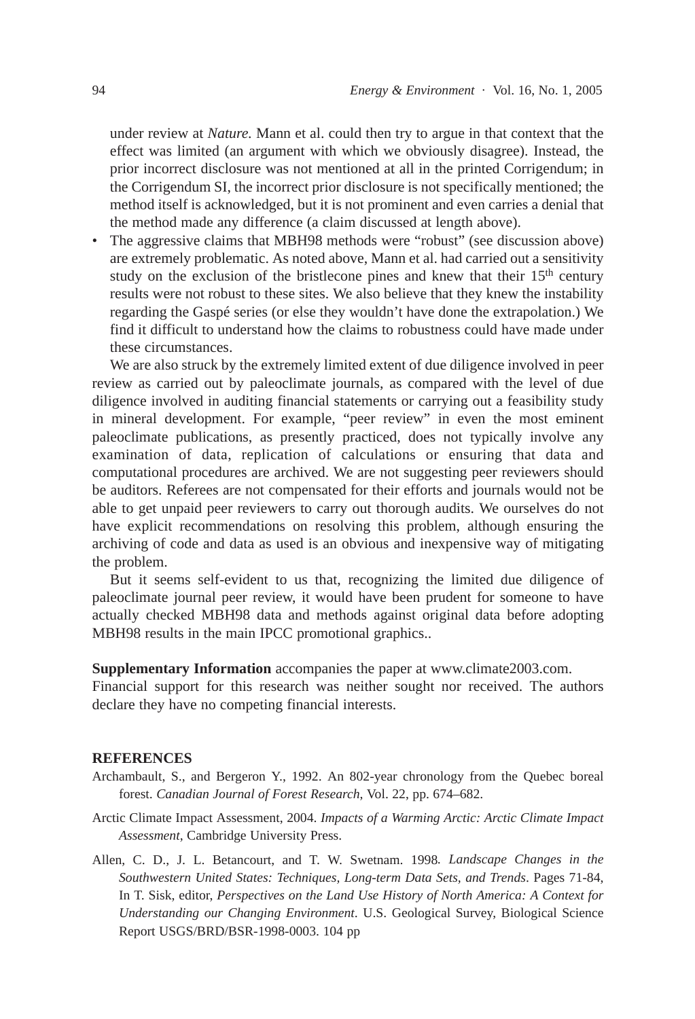under review at *Nature.* Mann et al. could then try to argue in that context that the effect was limited (an argument with which we obviously disagree). Instead, the prior incorrect disclosure was not mentioned at all in the printed Corrigendum; in the Corrigendum SI, the incorrect prior disclosure is not specifically mentioned; the method itself is acknowledged, but it is not prominent and even carries a denial that the method made any difference (a claim discussed at length above).

• The aggressive claims that MBH98 methods were "robust" (see discussion above) are extremely problematic. As noted above, Mann et al. had carried out a sensitivity study on the exclusion of the bristlecone pines and knew that their  $15<sup>th</sup>$  century results were not robust to these sites. We also believe that they knew the instability regarding the Gaspé series (or else they wouldn't have done the extrapolation.) We find it difficult to understand how the claims to robustness could have made under these circumstances.

We are also struck by the extremely limited extent of due diligence involved in peer review as carried out by paleoclimate journals, as compared with the level of due diligence involved in auditing financial statements or carrying out a feasibility study in mineral development. For example, "peer review" in even the most eminent paleoclimate publications, as presently practiced, does not typically involve any examination of data, replication of calculations or ensuring that data and computational procedures are archived. We are not suggesting peer reviewers should be auditors. Referees are not compensated for their efforts and journals would not be able to get unpaid peer reviewers to carry out thorough audits. We ourselves do not have explicit recommendations on resolving this problem, although ensuring the archiving of code and data as used is an obvious and inexpensive way of mitigating the problem.

But it seems self-evident to us that, recognizing the limited due diligence of paleoclimate journal peer review, it would have been prudent for someone to have actually checked MBH98 data and methods against original data before adopting MBH98 results in the main IPCC promotional graphics..

## **Supplementary Information** accompanies the paper at www.climate2003.com.

Financial support for this research was neither sought nor received. The authors declare they have no competing financial interests.

## **REFERENCES**

- Archambault, S., and Bergeron Y., 1992. An 802-year chronology from the Quebec boreal forest. *Canadian Journal of Forest Research*, Vol. 22, pp. 674–682.
- Arctic Climate Impact Assessment, 2004. *Impacts of a Warming Arctic: Arctic Climate Impact Assessment*, Cambridge University Press.
- Allen, C. D., J. L. Betancourt, and T. W. Swetnam. 1998*. Landscape Changes in the Southwestern United States: Techniques, Long-term Data Sets, and Trends*. Pages 71-84, In T. Sisk, editor, *Perspectives on the Land Use History of North America: A Context for Understanding our Changing Environment*. U.S. Geological Survey, Biological Science Report USGS/BRD/BSR-1998-0003. 104 pp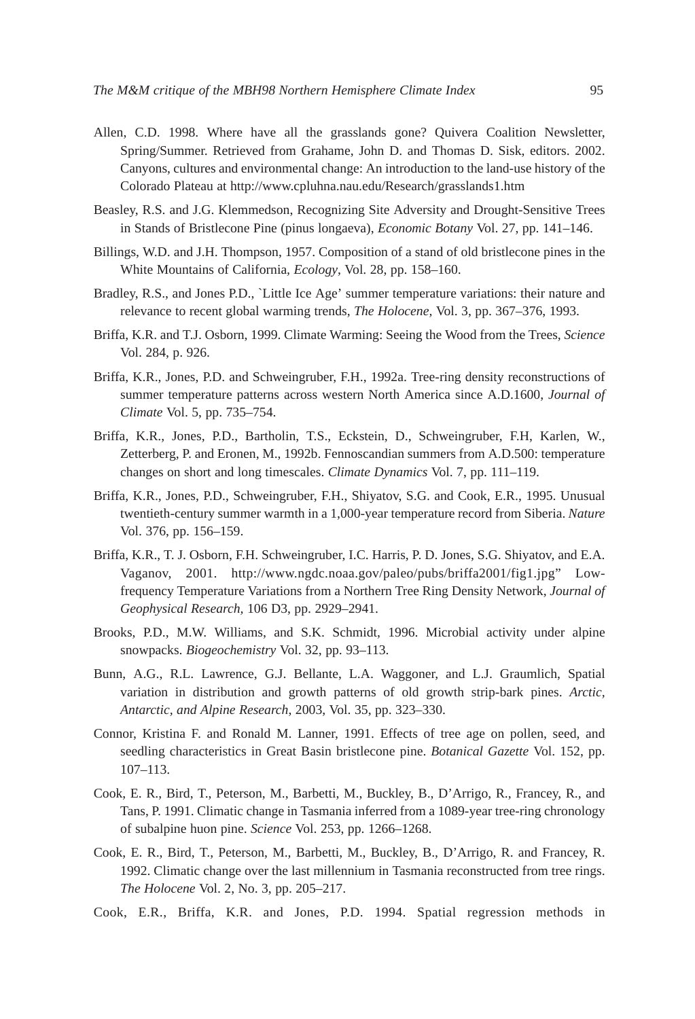- Allen, C.D. 1998. Where have all the grasslands gone? Quivera Coalition Newsletter, Spring/Summer. Retrieved from Grahame, John D. and Thomas D. Sisk, editors. 2002. Canyons, cultures and environmental change: An introduction to the land-use history of the Colorado Plateau at http://www.cpluhna.nau.edu/Research/grasslands1.htm
- Beasley, R.S. and J.G. Klemmedson, Recognizing Site Adversity and Drought-Sensitive Trees in Stands of Bristlecone Pine (pinus longaeva), *Economic Botany* Vol. 27, pp. 141–146.
- Billings, W.D. and J.H. Thompson, 1957. Composition of a stand of old bristlecone pines in the White Mountains of California*, Ecology*, Vol. 28, pp. 158–160.
- Bradley, R.S., and Jones P.D., `Little Ice Age' summer temperature variations: their nature and relevance to recent global warming trends, *The Holocene,* Vol. 3, pp. 367–376, 1993.
- Briffa, K.R. and T.J. Osborn, 1999. Climate Warming: Seeing the Wood from the Trees, *Science* Vol. 284, p. 926.
- Briffa, K.R., Jones, P.D. and Schweingruber, F.H., 1992a. Tree-ring density reconstructions of summer temperature patterns across western North America since A.D.1600, *Journal of Climate* Vol. 5, pp. 735–754.
- Briffa, K.R., Jones, P.D., Bartholin, T.S., Eckstein, D., Schweingruber, F.H, Karlen, W., Zetterberg, P. and Eronen, M., 1992b. Fennoscandian summers from A.D.500: temperature changes on short and long timescales. *Climate Dynamics* Vol. 7, pp. 111–119.
- Briffa, K.R., Jones, P.D., Schweingruber, F.H., Shiyatov, S.G. and Cook, E.R., 1995. Unusual twentieth-century summer warmth in a 1,000-year temperature record from Siberia. *Nature* Vol. 376, pp. 156–159.
- Briffa, K.R., T. J. Osborn, F.H. Schweingruber, I.C. Harris, P. D. Jones, S.G. Shiyatov, and E.A. Vaganov, 2001. http://www.ngdc.noaa.gov/paleo/pubs/briffa2001/fig1.jpg" Lowfrequency Temperature Variations from a Northern Tree Ring Density Network, *Journal of Geophysical Research,* 106 D3, pp. 2929–2941.
- Brooks, P.D., M.W. Williams, and S.K. Schmidt, 1996. Microbial activity under alpine snowpacks. *Biogeochemistry* Vol. 32, pp. 93–113.
- Bunn, A.G., R.L. Lawrence, G.J. Bellante, L.A. Waggoner, and L.J. Graumlich, Spatial variation in distribution and growth patterns of old growth strip-bark pines. *Arctic, Antarctic, and Alpine Research*, 2003, Vol. 35, pp. 323–330.
- Connor, Kristina F. and Ronald M. Lanner, 1991. Effects of tree age on pollen, seed, and seedling characteristics in Great Basin bristlecone pine. *Botanical Gazette* Vol. 152, pp. 107–113.
- Cook, E. R., Bird, T., Peterson, M., Barbetti, M., Buckley, B., D'Arrigo, R., Francey, R., and Tans, P. 1991. Climatic change in Tasmania inferred from a 1089-year tree-ring chronology of subalpine huon pine. *Science* Vol. 253, pp. 1266–1268.
- Cook, E. R., Bird, T., Peterson, M., Barbetti, M., Buckley, B., D'Arrigo, R. and Francey, R. 1992. Climatic change over the last millennium in Tasmania reconstructed from tree rings. *The Holocene* Vol. 2, No. 3, pp. 205–217.
- Cook, E.R., Briffa, K.R. and Jones, P.D. 1994. Spatial regression methods in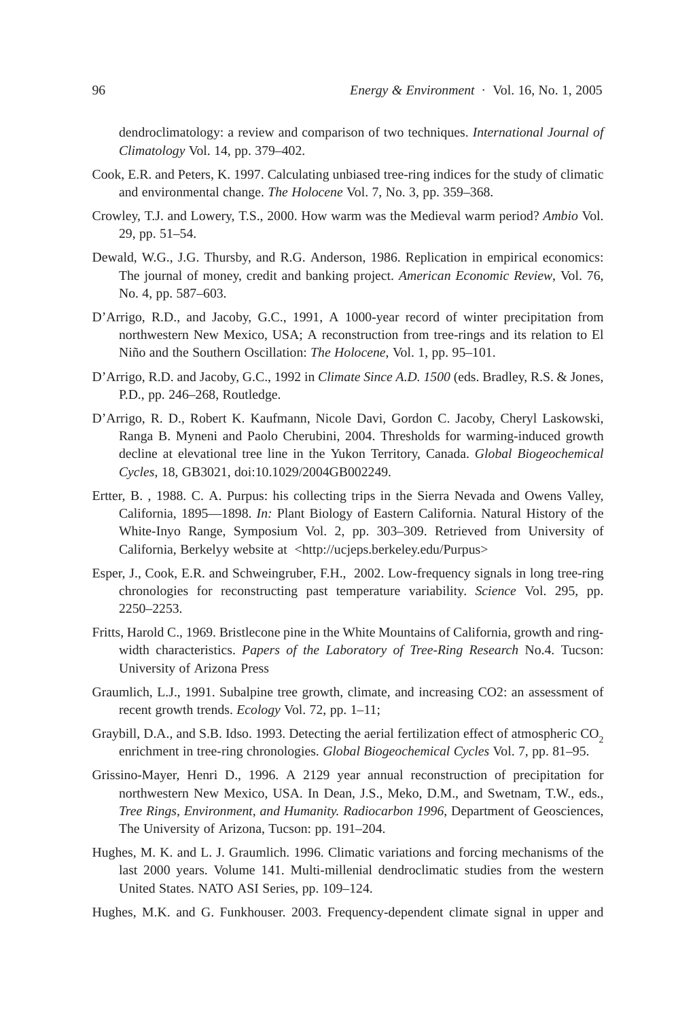dendroclimatology: a review and comparison of two techniques. *International Journal of Climatology* Vol. 14, pp. 379–402.

- Cook, E.R. and Peters, K. 1997. Calculating unbiased tree-ring indices for the study of climatic and environmental change. *The Holocene* Vol. 7, No. 3, pp. 359–368.
- Crowley, T.J. and Lowery, T.S., 2000. How warm was the Medieval warm period? *Ambio* Vol. 29, pp. 51–54.
- Dewald, W.G., J.G. Thursby, and R.G. Anderson, 1986. Replication in empirical economics: The journal of money, credit and banking project. *American Economic Review*, Vol. 76, No. 4, pp. 587–603.
- D'Arrigo, R.D., and Jacoby, G.C., 1991, A 1000-year record of winter precipitation from northwestern New Mexico, USA; A reconstruction from tree-rings and its relation to El Niño and the Southern Oscillation: *The Holocene*, Vol. 1, pp. 95–101.
- D'Arrigo, R.D. and Jacoby, G.C., 1992 in *Climate Since A.D. 1500* (eds. Bradley, R.S. & Jones, P.D., pp. 246–268, Routledge.
- D'Arrigo, R. D., Robert K. Kaufmann, Nicole Davi, Gordon C. Jacoby, Cheryl Laskowski, Ranga B. Myneni and Paolo Cherubini, 2004. Thresholds for warming-induced growth decline at elevational tree line in the Yukon Territory, Canada. *Global Biogeochemical Cycles*, 18, GB3021, doi:10.1029/2004GB002249.
- Ertter, B. , 1988. C. A. Purpus: his collecting trips in the Sierra Nevada and Owens Valley, California, 1895—1898. *In:* Plant Biology of Eastern California. Natural History of the White-Inyo Range, Symposium Vol. 2, pp. 303–309. Retrieved from University of California, Berkelyy website at <http://ucjeps.berkeley.edu/Purpus>
- Esper, J., Cook, E.R. and Schweingruber, F.H., 2002. Low-frequency signals in long tree-ring chronologies for reconstructing past temperature variability. *Science* Vol. 295, pp. 2250–2253.
- Fritts, Harold C., 1969. Bristlecone pine in the White Mountains of California, growth and ringwidth characteristics. *Papers of the Laboratory of Tree-Ring Research* No.4. Tucson: University of Arizona Press
- Graumlich, L.J., 1991. Subalpine tree growth, climate, and increasing CO2: an assessment of recent growth trends. *Ecology* Vol. 72, pp. 1–11;
- Graybill, D.A., and S.B. Idso. 1993. Detecting the aerial fertilization effect of atmospheric CO<sub>2</sub> enrichment in tree-ring chronologies. *Global Biogeochemical Cycles* Vol. 7, pp. 81–95.
- Grissino-Mayer, Henri D., 1996. A 2129 year annual reconstruction of precipitation for northwestern New Mexico, USA. In Dean, J.S., Meko, D.M., and Swetnam, T.W., eds., *Tree Rings, Environment, and Humanity. Radiocarbon 1996*, Department of Geosciences, The University of Arizona, Tucson: pp. 191–204.
- Hughes, M. K. and L. J. Graumlich. 1996. Climatic variations and forcing mechanisms of the last 2000 years. Volume 141. Multi-millenial dendroclimatic studies from the western United States. NATO ASI Series, pp. 109–124.
- Hughes, M.K. and G. Funkhouser. 2003. Frequency-dependent climate signal in upper and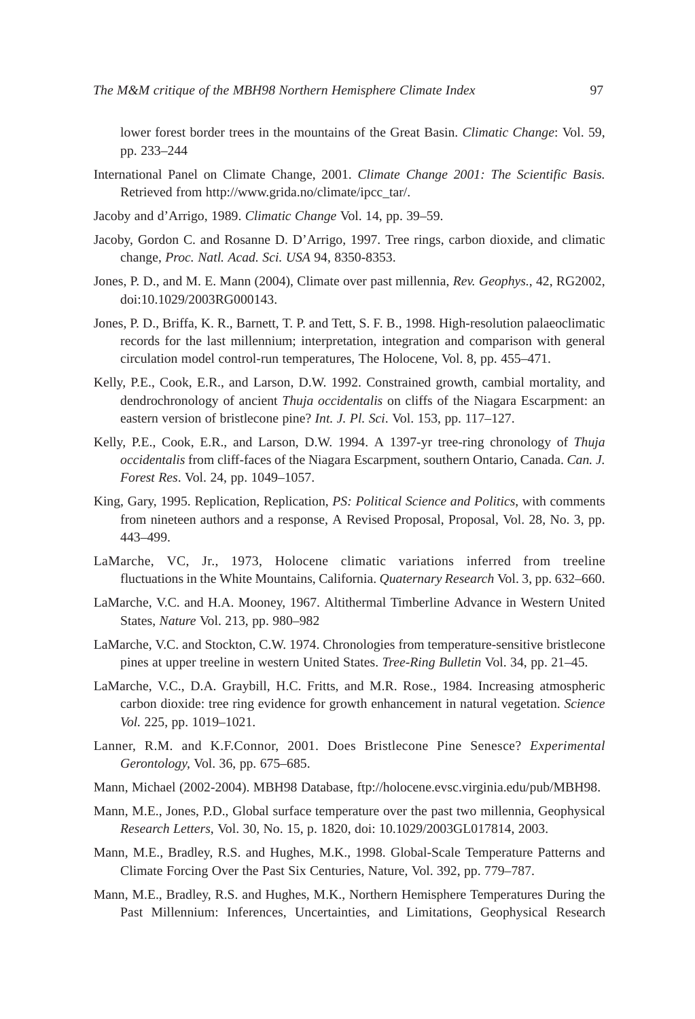lower forest border trees in the mountains of the Great Basin. *Climatic Change*: Vol. 59, pp. 233–244

- International Panel on Climate Change, 2001. *Climate Change 2001: The Scientific Basis.* Retrieved from http://www.grida.no/climate/ipcc\_tar/.
- Jacoby and d'Arrigo, 1989. *Climatic Change* Vol. 14, pp. 39–59.
- Jacoby, Gordon C. and Rosanne D. D'Arrigo, 1997. Tree rings, carbon dioxide, and climatic change, *Proc. Natl. Acad. Sci. USA* 94, 8350-8353.
- Jones, P. D., and M. E. Mann (2004), Climate over past millennia, *Rev. Geophys.*, 42, RG2002, doi:10.1029/2003RG000143.
- Jones, P. D., Briffa, K. R., Barnett, T. P. and Tett, S. F. B., 1998. High-resolution palaeoclimatic records for the last millennium; interpretation, integration and comparison with general circulation model control-run temperatures, The Holocene, Vol. 8, pp. 455–471.
- Kelly, P.E., Cook, E.R., and Larson, D.W. 1992. Constrained growth, cambial mortality, and dendrochronology of ancient *Thuja occidentalis* on cliffs of the Niagara Escarpment: an eastern version of bristlecone pine? *Int. J. Pl. Sci*. Vol. 153, pp. 117–127.
- Kelly, P.E., Cook, E.R., and Larson, D.W. 1994. A 1397-yr tree-ring chronology of *Thuja occidentalis* from cliff-faces of the Niagara Escarpment, southern Ontario, Canada. *Can. J. Forest Res*. Vol. 24, pp. 1049–1057.
- King, Gary, 1995. Replication, Replication, *PS: Political Science and Politics*, with comments from nineteen authors and a response, A Revised Proposal, Proposal, Vol. 28, No. 3, pp. 443–499.
- LaMarche, VC, Jr., 1973, Holocene climatic variations inferred from treeline fluctuations in the White Mountains, California. *Quaternary Research* Vol. 3, pp. 632–660.
- LaMarche, V.C. and H.A. Mooney, 1967. Altithermal Timberline Advance in Western United States, *Nature* Vol. 213, pp. 980–982
- LaMarche, V.C. and Stockton, C.W. 1974. Chronologies from temperature-sensitive bristlecone pines at upper treeline in western United States. *Tree-Ring Bulletin* Vol. 34, pp. 21–45.
- LaMarche, V.C., D.A. Graybill, H.C. Fritts, and M.R. Rose., 1984. Increasing atmospheric carbon dioxide: tree ring evidence for growth enhancement in natural vegetation. *Science Vol.* 225, pp. 1019–1021.
- Lanner, R.M. and K.F.Connor, 2001. Does Bristlecone Pine Senesce? *Experimental Gerontology,* Vol. 36, pp. 675–685.
- Mann, Michael (2002-2004). MBH98 Database, ftp://holocene.evsc.virginia.edu/pub/MBH98.
- Mann, M.E., Jones, P.D., Global surface temperature over the past two millennia, Geophysical *Research Letters*, Vol. 30, No. 15, p. 1820, doi: 10.1029/2003GL017814, 2003.
- Mann, M.E., Bradley, R.S. and Hughes, M.K., 1998. Global-Scale Temperature Patterns and Climate Forcing Over the Past Six Centuries, Nature, Vol. 392, pp. 779–787.
- Mann, M.E., Bradley, R.S. and Hughes, M.K., Northern Hemisphere Temperatures During the Past Millennium: Inferences, Uncertainties, and Limitations, Geophysical Research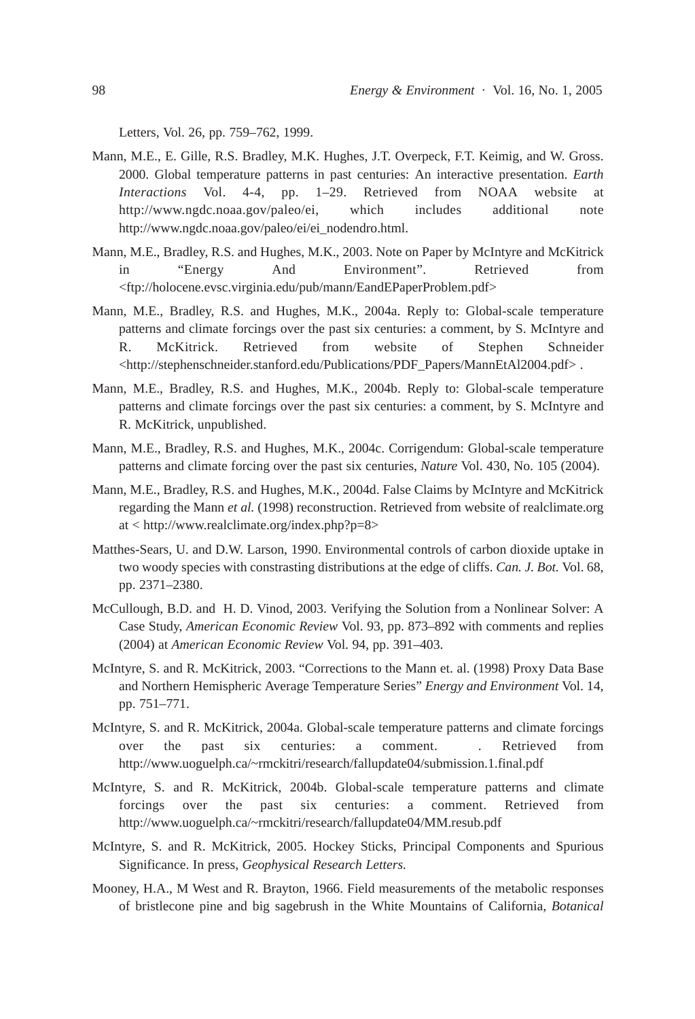Letters, Vol. 26, pp. 759–762, 1999.

- Mann, M.E., E. Gille, R.S. Bradley, M.K. Hughes, J.T. Overpeck, F.T. Keimig, and W. Gross. 2000. Global temperature patterns in past centuries: An interactive presentation. *Earth Interactions* Vol. 4-4, pp. 1–29. Retrieved from NOAA website at http://www.ngdc.noaa.gov/paleo/ei, which includes additional note http://www.ngdc.noaa.gov/paleo/ei/ei\_nodendro.html.
- Mann, M.E., Bradley, R.S. and Hughes, M.K., 2003. Note on Paper by McIntyre and McKitrick in "Energy And Environment". Retrieved from <ftp://holocene.evsc.virginia.edu/pub/mann/EandEPaperProblem.pdf>
- Mann, M.E., Bradley, R.S. and Hughes, M.K., 2004a. Reply to: Global-scale temperature patterns and climate forcings over the past six centuries: a comment, by S. McIntyre and R. McKitrick. Retrieved from website of Stephen Schneider <http://stephenschneider.stanford.edu/Publications/PDF\_Papers/MannEtAl2004.pdf> .
- Mann, M.E., Bradley, R.S. and Hughes, M.K., 2004b. Reply to: Global-scale temperature patterns and climate forcings over the past six centuries: a comment, by S. McIntyre and R. McKitrick, unpublished.
- Mann, M.E., Bradley, R.S. and Hughes, M.K., 2004c. Corrigendum: Global-scale temperature patterns and climate forcing over the past six centuries, *Nature* Vol. 430, No. 105 (2004).
- Mann, M.E., Bradley, R.S. and Hughes, M.K., 2004d. False Claims by McIntyre and McKitrick regarding the Mann *et al.* (1998) reconstruction. Retrieved from website of realclimate.org at < http://www.realclimate.org/index.php?p=8>
- Matthes-Sears, U. and D.W. Larson, 1990. Environmental controls of carbon dioxide uptake in two woody species with constrasting distributions at the edge of cliffs. *Can. J. Bot.* Vol. 68, pp. 2371–2380.
- McCullough, B.D. and H. D. Vinod, 2003. Verifying the Solution from a Nonlinear Solver: A Case Study, *American Economic Review* Vol. 93, pp. 873–892 with comments and replies (2004) at *American Economic Review* Vol. 94, pp. 391–403.
- McIntyre, S. and R. McKitrick, 2003. "Corrections to the Mann et. al. (1998) Proxy Data Base and Northern Hemispheric Average Temperature Series" *Energy and Environment* Vol. 14, pp. 751–771.
- McIntyre, S. and R. McKitrick, 2004a. Global-scale temperature patterns and climate forcings over the past six centuries: a comment. . Retrieved from http://www.uoguelph.ca/~rmckitri/research/fallupdate04/submission.1.final.pdf
- McIntyre, S. and R. McKitrick, 2004b. Global-scale temperature patterns and climate forcings over the past six centuries: a comment. Retrieved from http://www.uoguelph.ca/~rmckitri/research/fallupdate04/MM.resub.pdf
- McIntyre, S. and R. McKitrick, 2005. Hockey Sticks, Principal Components and Spurious Significance. In press, *Geophysical Research Letters.*
- Mooney, H.A., M West and R. Brayton, 1966. Field measurements of the metabolic responses of bristlecone pine and big sagebrush in the White Mountains of California, *Botanical*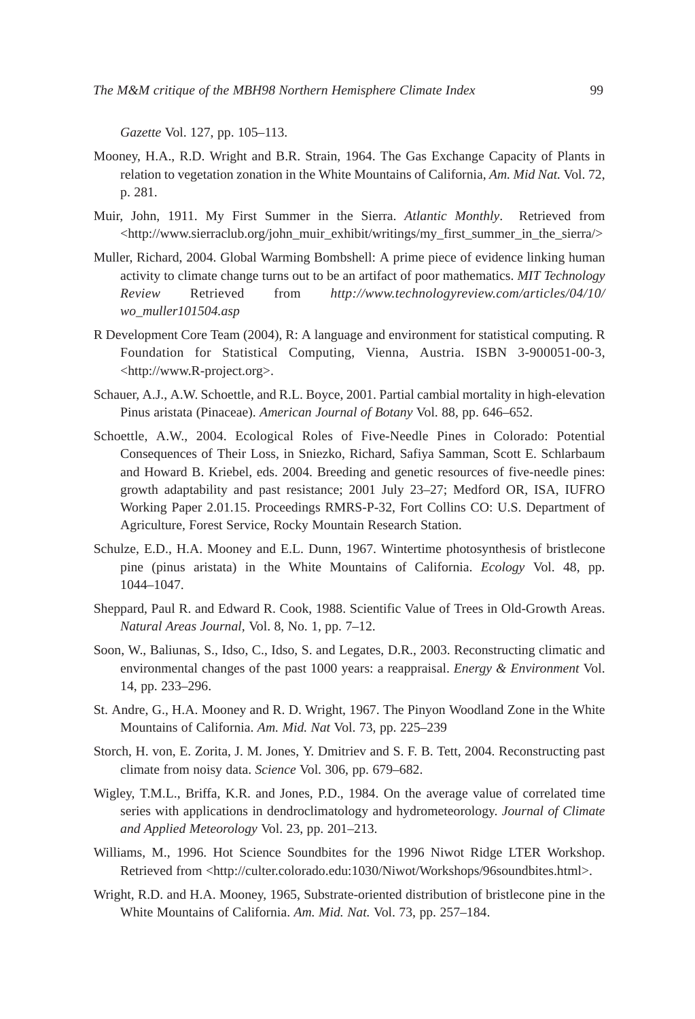*Gazette* Vol. 127, pp. 105–113.

- Mooney, H.A., R.D. Wright and B.R. Strain, 1964. The Gas Exchange Capacity of Plants in relation to vegetation zonation in the White Mountains of California, *Am. Mid Nat.* Vol. 72, p. 281.
- Muir, John, 1911. My First Summer in the Sierra. *Atlantic Monthly*. Retrieved from <http://www.sierraclub.org/john\_muir\_exhibit/writings/my\_first\_summer\_in\_the\_sierra/>
- Muller, Richard, 2004. Global Warming Bombshell: A prime piece of evidence linking human activity to climate change turns out to be an artifact of poor mathematics. *MIT Technology Review* Retrieved from *http://www.technologyreview.com/articles/04/10/ wo\_muller101504.asp*
- R Development Core Team (2004), R: A language and environment for statistical computing. R Foundation for Statistical Computing, Vienna, Austria. ISBN 3-900051-00-3, <http://www.R-project.org>.
- Schauer, A.J., A.W. Schoettle, and R.L. Boyce, 2001. Partial cambial mortality in high-elevation Pinus aristata (Pinaceae). *American Journal of Botany* Vol. 88, pp. 646–652.
- Schoettle, A.W., 2004. Ecological Roles of Five-Needle Pines in Colorado: Potential Consequences of Their Loss, in Sniezko, Richard, Safiya Samman, Scott E. Schlarbaum and Howard B. Kriebel, eds. 2004. Breeding and genetic resources of five-needle pines: growth adaptability and past resistance; 2001 July 23–27; Medford OR, ISA, IUFRO Working Paper 2.01.15. Proceedings RMRS-P-32, Fort Collins CO: U.S. Department of Agriculture, Forest Service, Rocky Mountain Research Station.
- Schulze, E.D., H.A. Mooney and E.L. Dunn, 1967. Wintertime photosynthesis of bristlecone pine (pinus aristata) in the White Mountains of California. *Ecology* Vol. 48, pp. 1044–1047.
- Sheppard, Paul R. and Edward R. Cook, 1988. Scientific Value of Trees in Old-Growth Areas. *Natural Areas Journal,* Vol. 8, No. 1, pp. 7–12.
- Soon, W., Baliunas, S., Idso, C., Idso, S. and Legates, D.R., 2003. Reconstructing climatic and environmental changes of the past 1000 years: a reappraisal. *Energy & Environment* Vol. 14, pp. 233–296.
- St. Andre, G., H.A. Mooney and R. D. Wright, 1967. The Pinyon Woodland Zone in the White Mountains of California. *Am. Mid. Nat* Vol. 73, pp. 225–239
- Storch, H. von, E. Zorita, J. M. Jones, Y. Dmitriev and S. F. B. Tett, 2004. Reconstructing past climate from noisy data. *Science* Vol. 306, pp. 679–682.
- Wigley, T.M.L., Briffa, K.R. and Jones, P.D., 1984. On the average value of correlated time series with applications in dendroclimatology and hydrometeorology. *Journal of Climate and Applied Meteorology* Vol. 23, pp. 201–213.
- Williams, M., 1996. Hot Science Soundbites for the 1996 Niwot Ridge LTER Workshop. Retrieved from <http://culter.colorado.edu:1030/Niwot/Workshops/96soundbites.html>.
- Wright, R.D. and H.A. Mooney, 1965, Substrate-oriented distribution of bristlecone pine in the White Mountains of California. *Am. Mid. Nat.* Vol. 73, pp. 257–184.